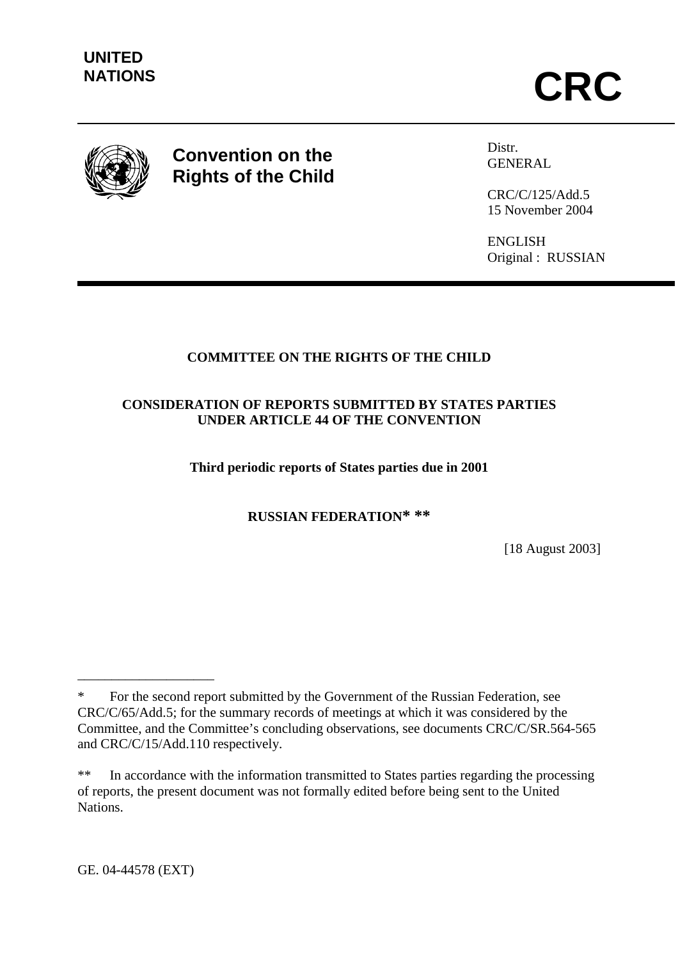

# **Convention on the Rights of the Child**

Distr. GENERAL

CRC/C/125/Add.5 15 November 2004

ENGLISH Original : RUSSIAN

# **COMMITTEE ON THE RIGHTS OF THE CHILD**

## **CONSIDERATION OF REPORTS SUBMITTED BY STATES PARTIES UNDER ARTICLE 44 OF THE CONVENTION**

**Third periodic reports of States parties due in 2001** 

**RUSSIAN FEDERATION\* \*\***

[18 August 2003]

\_\_\_\_\_\_\_\_\_\_\_\_\_\_\_\_\_\_\_\_

For the second report submitted by the Government of the Russian Federation, see CRC/C/65/Add.5; for the summary records of meetings at which it was considered by the Committee, and the Committee's concluding observations, see documents CRC/C/SR.564-565 and CRC/C/15/Add.110 respectively.

<sup>\*\*</sup> In accordance with the information transmitted to States parties regarding the processing of reports, the present document was not formally edited before being sent to the United **Nations**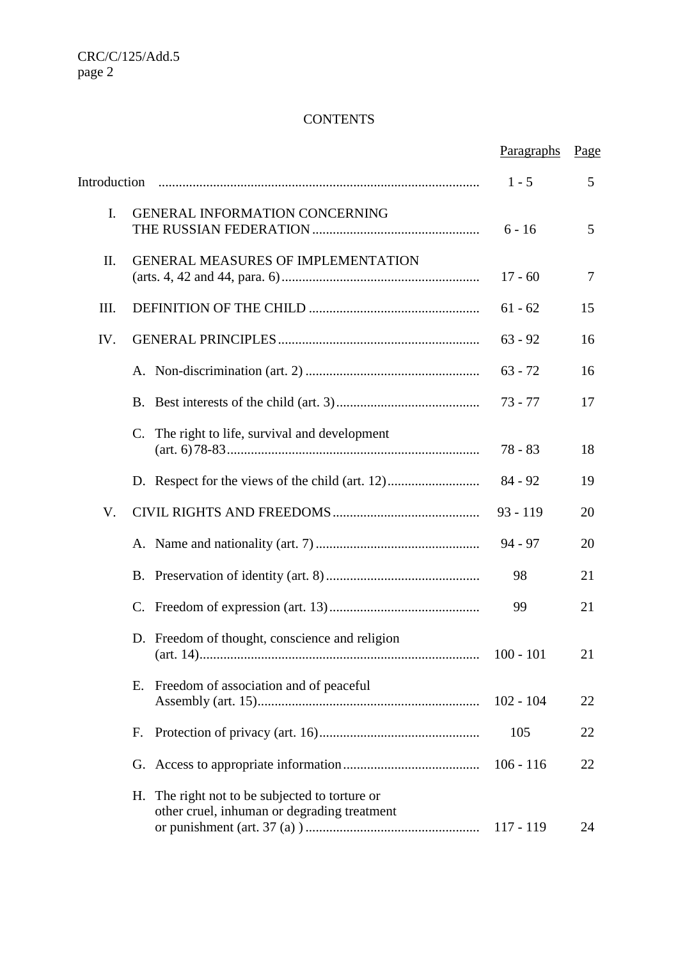# **CONTENTS**

|      |                                                                                                  | Paragraphs  | Page |
|------|--------------------------------------------------------------------------------------------------|-------------|------|
|      |                                                                                                  | $1 - 5$     | 5    |
| I.   | <b>GENERAL INFORMATION CONCERNING</b>                                                            | $6 - 16$    | 5    |
| II.  | <b>GENERAL MEASURES OF IMPLEMENTATION</b>                                                        | $17 - 60$   | 7    |
| III. |                                                                                                  | $61 - 62$   | 15   |
| IV.  |                                                                                                  | $63 - 92$   | 16   |
|      |                                                                                                  | $63 - 72$   | 16   |
|      |                                                                                                  | $73 - 77$   | 17   |
|      | The right to life, survival and development<br>C.                                                | $78 - 83$   | 18   |
|      | D. Respect for the views of the child (art. 12)                                                  | $84 - 92$   | 19   |
| V.   |                                                                                                  | $93 - 119$  | 20   |
|      |                                                                                                  | $94 - 97$   | 20   |
|      |                                                                                                  | 98          | 21   |
|      | $C_{\cdot}$                                                                                      | 99          | 21   |
|      | D. Freedom of thought, conscience and religion<br>$(art. 14)$                                    | $100 - 101$ | 21   |
|      | Freedom of association and of peaceful<br>Е.                                                     | $102 - 104$ | 22   |
|      | F.                                                                                               | 105         | 22   |
|      | G.                                                                                               | $106 - 116$ | 22   |
|      | The right not to be subjected to torture or<br>Н.<br>other cruel, inhuman or degrading treatment | $117 - 119$ | 24   |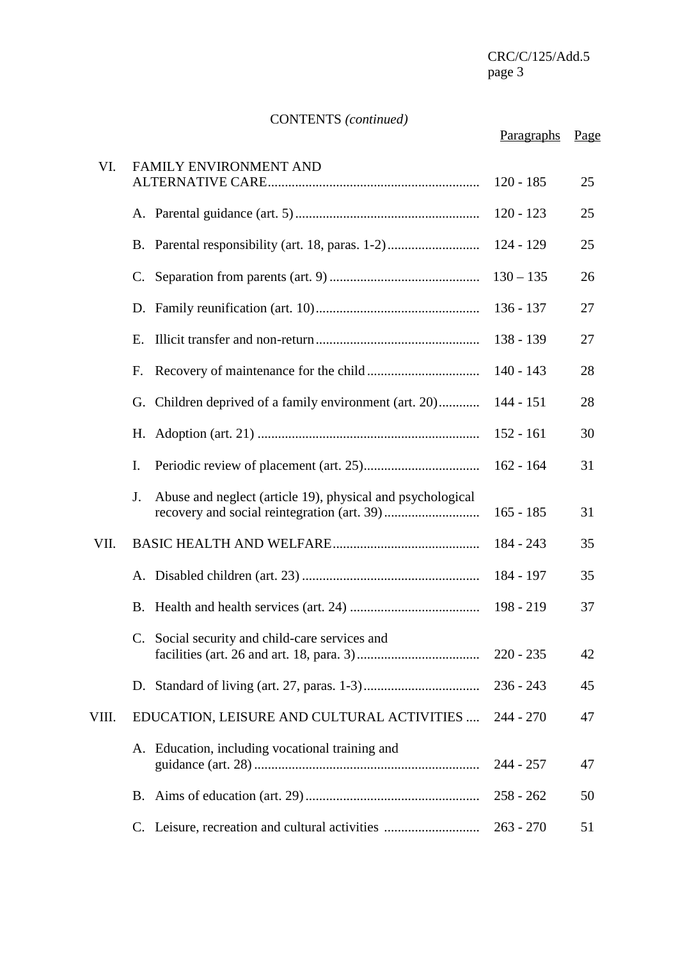# CONTENTS *(continued)*

|       |                                                                  | Paragraphs  | Page |
|-------|------------------------------------------------------------------|-------------|------|
| VI.   | FAMILY ENVIRONMENT AND                                           | $120 - 185$ | 25   |
|       |                                                                  | $120 - 123$ | 25   |
|       | B. Parental responsibility (art. 18, paras. 1-2)                 | $124 - 129$ | 25   |
|       | C.                                                               | $130 - 135$ | 26   |
|       | D.                                                               | $136 - 137$ | 27   |
|       | Ε.                                                               | $138 - 139$ | 27   |
|       | F.                                                               | $140 - 143$ | 28   |
|       | G. Children deprived of a family environment (art. 20)           | 144 - 151   | 28   |
|       | Н.                                                               | $152 - 161$ | 30   |
|       | I.                                                               | $162 - 164$ | 31   |
|       | Abuse and neglect (article 19), physical and psychological<br>J. | $165 - 185$ | 31   |
| VII.  |                                                                  | 184 - 243   | 35   |
|       |                                                                  | 184 - 197   | 35   |
|       |                                                                  | $198 - 219$ | 37   |
|       | C. Social security and child-care services and                   | $220 - 235$ | 42   |
|       |                                                                  | $236 - 243$ | 45   |
| VIII. | EDUCATION, LEISURE AND CULTURAL ACTIVITIES                       | 244 - 270   | 47   |
|       | A. Education, including vocational training and                  | $244 - 257$ | 47   |
|       | B.                                                               | $258 - 262$ | 50   |
|       | C. Leisure, recreation and cultural activities                   | $263 - 270$ | 51   |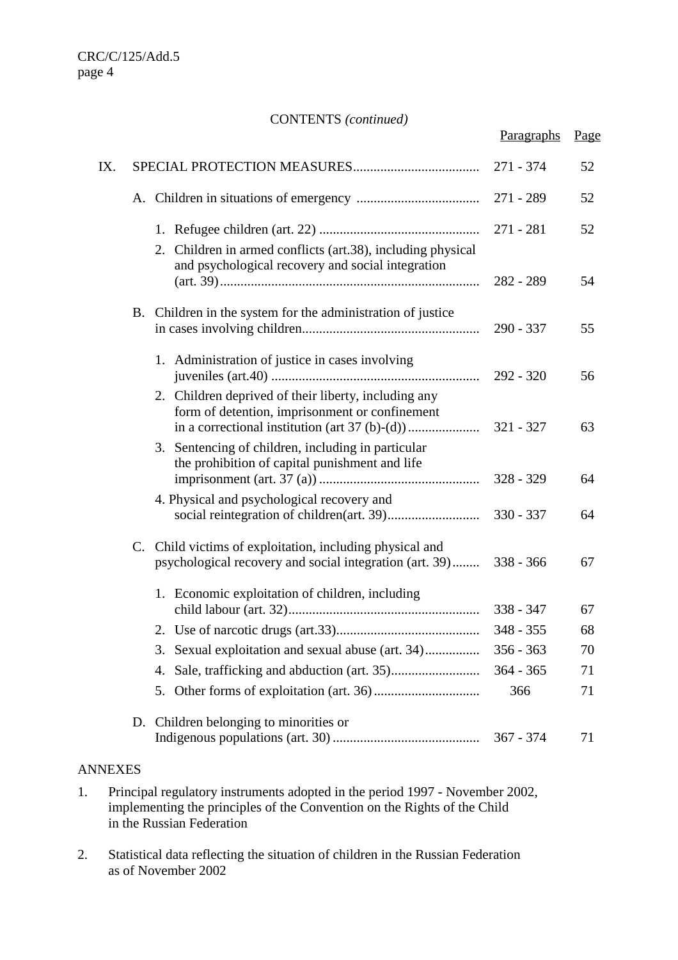#### CONTENTS *(continued)*

|     | CONTENTS ( <i>communed</i> )                                                                                        | Paragraphs  | Page |
|-----|---------------------------------------------------------------------------------------------------------------------|-------------|------|
| IX. |                                                                                                                     | 271 - 374   | 52   |
|     |                                                                                                                     |             | 52   |
|     |                                                                                                                     | $271 - 281$ | 52   |
|     | 2. Children in armed conflicts (art.38), including physical<br>and psychological recovery and social integration    | $282 - 289$ | 54   |
|     | B. Children in the system for the administration of justice                                                         | $290 - 337$ | 55   |
|     | 1. Administration of justice in cases involving                                                                     |             | 56   |
|     | 2. Children deprived of their liberty, including any<br>form of detention, imprisonment or confinement              | 321 - 327   | 63   |
|     | 3. Sentencing of children, including in particular<br>the prohibition of capital punishment and life                | $328 - 329$ | 64   |
|     | 4. Physical and psychological recovery and                                                                          | $330 - 337$ | 64   |
|     | C. Child victims of exploitation, including physical and<br>psychological recovery and social integration (art. 39) | $338 - 366$ | 67   |
|     | 1. Economic exploitation of children, including                                                                     | $338 - 347$ | 67   |
|     |                                                                                                                     | $348 - 355$ | 68   |
|     | 3. Sexual exploitation and sexual abuse (art. 34)                                                                   | $356 - 363$ | 70   |
|     | 4.                                                                                                                  | $364 - 365$ | 71   |
|     |                                                                                                                     | 366         | 71   |
|     | D. Children belonging to minorities or                                                                              | $367 - 374$ | 71   |

# ANNEXES

- 1. Principal regulatory instruments adopted in the period 1997 November 2002, implementing the principles of the Convention on the Rights of the Child in the Russian Federation
- 2. Statistical data reflecting the situation of children in the Russian Federation as of November 2002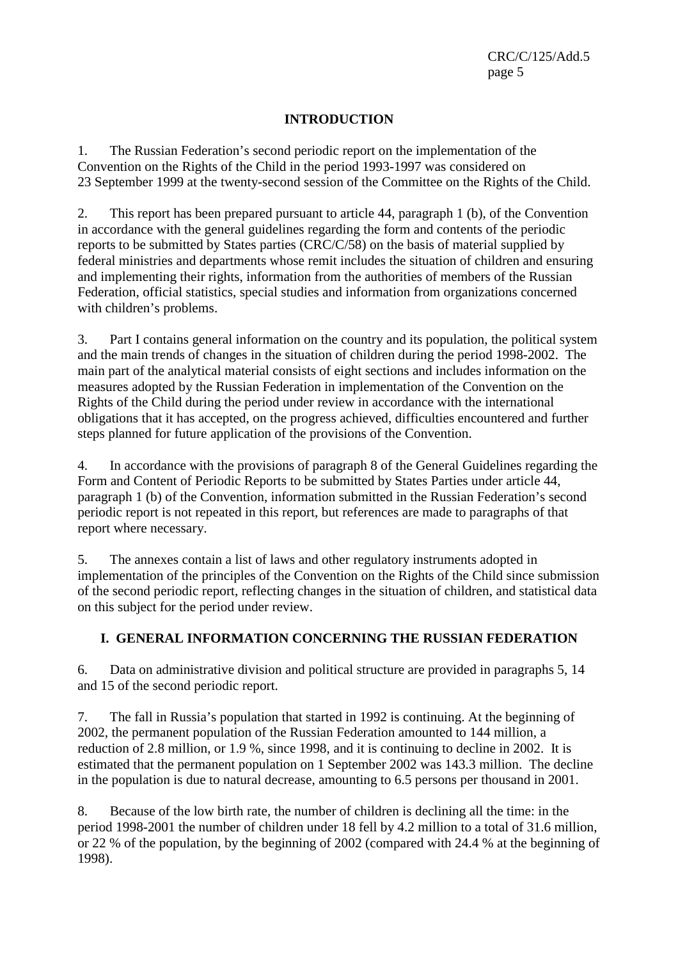CRC/C/125/Add.5 page 5

## **INTRODUCTION**

1. The Russian Federation's second periodic report on the implementation of the Convention on the Rights of the Child in the period 1993-1997 was considered on 23 September 1999 at the twenty-second session of the Committee on the Rights of the Child.

2. This report has been prepared pursuant to article 44, paragraph 1 (b), of the Convention in accordance with the general guidelines regarding the form and contents of the periodic reports to be submitted by States parties (CRC/C/58) on the basis of material supplied by federal ministries and departments whose remit includes the situation of children and ensuring and implementing their rights, information from the authorities of members of the Russian Federation, official statistics, special studies and information from organizations concerned with children's problems.

3. Part I contains general information on the country and its population, the political system and the main trends of changes in the situation of children during the period 1998-2002. The main part of the analytical material consists of eight sections and includes information on the measures adopted by the Russian Federation in implementation of the Convention on the Rights of the Child during the period under review in accordance with the international obligations that it has accepted, on the progress achieved, difficulties encountered and further steps planned for future application of the provisions of the Convention.

4. In accordance with the provisions of paragraph 8 of the General Guidelines regarding the Form and Content of Periodic Reports to be submitted by States Parties under article 44, paragraph 1 (b) of the Convention, information submitted in the Russian Federation's second periodic report is not repeated in this report, but references are made to paragraphs of that report where necessary.

5. The annexes contain a list of laws and other regulatory instruments adopted in implementation of the principles of the Convention on the Rights of the Child since submission of the second periodic report, reflecting changes in the situation of children, and statistical data on this subject for the period under review.

# **I. GENERAL INFORMATION CONCERNING THE RUSSIAN FEDERATION**

6. Data on administrative division and political structure are provided in paragraphs 5, 14 and 15 of the second periodic report.

7. The fall in Russia's population that started in 1992 is continuing. At the beginning of 2002, the permanent population of the Russian Federation amounted to 144 million, a reduction of 2.8 million, or 1.9 %, since 1998, and it is continuing to decline in 2002. It is estimated that the permanent population on 1 September 2002 was 143.3 million. The decline in the population is due to natural decrease, amounting to 6.5 persons per thousand in 2001.

8. Because of the low birth rate, the number of children is declining all the time: in the period 1998-2001 the number of children under 18 fell by 4.2 million to a total of 31.6 million, or 22 % of the population, by the beginning of 2002 (compared with 24.4 % at the beginning of 1998).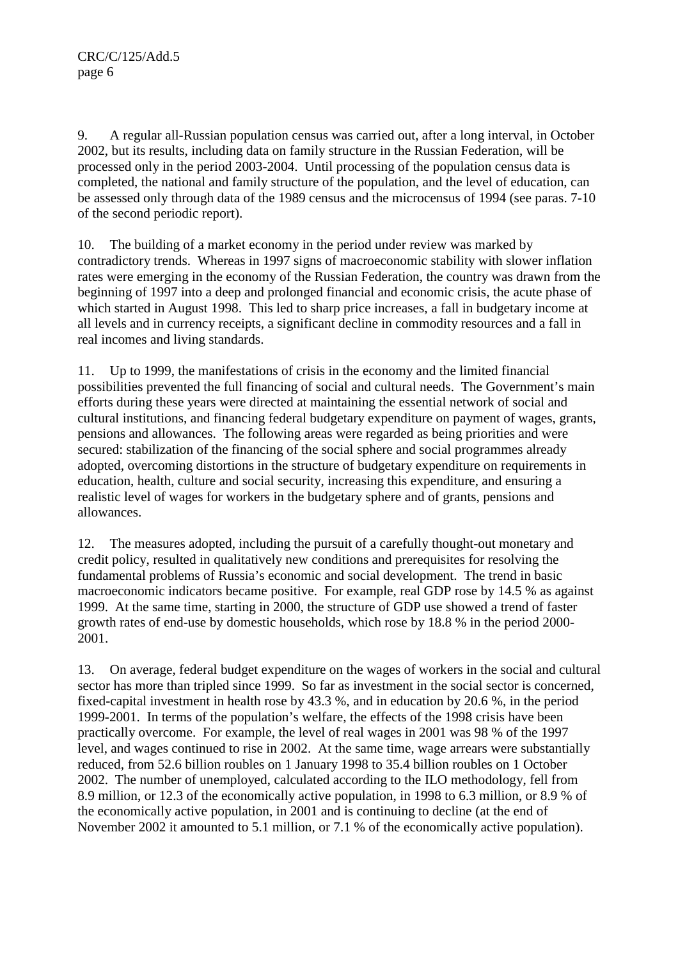9. A regular all-Russian population census was carried out, after a long interval, in October 2002, but its results, including data on family structure in the Russian Federation, will be processed only in the period 2003-2004. Until processing of the population census data is completed, the national and family structure of the population, and the level of education, can be assessed only through data of the 1989 census and the microcensus of 1994 (see paras. 7-10 of the second periodic report).

10. The building of a market economy in the period under review was marked by contradictory trends. Whereas in 1997 signs of macroeconomic stability with slower inflation rates were emerging in the economy of the Russian Federation, the country was drawn from the beginning of 1997 into a deep and prolonged financial and economic crisis, the acute phase of which started in August 1998. This led to sharp price increases, a fall in budgetary income at all levels and in currency receipts, a significant decline in commodity resources and a fall in real incomes and living standards.

11. Up to 1999, the manifestations of crisis in the economy and the limited financial possibilities prevented the full financing of social and cultural needs. The Government's main efforts during these years were directed at maintaining the essential network of social and cultural institutions, and financing federal budgetary expenditure on payment of wages, grants, pensions and allowances. The following areas were regarded as being priorities and were secured: stabilization of the financing of the social sphere and social programmes already adopted, overcoming distortions in the structure of budgetary expenditure on requirements in education, health, culture and social security, increasing this expenditure, and ensuring a realistic level of wages for workers in the budgetary sphere and of grants, pensions and allowances.

12. The measures adopted, including the pursuit of a carefully thought-out monetary and credit policy, resulted in qualitatively new conditions and prerequisites for resolving the fundamental problems of Russia's economic and social development. The trend in basic macroeconomic indicators became positive. For example, real GDP rose by 14.5 % as against 1999. At the same time, starting in 2000, the structure of GDP use showed a trend of faster growth rates of end-use by domestic households, which rose by 18.8 % in the period 2000- 2001.

13. On average, federal budget expenditure on the wages of workers in the social and cultural sector has more than tripled since 1999. So far as investment in the social sector is concerned, fixed-capital investment in health rose by 43.3 %, and in education by 20.6 %, in the period 1999-2001. In terms of the population's welfare, the effects of the 1998 crisis have been practically overcome. For example, the level of real wages in 2001 was 98 % of the 1997 level, and wages continued to rise in 2002. At the same time, wage arrears were substantially reduced, from 52.6 billion roubles on 1 January 1998 to 35.4 billion roubles on 1 October 2002. The number of unemployed, calculated according to the ILO methodology, fell from 8.9 million, or 12.3 of the economically active population, in 1998 to 6.3 million, or 8.9 % of the economically active population, in 2001 and is continuing to decline (at the end of November 2002 it amounted to 5.1 million, or 7.1 % of the economically active population).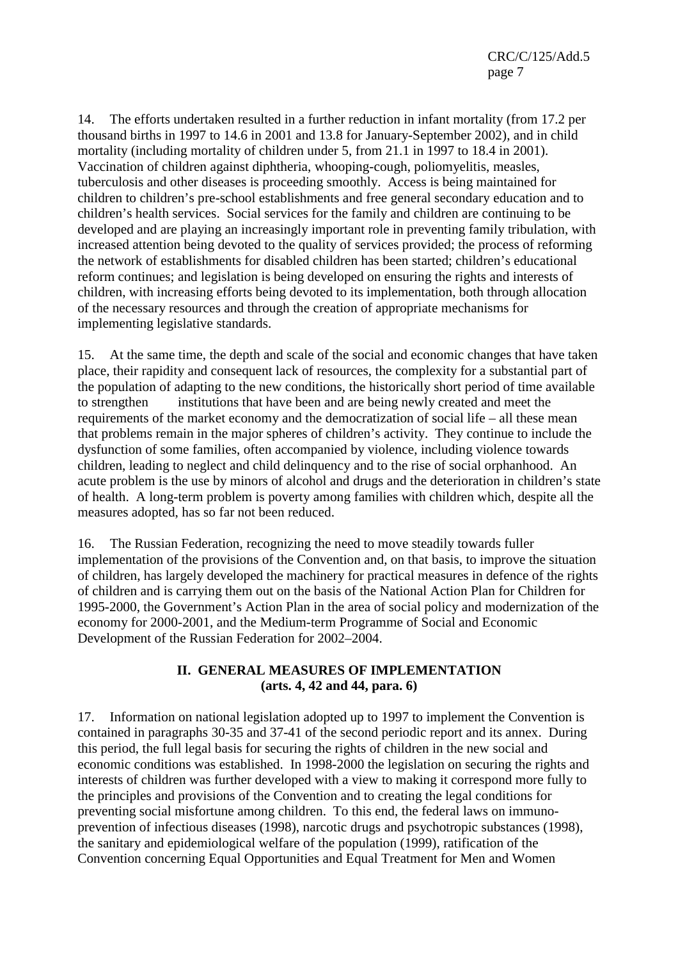CRC/C/125/Add.5 page 7

14. The efforts undertaken resulted in a further reduction in infant mortality (from 17.2 per thousand births in 1997 to 14.6 in 2001 and 13.8 for January-September 2002), and in child mortality (including mortality of children under 5, from 21.1 in 1997 to 18.4 in 2001). Vaccination of children against diphtheria, whooping-cough, poliomyelitis, measles, tuberculosis and other diseases is proceeding smoothly. Access is being maintained for children to children's pre-school establishments and free general secondary education and to children's health services. Social services for the family and children are continuing to be developed and are playing an increasingly important role in preventing family tribulation, with increased attention being devoted to the quality of services provided; the process of reforming the network of establishments for disabled children has been started; children's educational reform continues; and legislation is being developed on ensuring the rights and interests of children, with increasing efforts being devoted to its implementation, both through allocation of the necessary resources and through the creation of appropriate mechanisms for implementing legislative standards.

15. At the same time, the depth and scale of the social and economic changes that have taken place, their rapidity and consequent lack of resources, the complexity for a substantial part of the population of adapting to the new conditions, the historically short period of time available to strengthen institutions that have been and are being newly created and meet the requirements of the market economy and the democratization of social life – all these mean that problems remain in the major spheres of children's activity. They continue to include the dysfunction of some families, often accompanied by violence, including violence towards children, leading to neglect and child delinquency and to the rise of social orphanhood. An acute problem is the use by minors of alcohol and drugs and the deterioration in children's state of health. A long-term problem is poverty among families with children which, despite all the measures adopted, has so far not been reduced.

16. The Russian Federation, recognizing the need to move steadily towards fuller implementation of the provisions of the Convention and, on that basis, to improve the situation of children, has largely developed the machinery for practical measures in defence of the rights of children and is carrying them out on the basis of the National Action Plan for Children for 1995-2000, the Government's Action Plan in the area of social policy and modernization of the economy for 2000-2001, and the Medium-term Programme of Social and Economic Development of the Russian Federation for 2002–2004.

#### **II. GENERAL MEASURES OF IMPLEMENTATION (arts. 4, 42 and 44, para. 6)**

17. Information on national legislation adopted up to 1997 to implement the Convention is contained in paragraphs 30-35 and 37-41 of the second periodic report and its annex. During this period, the full legal basis for securing the rights of children in the new social and economic conditions was established. In 1998-2000 the legislation on securing the rights and interests of children was further developed with a view to making it correspond more fully to the principles and provisions of the Convention and to creating the legal conditions for preventing social misfortune among children. To this end, the federal laws on immunoprevention of infectious diseases (1998), narcotic drugs and psychotropic substances (1998), the sanitary and epidemiological welfare of the population (1999), ratification of the Convention concerning Equal Opportunities and Equal Treatment for Men and Women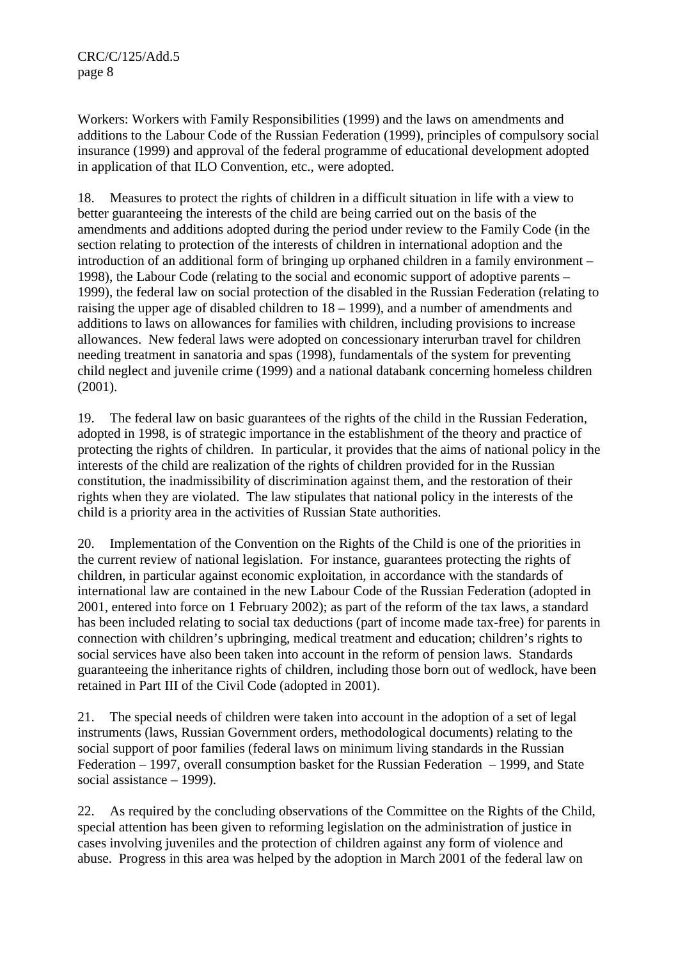Workers: Workers with Family Responsibilities (1999) and the laws on amendments and additions to the Labour Code of the Russian Federation (1999), principles of compulsory social insurance (1999) and approval of the federal programme of educational development adopted in application of that ILO Convention, etc., were adopted.

18. Measures to protect the rights of children in a difficult situation in life with a view to better guaranteeing the interests of the child are being carried out on the basis of the amendments and additions adopted during the period under review to the Family Code (in the section relating to protection of the interests of children in international adoption and the introduction of an additional form of bringing up orphaned children in a family environment – 1998), the Labour Code (relating to the social and economic support of adoptive parents – 1999), the federal law on social protection of the disabled in the Russian Federation (relating to raising the upper age of disabled children to 18 – 1999), and a number of amendments and additions to laws on allowances for families with children, including provisions to increase allowances. New federal laws were adopted on concessionary interurban travel for children needing treatment in sanatoria and spas (1998), fundamentals of the system for preventing child neglect and juvenile crime (1999) and a national databank concerning homeless children (2001).

19. The federal law on basic guarantees of the rights of the child in the Russian Federation, adopted in 1998, is of strategic importance in the establishment of the theory and practice of protecting the rights of children. In particular, it provides that the aims of national policy in the interests of the child are realization of the rights of children provided for in the Russian constitution, the inadmissibility of discrimination against them, and the restoration of their rights when they are violated. The law stipulates that national policy in the interests of the child is a priority area in the activities of Russian State authorities.

20. Implementation of the Convention on the Rights of the Child is one of the priorities in the current review of national legislation. For instance, guarantees protecting the rights of children, in particular against economic exploitation, in accordance with the standards of international law are contained in the new Labour Code of the Russian Federation (adopted in 2001, entered into force on 1 February 2002); as part of the reform of the tax laws, a standard has been included relating to social tax deductions (part of income made tax-free) for parents in connection with children's upbringing, medical treatment and education; children's rights to social services have also been taken into account in the reform of pension laws. Standards guaranteeing the inheritance rights of children, including those born out of wedlock, have been retained in Part III of the Civil Code (adopted in 2001).

21. The special needs of children were taken into account in the adoption of a set of legal instruments (laws, Russian Government orders, methodological documents) relating to the social support of poor families (federal laws on minimum living standards in the Russian Federation – 1997, overall consumption basket for the Russian Federation – 1999, and State social assistance – 1999).

22. As required by the concluding observations of the Committee on the Rights of the Child, special attention has been given to reforming legislation on the administration of justice in cases involving juveniles and the protection of children against any form of violence and abuse. Progress in this area was helped by the adoption in March 2001 of the federal law on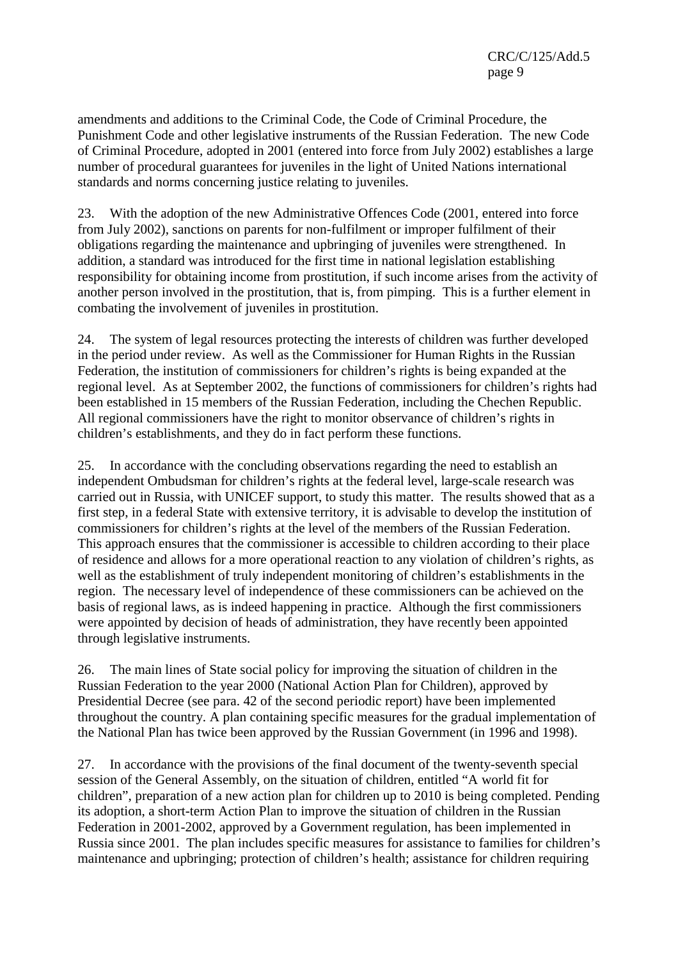amendments and additions to the Criminal Code, the Code of Criminal Procedure, the Punishment Code and other legislative instruments of the Russian Federation. The new Code of Criminal Procedure, adopted in 2001 (entered into force from July 2002) establishes a large number of procedural guarantees for juveniles in the light of United Nations international standards and norms concerning justice relating to juveniles.

23. With the adoption of the new Administrative Offences Code (2001, entered into force from July 2002), sanctions on parents for non-fulfilment or improper fulfilment of their obligations regarding the maintenance and upbringing of juveniles were strengthened. In addition, a standard was introduced for the first time in national legislation establishing responsibility for obtaining income from prostitution, if such income arises from the activity of another person involved in the prostitution, that is, from pimping. This is a further element in combating the involvement of juveniles in prostitution.

24. The system of legal resources protecting the interests of children was further developed in the period under review. As well as the Commissioner for Human Rights in the Russian Federation, the institution of commissioners for children's rights is being expanded at the regional level. As at September 2002, the functions of commissioners for children's rights had been established in 15 members of the Russian Federation, including the Chechen Republic. All regional commissioners have the right to monitor observance of children's rights in children's establishments, and they do in fact perform these functions.

25. In accordance with the concluding observations regarding the need to establish an independent Ombudsman for children's rights at the federal level, large-scale research was carried out in Russia, with UNICEF support, to study this matter. The results showed that as a first step, in a federal State with extensive territory, it is advisable to develop the institution of commissioners for children's rights at the level of the members of the Russian Federation. This approach ensures that the commissioner is accessible to children according to their place of residence and allows for a more operational reaction to any violation of children's rights, as well as the establishment of truly independent monitoring of children's establishments in the region. The necessary level of independence of these commissioners can be achieved on the basis of regional laws, as is indeed happening in practice. Although the first commissioners were appointed by decision of heads of administration, they have recently been appointed through legislative instruments.

26. The main lines of State social policy for improving the situation of children in the Russian Federation to the year 2000 (National Action Plan for Children), approved by Presidential Decree (see para. 42 of the second periodic report) have been implemented throughout the country. A plan containing specific measures for the gradual implementation of the National Plan has twice been approved by the Russian Government (in 1996 and 1998).

27. In accordance with the provisions of the final document of the twenty-seventh special session of the General Assembly, on the situation of children, entitled "A world fit for children", preparation of a new action plan for children up to 2010 is being completed. Pending its adoption, a short-term Action Plan to improve the situation of children in the Russian Federation in 2001-2002, approved by a Government regulation, has been implemented in Russia since 2001. The plan includes specific measures for assistance to families for children's maintenance and upbringing; protection of children's health; assistance for children requiring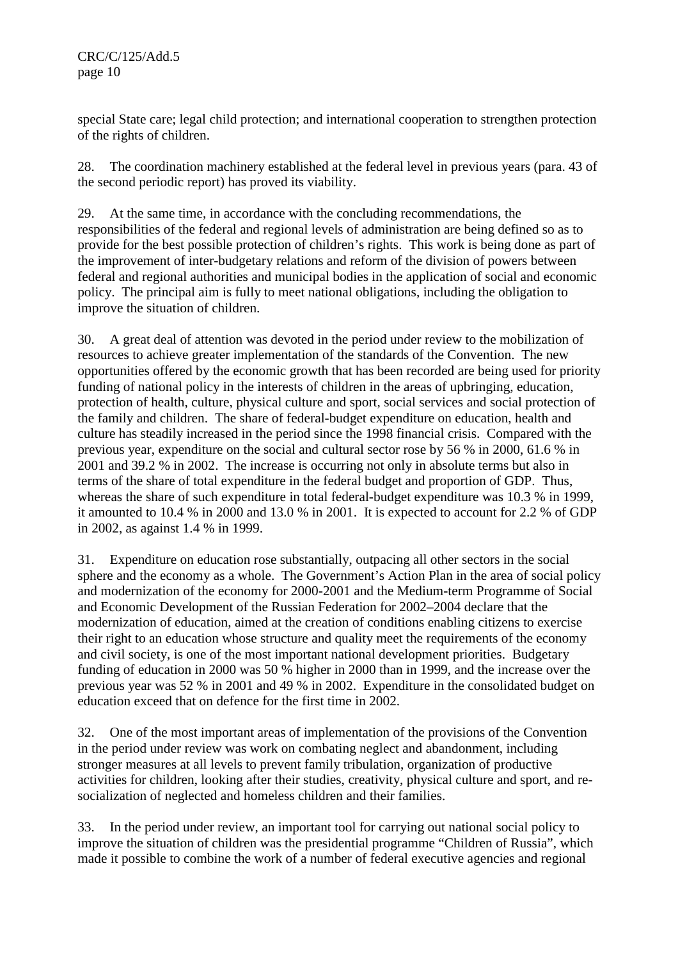special State care; legal child protection; and international cooperation to strengthen protection of the rights of children.

28. The coordination machinery established at the federal level in previous years (para. 43 of the second periodic report) has proved its viability.

29. At the same time, in accordance with the concluding recommendations, the responsibilities of the federal and regional levels of administration are being defined so as to provide for the best possible protection of children's rights. This work is being done as part of the improvement of inter-budgetary relations and reform of the division of powers between federal and regional authorities and municipal bodies in the application of social and economic policy. The principal aim is fully to meet national obligations, including the obligation to improve the situation of children.

30. A great deal of attention was devoted in the period under review to the mobilization of resources to achieve greater implementation of the standards of the Convention. The new opportunities offered by the economic growth that has been recorded are being used for priority funding of national policy in the interests of children in the areas of upbringing, education, protection of health, culture, physical culture and sport, social services and social protection of the family and children. The share of federal-budget expenditure on education, health and culture has steadily increased in the period since the 1998 financial crisis. Compared with the previous year, expenditure on the social and cultural sector rose by 56 % in 2000, 61.6 % in 2001 and 39.2 % in 2002. The increase is occurring not only in absolute terms but also in terms of the share of total expenditure in the federal budget and proportion of GDP. Thus, whereas the share of such expenditure in total federal-budget expenditure was 10.3 % in 1999, it amounted to 10.4 % in 2000 and 13.0 % in 2001. It is expected to account for 2.2 % of GDP in 2002, as against 1.4 % in 1999.

Expenditure on education rose substantially, outpacing all other sectors in the social sphere and the economy as a whole. The Government's Action Plan in the area of social policy and modernization of the economy for 2000-2001 and the Medium-term Programme of Social and Economic Development of the Russian Federation for 2002–2004 declare that the modernization of education, aimed at the creation of conditions enabling citizens to exercise their right to an education whose structure and quality meet the requirements of the economy and civil society, is one of the most important national development priorities. Budgetary funding of education in 2000 was 50 % higher in 2000 than in 1999, and the increase over the previous year was 52 % in 2001 and 49 % in 2002. Expenditure in the consolidated budget on education exceed that on defence for the first time in 2002.

32. One of the most important areas of implementation of the provisions of the Convention in the period under review was work on combating neglect and abandonment, including stronger measures at all levels to prevent family tribulation, organization of productive activities for children, looking after their studies, creativity, physical culture and sport, and resocialization of neglected and homeless children and their families.

33. In the period under review, an important tool for carrying out national social policy to improve the situation of children was the presidential programme "Children of Russia", which made it possible to combine the work of a number of federal executive agencies and regional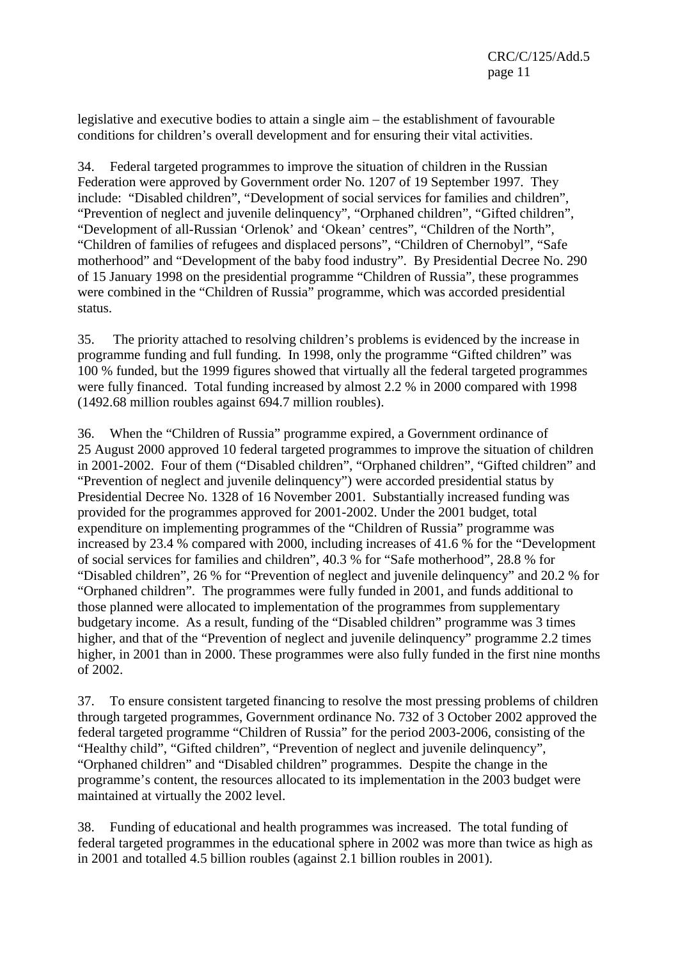legislative and executive bodies to attain a single aim – the establishment of favourable conditions for children's overall development and for ensuring their vital activities.

34. Federal targeted programmes to improve the situation of children in the Russian Federation were approved by Government order No. 1207 of 19 September 1997. They include: "Disabled children", "Development of social services for families and children", "Prevention of neglect and juvenile delinquency", "Orphaned children", "Gifted children", "Development of all-Russian 'Orlenok' and 'Okean' centres", "Children of the North", "Children of families of refugees and displaced persons", "Children of Chernobyl", "Safe motherhood" and "Development of the baby food industry". By Presidential Decree No. 290 of 15 January 1998 on the presidential programme "Children of Russia", these programmes were combined in the "Children of Russia" programme, which was accorded presidential status.

35. The priority attached to resolving children's problems is evidenced by the increase in programme funding and full funding. In 1998, only the programme "Gifted children" was 100 % funded, but the 1999 figures showed that virtually all the federal targeted programmes were fully financed. Total funding increased by almost 2.2 % in 2000 compared with 1998 (1492.68 million roubles against 694.7 million roubles).

36. When the "Children of Russia" programme expired, a Government ordinance of 25 August 2000 approved 10 federal targeted programmes to improve the situation of children in 2001-2002. Four of them ("Disabled children", "Orphaned children", "Gifted children" and "Prevention of neglect and juvenile delinquency") were accorded presidential status by Presidential Decree No. 1328 of 16 November 2001. Substantially increased funding was provided for the programmes approved for 2001-2002. Under the 2001 budget, total expenditure on implementing programmes of the "Children of Russia" programme was increased by 23.4 % compared with 2000, including increases of 41.6 % for the "Development of social services for families and children", 40.3 % for "Safe motherhood", 28.8 % for "Disabled children", 26 % for "Prevention of neglect and juvenile delinquency" and 20.2 % for "Orphaned children". The programmes were fully funded in 2001, and funds additional to those planned were allocated to implementation of the programmes from supplementary budgetary income. As a result, funding of the "Disabled children" programme was 3 times higher, and that of the "Prevention of neglect and juvenile delinquency" programme 2.2 times higher, in 2001 than in 2000. These programmes were also fully funded in the first nine months of 2002.

37. To ensure consistent targeted financing to resolve the most pressing problems of children through targeted programmes, Government ordinance No. 732 of 3 October 2002 approved the federal targeted programme "Children of Russia" for the period 2003-2006, consisting of the "Healthy child", "Gifted children", "Prevention of neglect and juvenile delinquency", "Orphaned children" and "Disabled children" programmes. Despite the change in the programme's content, the resources allocated to its implementation in the 2003 budget were maintained at virtually the 2002 level.

38. Funding of educational and health programmes was increased. The total funding of federal targeted programmes in the educational sphere in 2002 was more than twice as high as in 2001 and totalled 4.5 billion roubles (against 2.1 billion roubles in 2001).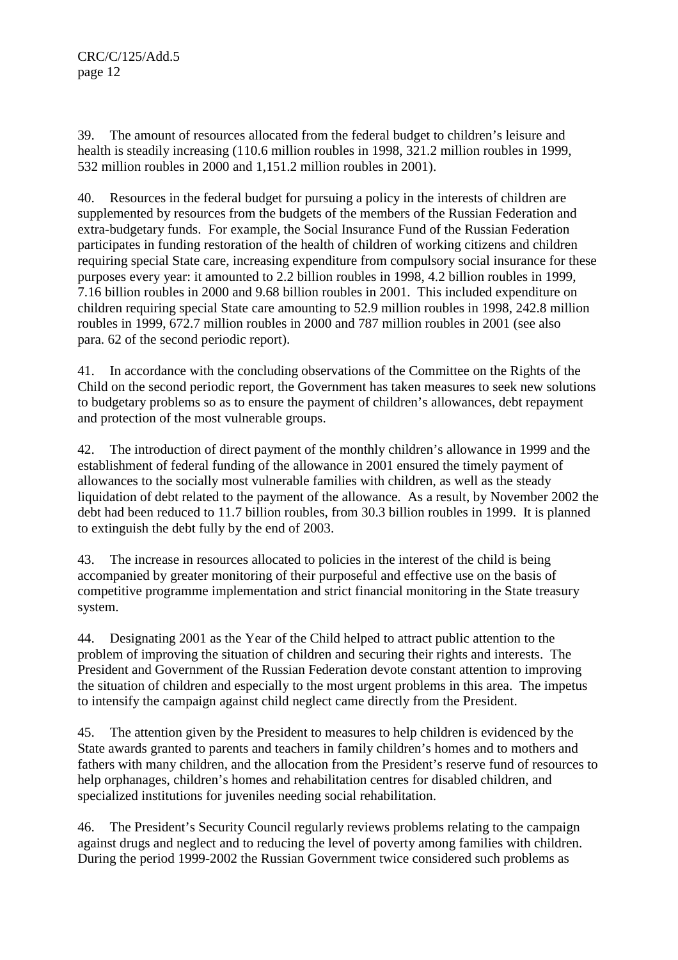39. The amount of resources allocated from the federal budget to children's leisure and health is steadily increasing (110.6 million roubles in 1998, 321.2 million roubles in 1999, 532 million roubles in 2000 and 1,151.2 million roubles in 2001).

40. Resources in the federal budget for pursuing a policy in the interests of children are supplemented by resources from the budgets of the members of the Russian Federation and extra-budgetary funds. For example, the Social Insurance Fund of the Russian Federation participates in funding restoration of the health of children of working citizens and children requiring special State care, increasing expenditure from compulsory social insurance for these purposes every year: it amounted to 2.2 billion roubles in 1998, 4.2 billion roubles in 1999, 7.16 billion roubles in 2000 and 9.68 billion roubles in 2001. This included expenditure on children requiring special State care amounting to 52.9 million roubles in 1998, 242.8 million roubles in 1999, 672.7 million roubles in 2000 and 787 million roubles in 2001 (see also para. 62 of the second periodic report).

41. In accordance with the concluding observations of the Committee on the Rights of the Child on the second periodic report, the Government has taken measures to seek new solutions to budgetary problems so as to ensure the payment of children's allowances, debt repayment and protection of the most vulnerable groups.

42. The introduction of direct payment of the monthly children's allowance in 1999 and the establishment of federal funding of the allowance in 2001 ensured the timely payment of allowances to the socially most vulnerable families with children, as well as the steady liquidation of debt related to the payment of the allowance. As a result, by November 2002 the debt had been reduced to 11.7 billion roubles, from 30.3 billion roubles in 1999. It is planned to extinguish the debt fully by the end of 2003.

43. The increase in resources allocated to policies in the interest of the child is being accompanied by greater monitoring of their purposeful and effective use on the basis of competitive programme implementation and strict financial monitoring in the State treasury system.

44. Designating 2001 as the Year of the Child helped to attract public attention to the problem of improving the situation of children and securing their rights and interests. The President and Government of the Russian Federation devote constant attention to improving the situation of children and especially to the most urgent problems in this area. The impetus to intensify the campaign against child neglect came directly from the President.

45. The attention given by the President to measures to help children is evidenced by the State awards granted to parents and teachers in family children's homes and to mothers and fathers with many children, and the allocation from the President's reserve fund of resources to help orphanages, children's homes and rehabilitation centres for disabled children, and specialized institutions for juveniles needing social rehabilitation.

46. The President's Security Council regularly reviews problems relating to the campaign against drugs and neglect and to reducing the level of poverty among families with children. During the period 1999-2002 the Russian Government twice considered such problems as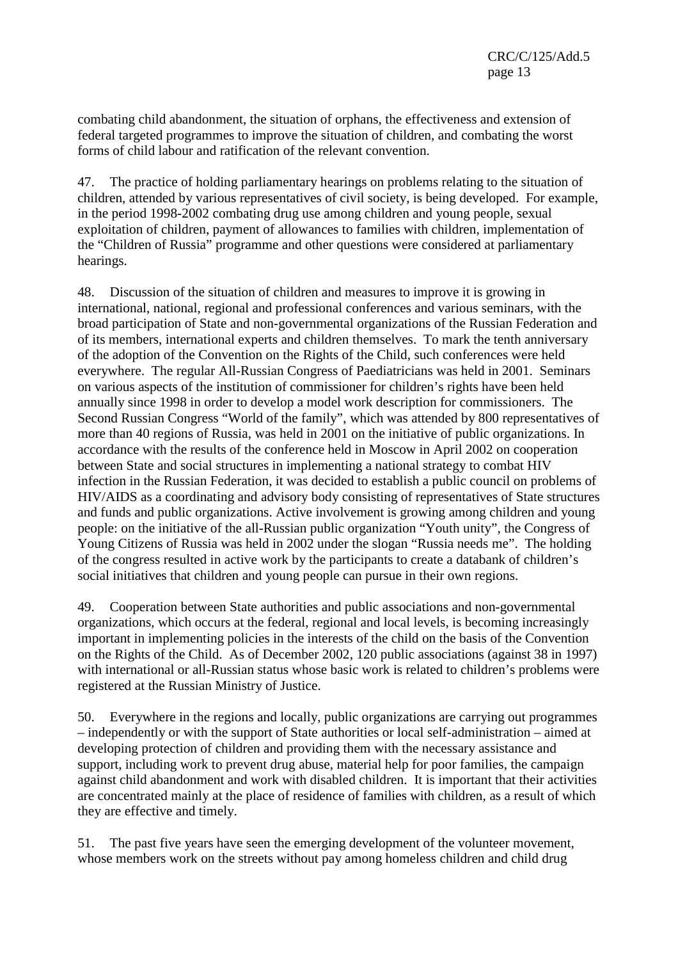combating child abandonment, the situation of orphans, the effectiveness and extension of federal targeted programmes to improve the situation of children, and combating the worst forms of child labour and ratification of the relevant convention.

47. The practice of holding parliamentary hearings on problems relating to the situation of children, attended by various representatives of civil society, is being developed. For example, in the period 1998-2002 combating drug use among children and young people, sexual exploitation of children, payment of allowances to families with children, implementation of the "Children of Russia" programme and other questions were considered at parliamentary hearings.

48. Discussion of the situation of children and measures to improve it is growing in international, national, regional and professional conferences and various seminars, with the broad participation of State and non-governmental organizations of the Russian Federation and of its members, international experts and children themselves. To mark the tenth anniversary of the adoption of the Convention on the Rights of the Child, such conferences were held everywhere. The regular All-Russian Congress of Paediatricians was held in 2001. Seminars on various aspects of the institution of commissioner for children's rights have been held annually since 1998 in order to develop a model work description for commissioners. The Second Russian Congress "World of the family", which was attended by 800 representatives of more than 40 regions of Russia, was held in 2001 on the initiative of public organizations. In accordance with the results of the conference held in Moscow in April 2002 on cooperation between State and social structures in implementing a national strategy to combat HIV infection in the Russian Federation, it was decided to establish a public council on problems of HIV/AIDS as a coordinating and advisory body consisting of representatives of State structures and funds and public organizations. Active involvement is growing among children and young people: on the initiative of the all-Russian public organization "Youth unity", the Congress of Young Citizens of Russia was held in 2002 under the slogan "Russia needs me". The holding of the congress resulted in active work by the participants to create a databank of children's social initiatives that children and young people can pursue in their own regions.

49. Cooperation between State authorities and public associations and non-governmental organizations, which occurs at the federal, regional and local levels, is becoming increasingly important in implementing policies in the interests of the child on the basis of the Convention on the Rights of the Child. As of December 2002, 120 public associations (against 38 in 1997) with international or all-Russian status whose basic work is related to children's problems were registered at the Russian Ministry of Justice.

50. Everywhere in the regions and locally, public organizations are carrying out programmes – independently or with the support of State authorities or local self-administration – aimed at developing protection of children and providing them with the necessary assistance and support, including work to prevent drug abuse, material help for poor families, the campaign against child abandonment and work with disabled children. It is important that their activities are concentrated mainly at the place of residence of families with children, as a result of which they are effective and timely.

51. The past five years have seen the emerging development of the volunteer movement, whose members work on the streets without pay among homeless children and child drug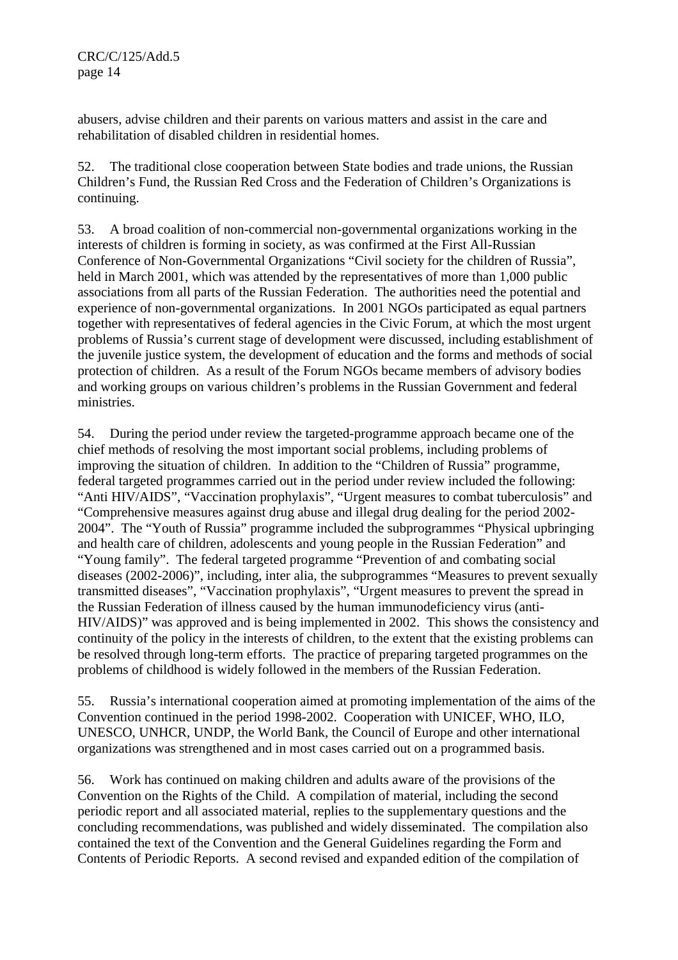abusers, advise children and their parents on various matters and assist in the care and rehabilitation of disabled children in residential homes.

52. The traditional close cooperation between State bodies and trade unions, the Russian Children's Fund, the Russian Red Cross and the Federation of Children's Organizations is continuing.

53. A broad coalition of non-commercial non-governmental organizations working in the interests of children is forming in society, as was confirmed at the First All-Russian Conference of Non-Governmental Organizations "Civil society for the children of Russia", held in March 2001, which was attended by the representatives of more than 1,000 public associations from all parts of the Russian Federation. The authorities need the potential and experience of non-governmental organizations. In 2001 NGOs participated as equal partners together with representatives of federal agencies in the Civic Forum, at which the most urgent problems of Russia's current stage of development were discussed, including establishment of the juvenile justice system, the development of education and the forms and methods of social protection of children. As a result of the Forum NGOs became members of advisory bodies and working groups on various children's problems in the Russian Government and federal ministries.

54. During the period under review the targeted-programme approach became one of the chief methods of resolving the most important social problems, including problems of improving the situation of children. In addition to the "Children of Russia" programme, federal targeted programmes carried out in the period under review included the following: "Anti HIV/AIDS", "Vaccination prophylaxis", "Urgent measures to combat tuberculosis" and "Comprehensive measures against drug abuse and illegal drug dealing for the period 2002- 2004". The "Youth of Russia" programme included the subprogrammes "Physical upbringing and health care of children, adolescents and young people in the Russian Federation" and "Young family". The federal targeted programme "Prevention of and combating social diseases (2002-2006)", including, inter alia, the subprogrammes "Measures to prevent sexually transmitted diseases", "Vaccination prophylaxis", "Urgent measures to prevent the spread in the Russian Federation of illness caused by the human immunodeficiency virus (anti-HIV/AIDS)" was approved and is being implemented in 2002. This shows the consistency and continuity of the policy in the interests of children, to the extent that the existing problems can be resolved through long-term efforts. The practice of preparing targeted programmes on the problems of childhood is widely followed in the members of the Russian Federation.

55. Russia's international cooperation aimed at promoting implementation of the aims of the Convention continued in the period 1998-2002. Cooperation with UNICEF, WHO, ILO, UNESCO, UNHCR, UNDP, the World Bank, the Council of Europe and other international organizations was strengthened and in most cases carried out on a programmed basis.

56. Work has continued on making children and adults aware of the provisions of the Convention on the Rights of the Child. A compilation of material, including the second periodic report and all associated material, replies to the supplementary questions and the concluding recommendations, was published and widely disseminated. The compilation also contained the text of the Convention and the General Guidelines regarding the Form and Contents of Periodic Reports. A second revised and expanded edition of the compilation of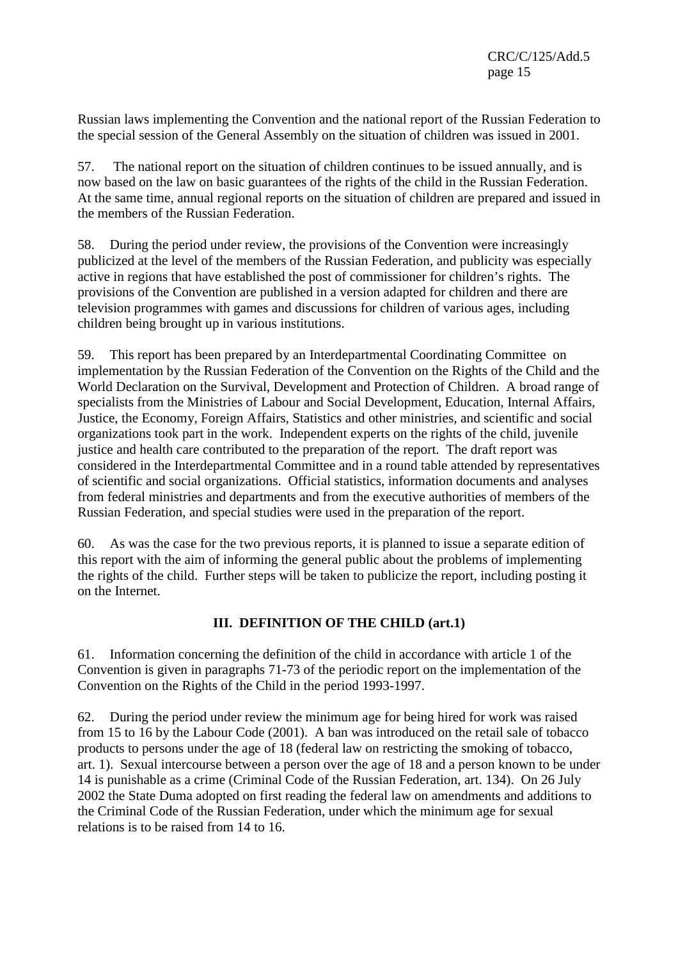Russian laws implementing the Convention and the national report of the Russian Federation to the special session of the General Assembly on the situation of children was issued in 2001.

57. The national report on the situation of children continues to be issued annually, and is now based on the law on basic guarantees of the rights of the child in the Russian Federation. At the same time, annual regional reports on the situation of children are prepared and issued in the members of the Russian Federation.

58. During the period under review, the provisions of the Convention were increasingly publicized at the level of the members of the Russian Federation, and publicity was especially active in regions that have established the post of commissioner for children's rights. The provisions of the Convention are published in a version adapted for children and there are television programmes with games and discussions for children of various ages, including children being brought up in various institutions.

This report has been prepared by an Interdepartmental Coordinating Committee on implementation by the Russian Federation of the Convention on the Rights of the Child and the World Declaration on the Survival, Development and Protection of Children. A broad range of specialists from the Ministries of Labour and Social Development, Education, Internal Affairs, Justice, the Economy, Foreign Affairs, Statistics and other ministries, and scientific and social organizations took part in the work. Independent experts on the rights of the child, juvenile justice and health care contributed to the preparation of the report. The draft report was considered in the Interdepartmental Committee and in a round table attended by representatives of scientific and social organizations. Official statistics, information documents and analyses from federal ministries and departments and from the executive authorities of members of the Russian Federation, and special studies were used in the preparation of the report.

60. As was the case for the two previous reports, it is planned to issue a separate edition of this report with the aim of informing the general public about the problems of implementing the rights of the child. Further steps will be taken to publicize the report, including posting it on the Internet.

# **III. DEFINITION OF THE CHILD (art.1)**

61. Information concerning the definition of the child in accordance with article 1 of the Convention is given in paragraphs 71-73 of the periodic report on the implementation of the Convention on the Rights of the Child in the period 1993-1997.

62. During the period under review the minimum age for being hired for work was raised from 15 to 16 by the Labour Code (2001). A ban was introduced on the retail sale of tobacco products to persons under the age of 18 (federal law on restricting the smoking of tobacco, art. 1). Sexual intercourse between a person over the age of 18 and a person known to be under 14 is punishable as a crime (Criminal Code of the Russian Federation, art. 134). On 26 July 2002 the State Duma adopted on first reading the federal law on amendments and additions to the Criminal Code of the Russian Federation, under which the minimum age for sexual relations is to be raised from 14 to 16.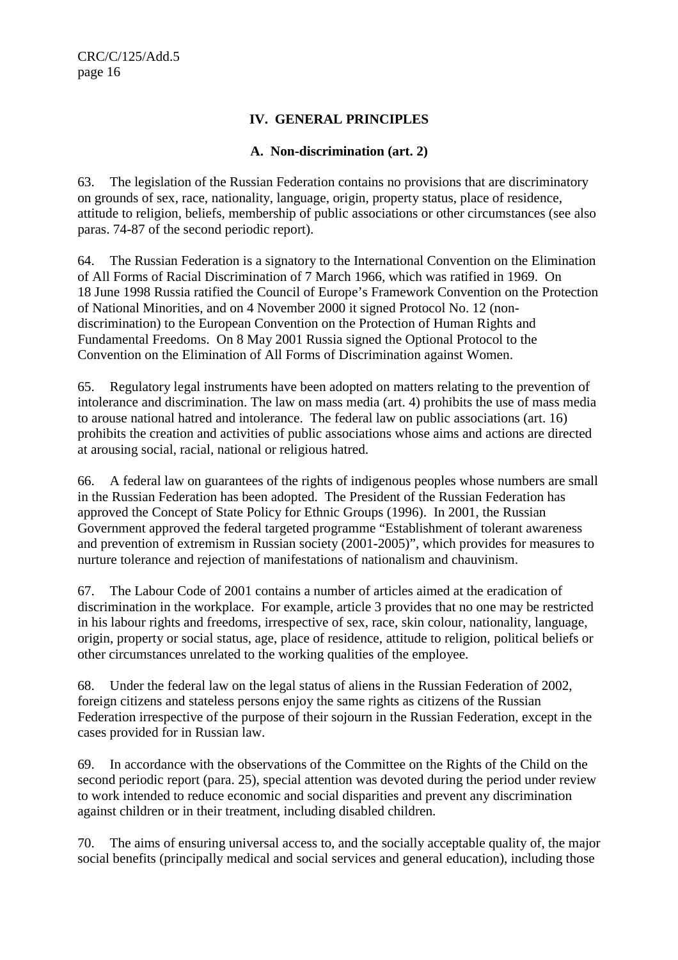## **IV. GENERAL PRINCIPLES**

## **A. Non-discrimination (art. 2)**

63. The legislation of the Russian Federation contains no provisions that are discriminatory on grounds of sex, race, nationality, language, origin, property status, place of residence, attitude to religion, beliefs, membership of public associations or other circumstances (see also paras. 74-87 of the second periodic report).

64. The Russian Federation is a signatory to the International Convention on the Elimination of All Forms of Racial Discrimination of 7 March 1966, which was ratified in 1969. On 18 June 1998 Russia ratified the Council of Europe's Framework Convention on the Protection of National Minorities, and on 4 November 2000 it signed Protocol No. 12 (nondiscrimination) to the European Convention on the Protection of Human Rights and Fundamental Freedoms. On 8 May 2001 Russia signed the Optional Protocol to the Convention on the Elimination of All Forms of Discrimination against Women.

65. Regulatory legal instruments have been adopted on matters relating to the prevention of intolerance and discrimination. The law on mass media (art. 4) prohibits the use of mass media to arouse national hatred and intolerance. The federal law on public associations (art. 16) prohibits the creation and activities of public associations whose aims and actions are directed at arousing social, racial, national or religious hatred.

66. A federal law on guarantees of the rights of indigenous peoples whose numbers are small in the Russian Federation has been adopted. The President of the Russian Federation has approved the Concept of State Policy for Ethnic Groups (1996). In 2001, the Russian Government approved the federal targeted programme "Establishment of tolerant awareness and prevention of extremism in Russian society (2001-2005)", which provides for measures to nurture tolerance and rejection of manifestations of nationalism and chauvinism.

67. The Labour Code of 2001 contains a number of articles aimed at the eradication of discrimination in the workplace. For example, article 3 provides that no one may be restricted in his labour rights and freedoms, irrespective of sex, race, skin colour, nationality, language, origin, property or social status, age, place of residence, attitude to religion, political beliefs or other circumstances unrelated to the working qualities of the employee.

68. Under the federal law on the legal status of aliens in the Russian Federation of 2002, foreign citizens and stateless persons enjoy the same rights as citizens of the Russian Federation irrespective of the purpose of their sojourn in the Russian Federation, except in the cases provided for in Russian law.

69. In accordance with the observations of the Committee on the Rights of the Child on the second periodic report (para. 25), special attention was devoted during the period under review to work intended to reduce economic and social disparities and prevent any discrimination against children or in their treatment, including disabled children.

70. The aims of ensuring universal access to, and the socially acceptable quality of, the major social benefits (principally medical and social services and general education), including those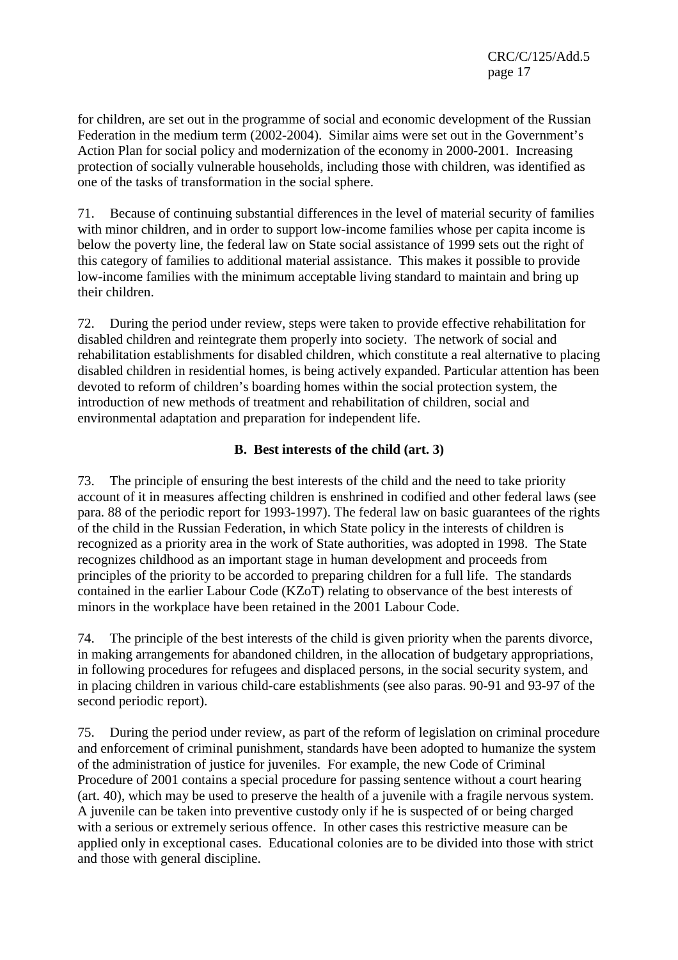for children, are set out in the programme of social and economic development of the Russian Federation in the medium term (2002-2004). Similar aims were set out in the Government's Action Plan for social policy and modernization of the economy in 2000-2001. Increasing protection of socially vulnerable households, including those with children, was identified as one of the tasks of transformation in the social sphere.

71. Because of continuing substantial differences in the level of material security of families with minor children, and in order to support low-income families whose per capita income is below the poverty line, the federal law on State social assistance of 1999 sets out the right of this category of families to additional material assistance. This makes it possible to provide low-income families with the minimum acceptable living standard to maintain and bring up their children.

72. During the period under review, steps were taken to provide effective rehabilitation for disabled children and reintegrate them properly into society. The network of social and rehabilitation establishments for disabled children, which constitute a real alternative to placing disabled children in residential homes, is being actively expanded. Particular attention has been devoted to reform of children's boarding homes within the social protection system, the introduction of new methods of treatment and rehabilitation of children, social and environmental adaptation and preparation for independent life.

# **B. Best interests of the child (art. 3)**

73. The principle of ensuring the best interests of the child and the need to take priority account of it in measures affecting children is enshrined in codified and other federal laws (see para. 88 of the periodic report for 1993-1997). The federal law on basic guarantees of the rights of the child in the Russian Federation, in which State policy in the interests of children is recognized as a priority area in the work of State authorities, was adopted in 1998. The State recognizes childhood as an important stage in human development and proceeds from principles of the priority to be accorded to preparing children for a full life. The standards contained in the earlier Labour Code (KZoT) relating to observance of the best interests of minors in the workplace have been retained in the 2001 Labour Code.

74. The principle of the best interests of the child is given priority when the parents divorce, in making arrangements for abandoned children, in the allocation of budgetary appropriations, in following procedures for refugees and displaced persons, in the social security system, and in placing children in various child-care establishments (see also paras. 90-91 and 93-97 of the second periodic report).

75. During the period under review, as part of the reform of legislation on criminal procedure and enforcement of criminal punishment, standards have been adopted to humanize the system of the administration of justice for juveniles. For example, the new Code of Criminal Procedure of 2001 contains a special procedure for passing sentence without a court hearing (art. 40), which may be used to preserve the health of a juvenile with a fragile nervous system. A juvenile can be taken into preventive custody only if he is suspected of or being charged with a serious or extremely serious offence. In other cases this restrictive measure can be applied only in exceptional cases. Educational colonies are to be divided into those with strict and those with general discipline.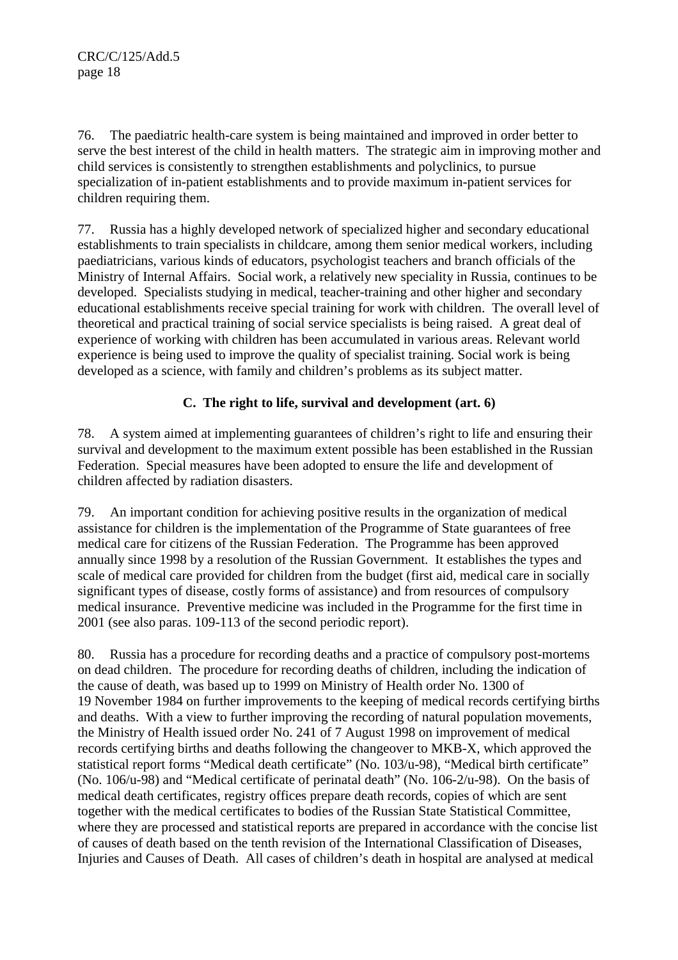76. The paediatric health-care system is being maintained and improved in order better to serve the best interest of the child in health matters. The strategic aim in improving mother and child services is consistently to strengthen establishments and polyclinics, to pursue specialization of in-patient establishments and to provide maximum in-patient services for children requiring them.

77. Russia has a highly developed network of specialized higher and secondary educational establishments to train specialists in childcare, among them senior medical workers, including paediatricians, various kinds of educators, psychologist teachers and branch officials of the Ministry of Internal Affairs. Social work, a relatively new speciality in Russia, continues to be developed. Specialists studying in medical, teacher-training and other higher and secondary educational establishments receive special training for work with children. The overall level of theoretical and practical training of social service specialists is being raised. A great deal of experience of working with children has been accumulated in various areas. Relevant world experience is being used to improve the quality of specialist training. Social work is being developed as a science, with family and children's problems as its subject matter.

# **C. The right to life, survival and development (art. 6)**

78. A system aimed at implementing guarantees of children's right to life and ensuring their survival and development to the maximum extent possible has been established in the Russian Federation. Special measures have been adopted to ensure the life and development of children affected by radiation disasters.

79. An important condition for achieving positive results in the organization of medical assistance for children is the implementation of the Programme of State guarantees of free medical care for citizens of the Russian Federation. The Programme has been approved annually since 1998 by a resolution of the Russian Government. It establishes the types and scale of medical care provided for children from the budget (first aid, medical care in socially significant types of disease, costly forms of assistance) and from resources of compulsory medical insurance. Preventive medicine was included in the Programme for the first time in 2001 (see also paras. 109-113 of the second periodic report).

80. Russia has a procedure for recording deaths and a practice of compulsory post-mortems on dead children. The procedure for recording deaths of children, including the indication of the cause of death, was based up to 1999 on Ministry of Health order No. 1300 of 19 November 1984 on further improvements to the keeping of medical records certifying births and deaths. With a view to further improving the recording of natural population movements, the Ministry of Health issued order No. 241 of 7 August 1998 on improvement of medical records certifying births and deaths following the changeover to MKB-X, which approved the statistical report forms "Medical death certificate" (No. 103/u-98), "Medical birth certificate" (No. 106/u-98) and "Medical certificate of perinatal death" (No. 106-2/u-98). On the basis of medical death certificates, registry offices prepare death records, copies of which are sent together with the medical certificates to bodies of the Russian State Statistical Committee, where they are processed and statistical reports are prepared in accordance with the concise list of causes of death based on the tenth revision of the International Classification of Diseases, Injuries and Causes of Death. All cases of children's death in hospital are analysed at medical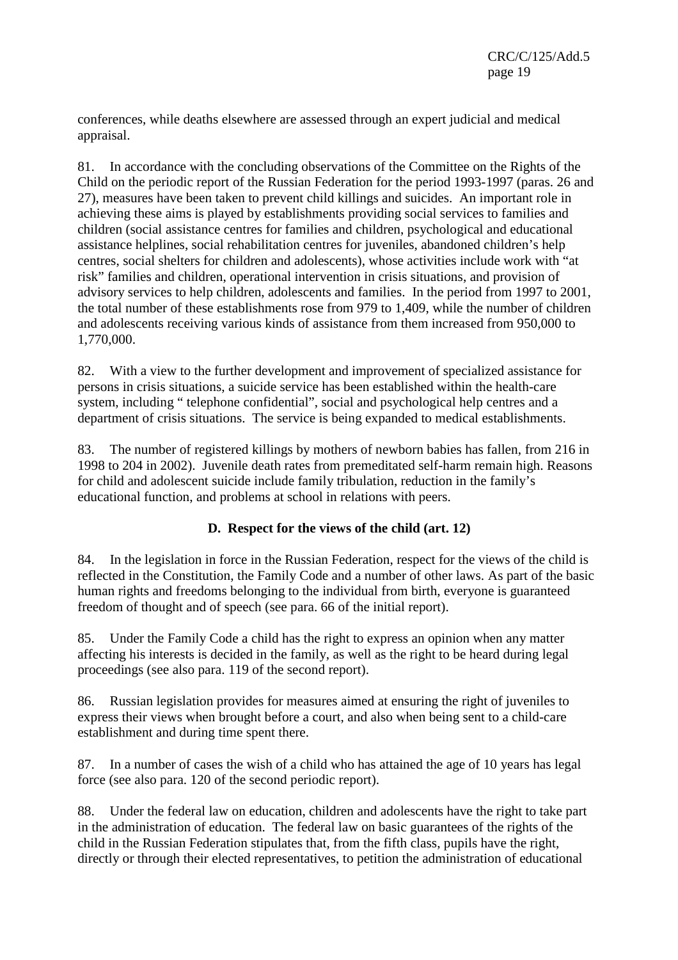conferences, while deaths elsewhere are assessed through an expert judicial and medical appraisal.

81. In accordance with the concluding observations of the Committee on the Rights of the Child on the periodic report of the Russian Federation for the period 1993-1997 (paras. 26 and 27), measures have been taken to prevent child killings and suicides. An important role in achieving these aims is played by establishments providing social services to families and children (social assistance centres for families and children, psychological and educational assistance helplines, social rehabilitation centres for juveniles, abandoned children's help centres, social shelters for children and adolescents), whose activities include work with "at risk" families and children, operational intervention in crisis situations, and provision of advisory services to help children, adolescents and families. In the period from 1997 to 2001, the total number of these establishments rose from 979 to 1,409, while the number of children and adolescents receiving various kinds of assistance from them increased from 950,000 to 1,770,000.

82. With a view to the further development and improvement of specialized assistance for persons in crisis situations, a suicide service has been established within the health-care system, including " telephone confidential", social and psychological help centres and a department of crisis situations. The service is being expanded to medical establishments.

83. The number of registered killings by mothers of newborn babies has fallen, from 216 in 1998 to 204 in 2002). Juvenile death rates from premeditated self-harm remain high. Reasons for child and adolescent suicide include family tribulation, reduction in the family's educational function, and problems at school in relations with peers.

#### **D. Respect for the views of the child (art. 12)**

84. In the legislation in force in the Russian Federation, respect for the views of the child is reflected in the Constitution, the Family Code and a number of other laws. As part of the basic human rights and freedoms belonging to the individual from birth, everyone is guaranteed freedom of thought and of speech (see para. 66 of the initial report).

85. Under the Family Code a child has the right to express an opinion when any matter affecting his interests is decided in the family, as well as the right to be heard during legal proceedings (see also para. 119 of the second report).

86. Russian legislation provides for measures aimed at ensuring the right of juveniles to express their views when brought before a court, and also when being sent to a child-care establishment and during time spent there.

87. In a number of cases the wish of a child who has attained the age of 10 years has legal force (see also para. 120 of the second periodic report).

88. Under the federal law on education, children and adolescents have the right to take part in the administration of education. The federal law on basic guarantees of the rights of the child in the Russian Federation stipulates that, from the fifth class, pupils have the right, directly or through their elected representatives, to petition the administration of educational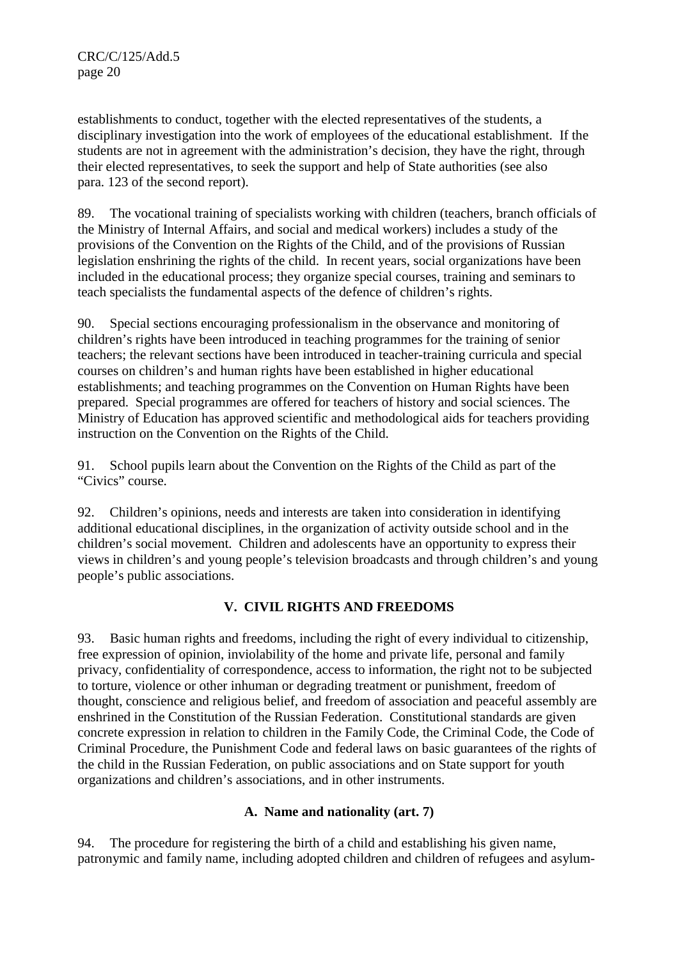establishments to conduct, together with the elected representatives of the students, a disciplinary investigation into the work of employees of the educational establishment. If the students are not in agreement with the administration's decision, they have the right, through their elected representatives, to seek the support and help of State authorities (see also para. 123 of the second report).

89. The vocational training of specialists working with children (teachers, branch officials of the Ministry of Internal Affairs, and social and medical workers) includes a study of the provisions of the Convention on the Rights of the Child, and of the provisions of Russian legislation enshrining the rights of the child. In recent years, social organizations have been included in the educational process; they organize special courses, training and seminars to teach specialists the fundamental aspects of the defence of children's rights.

90. Special sections encouraging professionalism in the observance and monitoring of children's rights have been introduced in teaching programmes for the training of senior teachers; the relevant sections have been introduced in teacher-training curricula and special courses on children's and human rights have been established in higher educational establishments; and teaching programmes on the Convention on Human Rights have been prepared. Special programmes are offered for teachers of history and social sciences. The Ministry of Education has approved scientific and methodological aids for teachers providing instruction on the Convention on the Rights of the Child.

91. School pupils learn about the Convention on the Rights of the Child as part of the "Civics" course.

92. Children's opinions, needs and interests are taken into consideration in identifying additional educational disciplines, in the organization of activity outside school and in the children's social movement. Children and adolescents have an opportunity to express their views in children's and young people's television broadcasts and through children's and young people's public associations.

# **V. CIVIL RIGHTS AND FREEDOMS**

93. Basic human rights and freedoms, including the right of every individual to citizenship, free expression of opinion, inviolability of the home and private life, personal and family privacy, confidentiality of correspondence, access to information, the right not to be subjected to torture, violence or other inhuman or degrading treatment or punishment, freedom of thought, conscience and religious belief, and freedom of association and peaceful assembly are enshrined in the Constitution of the Russian Federation. Constitutional standards are given concrete expression in relation to children in the Family Code, the Criminal Code, the Code of Criminal Procedure, the Punishment Code and federal laws on basic guarantees of the rights of the child in the Russian Federation, on public associations and on State support for youth organizations and children's associations, and in other instruments.

# **A. Name and nationality (art. 7)**

94. The procedure for registering the birth of a child and establishing his given name, patronymic and family name, including adopted children and children of refugees and asylum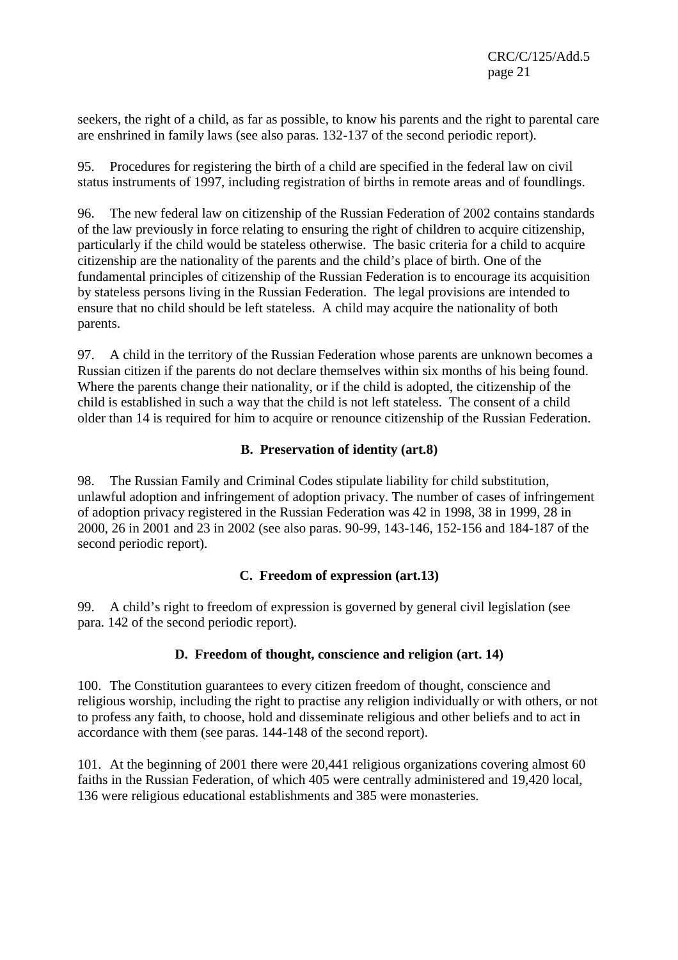seekers, the right of a child, as far as possible, to know his parents and the right to parental care are enshrined in family laws (see also paras. 132-137 of the second periodic report).

95. Procedures for registering the birth of a child are specified in the federal law on civil status instruments of 1997, including registration of births in remote areas and of foundlings.

96. The new federal law on citizenship of the Russian Federation of 2002 contains standards of the law previously in force relating to ensuring the right of children to acquire citizenship, particularly if the child would be stateless otherwise. The basic criteria for a child to acquire citizenship are the nationality of the parents and the child's place of birth. One of the fundamental principles of citizenship of the Russian Federation is to encourage its acquisition by stateless persons living in the Russian Federation. The legal provisions are intended to ensure that no child should be left stateless. A child may acquire the nationality of both parents.

97. A child in the territory of the Russian Federation whose parents are unknown becomes a Russian citizen if the parents do not declare themselves within six months of his being found. Where the parents change their nationality, or if the child is adopted, the citizenship of the child is established in such a way that the child is not left stateless. The consent of a child older than 14 is required for him to acquire or renounce citizenship of the Russian Federation.

# **B. Preservation of identity (art.8)**

98. The Russian Family and Criminal Codes stipulate liability for child substitution, unlawful adoption and infringement of adoption privacy. The number of cases of infringement of adoption privacy registered in the Russian Federation was 42 in 1998, 38 in 1999, 28 in 2000, 26 in 2001 and 23 in 2002 (see also paras. 90-99, 143-146, 152-156 and 184-187 of the second periodic report).

#### **C. Freedom of expression (art.13)**

99. A child's right to freedom of expression is governed by general civil legislation (see para. 142 of the second periodic report).

#### **D. Freedom of thought, conscience and religion (art. 14)**

100. The Constitution guarantees to every citizen freedom of thought, conscience and religious worship, including the right to practise any religion individually or with others, or not to profess any faith, to choose, hold and disseminate religious and other beliefs and to act in accordance with them (see paras. 144-148 of the second report).

101. At the beginning of 2001 there were 20,441 religious organizations covering almost 60 faiths in the Russian Federation, of which 405 were centrally administered and 19,420 local, 136 were religious educational establishments and 385 were monasteries.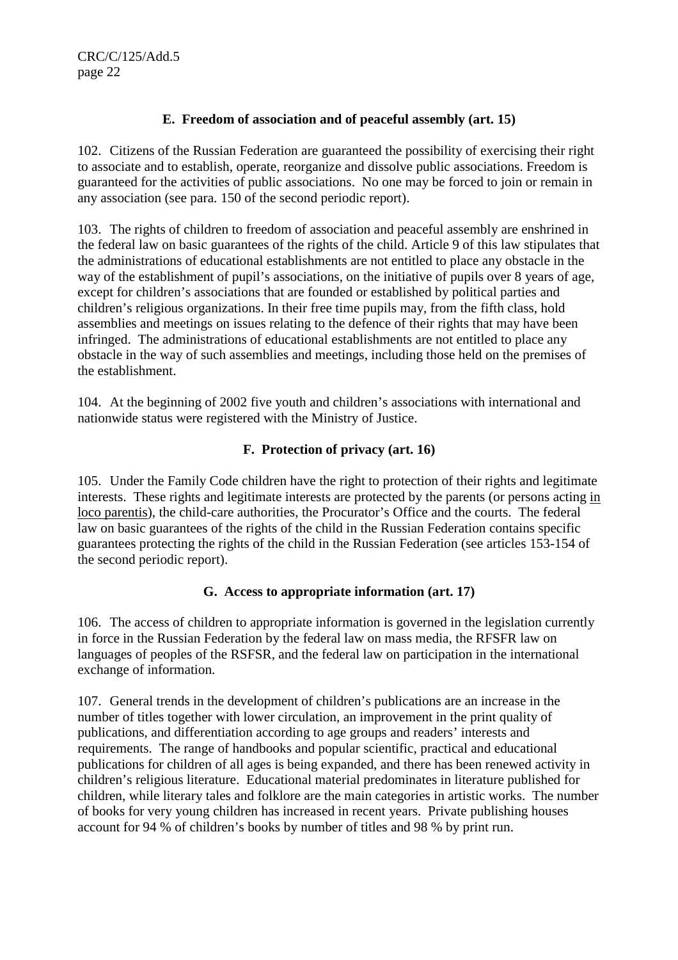## **E. Freedom of association and of peaceful assembly (art. 15)**

102. Citizens of the Russian Federation are guaranteed the possibility of exercising their right to associate and to establish, operate, reorganize and dissolve public associations. Freedom is guaranteed for the activities of public associations. No one may be forced to join or remain in any association (see para. 150 of the second periodic report).

103. The rights of children to freedom of association and peaceful assembly are enshrined in the federal law on basic guarantees of the rights of the child. Article 9 of this law stipulates that the administrations of educational establishments are not entitled to place any obstacle in the way of the establishment of pupil's associations, on the initiative of pupils over 8 years of age, except for children's associations that are founded or established by political parties and children's religious organizations. In their free time pupils may, from the fifth class, hold assemblies and meetings on issues relating to the defence of their rights that may have been infringed. The administrations of educational establishments are not entitled to place any obstacle in the way of such assemblies and meetings, including those held on the premises of the establishment.

104. At the beginning of 2002 five youth and children's associations with international and nationwide status were registered with the Ministry of Justice.

# **F. Protection of privacy (art. 16)**

105. Under the Family Code children have the right to protection of their rights and legitimate interests. These rights and legitimate interests are protected by the parents (or persons acting in loco parentis), the child-care authorities, the Procurator's Office and the courts. The federal law on basic guarantees of the rights of the child in the Russian Federation contains specific guarantees protecting the rights of the child in the Russian Federation (see articles 153-154 of the second periodic report).

#### **G. Access to appropriate information (art. 17)**

106. The access of children to appropriate information is governed in the legislation currently in force in the Russian Federation by the federal law on mass media, the RFSFR law on languages of peoples of the RSFSR, and the federal law on participation in the international exchange of information.

107. General trends in the development of children's publications are an increase in the number of titles together with lower circulation, an improvement in the print quality of publications, and differentiation according to age groups and readers' interests and requirements. The range of handbooks and popular scientific, practical and educational publications for children of all ages is being expanded, and there has been renewed activity in children's religious literature. Educational material predominates in literature published for children, while literary tales and folklore are the main categories in artistic works. The number of books for very young children has increased in recent years. Private publishing houses account for 94 % of children's books by number of titles and 98 % by print run.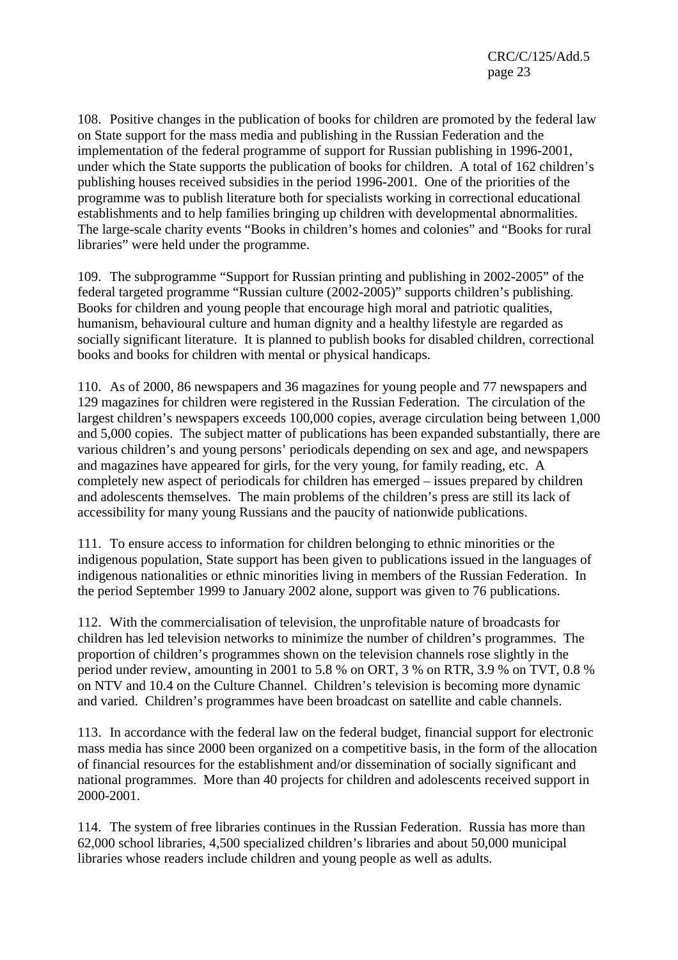CRC/C/125/Add.5 page 23

108. Positive changes in the publication of books for children are promoted by the federal law on State support for the mass media and publishing in the Russian Federation and the implementation of the federal programme of support for Russian publishing in 1996-2001, under which the State supports the publication of books for children. A total of 162 children's publishing houses received subsidies in the period 1996-2001. One of the priorities of the programme was to publish literature both for specialists working in correctional educational establishments and to help families bringing up children with developmental abnormalities. The large-scale charity events "Books in children's homes and colonies" and "Books for rural libraries" were held under the programme.

109. The subprogramme "Support for Russian printing and publishing in 2002-2005" of the federal targeted programme "Russian culture (2002-2005)" supports children's publishing. Books for children and young people that encourage high moral and patriotic qualities, humanism, behavioural culture and human dignity and a healthy lifestyle are regarded as socially significant literature. It is planned to publish books for disabled children, correctional books and books for children with mental or physical handicaps.

110. As of 2000, 86 newspapers and 36 magazines for young people and 77 newspapers and 129 magazines for children were registered in the Russian Federation. The circulation of the largest children's newspapers exceeds 100,000 copies, average circulation being between 1,000 and 5,000 copies. The subject matter of publications has been expanded substantially, there are various children's and young persons' periodicals depending on sex and age, and newspapers and magazines have appeared for girls, for the very young, for family reading, etc. A completely new aspect of periodicals for children has emerged – issues prepared by children and adolescents themselves. The main problems of the children's press are still its lack of accessibility for many young Russians and the paucity of nationwide publications.

111. To ensure access to information for children belonging to ethnic minorities or the indigenous population, State support has been given to publications issued in the languages of indigenous nationalities or ethnic minorities living in members of the Russian Federation. In the period September 1999 to January 2002 alone, support was given to 76 publications.

112. With the commercialisation of television, the unprofitable nature of broadcasts for children has led television networks to minimize the number of children's programmes. The proportion of children's programmes shown on the television channels rose slightly in the period under review, amounting in 2001 to 5.8 % on ORT, 3 % on RTR, 3.9 % on TVT, 0.8 % on NTV and 10.4 on the Culture Channel. Children's television is becoming more dynamic and varied. Children's programmes have been broadcast on satellite and cable channels.

113. In accordance with the federal law on the federal budget, financial support for electronic mass media has since 2000 been organized on a competitive basis, in the form of the allocation of financial resources for the establishment and/or dissemination of socially significant and national programmes. More than 40 projects for children and adolescents received support in 2000-2001.

114. The system of free libraries continues in the Russian Federation. Russia has more than 62,000 school libraries, 4,500 specialized children's libraries and about 50,000 municipal libraries whose readers include children and young people as well as adults.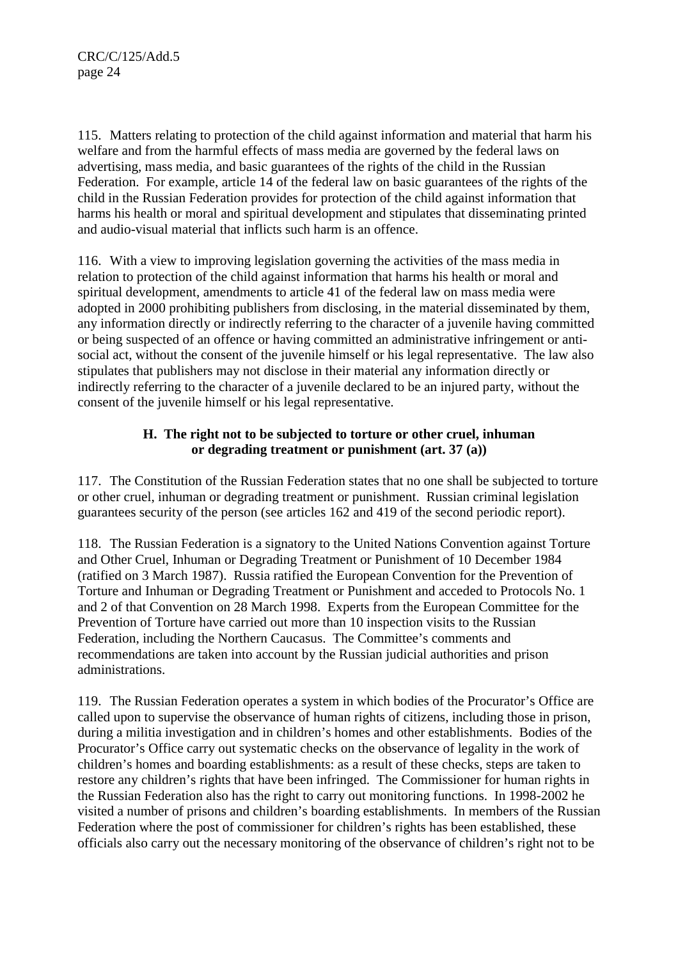115. Matters relating to protection of the child against information and material that harm his welfare and from the harmful effects of mass media are governed by the federal laws on advertising, mass media, and basic guarantees of the rights of the child in the Russian Federation. For example, article 14 of the federal law on basic guarantees of the rights of the child in the Russian Federation provides for protection of the child against information that harms his health or moral and spiritual development and stipulates that disseminating printed and audio-visual material that inflicts such harm is an offence.

116. With a view to improving legislation governing the activities of the mass media in relation to protection of the child against information that harms his health or moral and spiritual development, amendments to article 41 of the federal law on mass media were adopted in 2000 prohibiting publishers from disclosing, in the material disseminated by them, any information directly or indirectly referring to the character of a juvenile having committed or being suspected of an offence or having committed an administrative infringement or antisocial act, without the consent of the juvenile himself or his legal representative. The law also stipulates that publishers may not disclose in their material any information directly or indirectly referring to the character of a juvenile declared to be an injured party, without the consent of the juvenile himself or his legal representative.

## **H. The right not to be subjected to torture or other cruel, inhuman or degrading treatment or punishment (art. 37 (a))**

117. The Constitution of the Russian Federation states that no one shall be subjected to torture or other cruel, inhuman or degrading treatment or punishment. Russian criminal legislation guarantees security of the person (see articles 162 and 419 of the second periodic report).

118. The Russian Federation is a signatory to the United Nations Convention against Torture and Other Cruel, Inhuman or Degrading Treatment or Punishment of 10 December 1984 (ratified on 3 March 1987). Russia ratified the European Convention for the Prevention of Torture and Inhuman or Degrading Treatment or Punishment and acceded to Protocols No. 1 and 2 of that Convention on 28 March 1998. Experts from the European Committee for the Prevention of Torture have carried out more than 10 inspection visits to the Russian Federation, including the Northern Caucasus. The Committee's comments and recommendations are taken into account by the Russian judicial authorities and prison administrations.

119. The Russian Federation operates a system in which bodies of the Procurator's Office are called upon to supervise the observance of human rights of citizens, including those in prison, during a militia investigation and in children's homes and other establishments. Bodies of the Procurator's Office carry out systematic checks on the observance of legality in the work of children's homes and boarding establishments: as a result of these checks, steps are taken to restore any children's rights that have been infringed. The Commissioner for human rights in the Russian Federation also has the right to carry out monitoring functions. In 1998-2002 he visited a number of prisons and children's boarding establishments. In members of the Russian Federation where the post of commissioner for children's rights has been established, these officials also carry out the necessary monitoring of the observance of children's right not to be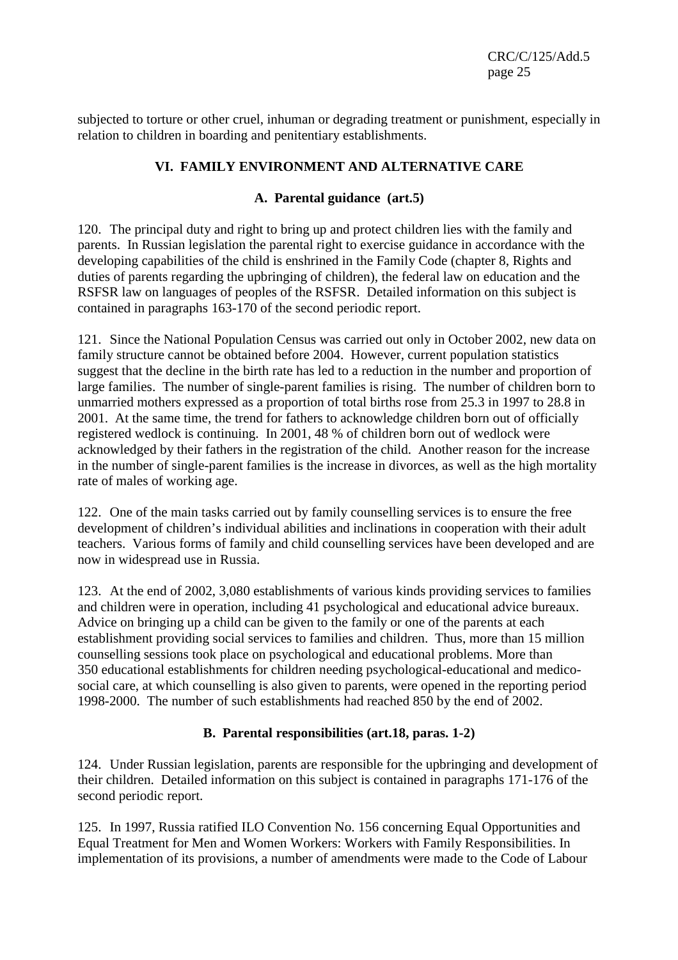CRC/C/125/Add.5 page 25

subjected to torture or other cruel, inhuman or degrading treatment or punishment, especially in relation to children in boarding and penitentiary establishments.

# **VI. FAMILY ENVIRONMENT AND ALTERNATIVE CARE**

#### **A. Parental guidance (art.5)**

120. The principal duty and right to bring up and protect children lies with the family and parents. In Russian legislation the parental right to exercise guidance in accordance with the developing capabilities of the child is enshrined in the Family Code (chapter 8, Rights and duties of parents regarding the upbringing of children), the federal law on education and the RSFSR law on languages of peoples of the RSFSR. Detailed information on this subject is contained in paragraphs 163-170 of the second periodic report.

121. Since the National Population Census was carried out only in October 2002, new data on family structure cannot be obtained before 2004. However, current population statistics suggest that the decline in the birth rate has led to a reduction in the number and proportion of large families. The number of single-parent families is rising. The number of children born to unmarried mothers expressed as a proportion of total births rose from 25.3 in 1997 to 28.8 in 2001. At the same time, the trend for fathers to acknowledge children born out of officially registered wedlock is continuing. In 2001, 48 % of children born out of wedlock were acknowledged by their fathers in the registration of the child. Another reason for the increase in the number of single-parent families is the increase in divorces, as well as the high mortality rate of males of working age.

122. One of the main tasks carried out by family counselling services is to ensure the free development of children's individual abilities and inclinations in cooperation with their adult teachers. Various forms of family and child counselling services have been developed and are now in widespread use in Russia.

123. At the end of 2002, 3,080 establishments of various kinds providing services to families and children were in operation, including 41 psychological and educational advice bureaux. Advice on bringing up a child can be given to the family or one of the parents at each establishment providing social services to families and children. Thus, more than 15 million counselling sessions took place on psychological and educational problems. More than 350 educational establishments for children needing psychological-educational and medicosocial care, at which counselling is also given to parents, were opened in the reporting period 1998-2000. The number of such establishments had reached 850 by the end of 2002.

#### **B. Parental responsibilities (art.18, paras. 1-2)**

124. Under Russian legislation, parents are responsible for the upbringing and development of their children. Detailed information on this subject is contained in paragraphs 171-176 of the second periodic report.

125. In 1997, Russia ratified ILO Convention No. 156 concerning Equal Opportunities and Equal Treatment for Men and Women Workers: Workers with Family Responsibilities. In implementation of its provisions, a number of amendments were made to the Code of Labour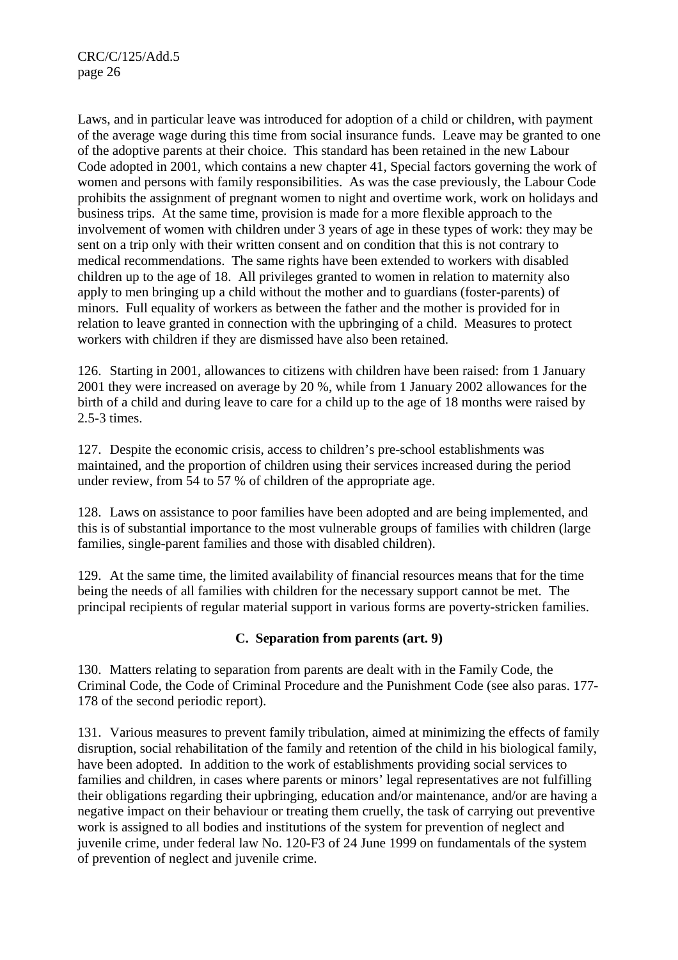CRC/C/125/Add.5 page 26

Laws, and in particular leave was introduced for adoption of a child or children, with payment of the average wage during this time from social insurance funds. Leave may be granted to one of the adoptive parents at their choice. This standard has been retained in the new Labour Code adopted in 2001, which contains a new chapter 41, Special factors governing the work of women and persons with family responsibilities. As was the case previously, the Labour Code prohibits the assignment of pregnant women to night and overtime work, work on holidays and business trips. At the same time, provision is made for a more flexible approach to the involvement of women with children under 3 years of age in these types of work: they may be sent on a trip only with their written consent and on condition that this is not contrary to medical recommendations. The same rights have been extended to workers with disabled children up to the age of 18. All privileges granted to women in relation to maternity also apply to men bringing up a child without the mother and to guardians (foster-parents) of minors. Full equality of workers as between the father and the mother is provided for in relation to leave granted in connection with the upbringing of a child. Measures to protect workers with children if they are dismissed have also been retained.

126. Starting in 2001, allowances to citizens with children have been raised: from 1 January 2001 they were increased on average by 20 %, while from 1 January 2002 allowances for the birth of a child and during leave to care for a child up to the age of 18 months were raised by 2.5-3 times.

127. Despite the economic crisis, access to children's pre-school establishments was maintained, and the proportion of children using their services increased during the period under review, from 54 to 57 % of children of the appropriate age.

128. Laws on assistance to poor families have been adopted and are being implemented, and this is of substantial importance to the most vulnerable groups of families with children (large families, single-parent families and those with disabled children).

129. At the same time, the limited availability of financial resources means that for the time being the needs of all families with children for the necessary support cannot be met. The principal recipients of regular material support in various forms are poverty-stricken families.

#### **C. Separation from parents (art. 9)**

130. Matters relating to separation from parents are dealt with in the Family Code, the Criminal Code, the Code of Criminal Procedure and the Punishment Code (see also paras. 177- 178 of the second periodic report).

131. Various measures to prevent family tribulation, aimed at minimizing the effects of family disruption, social rehabilitation of the family and retention of the child in his biological family, have been adopted. In addition to the work of establishments providing social services to families and children, in cases where parents or minors' legal representatives are not fulfilling their obligations regarding their upbringing, education and/or maintenance, and/or are having a negative impact on their behaviour or treating them cruelly, the task of carrying out preventive work is assigned to all bodies and institutions of the system for prevention of neglect and juvenile crime, under federal law No. 120-F3 of 24 June 1999 on fundamentals of the system of prevention of neglect and juvenile crime.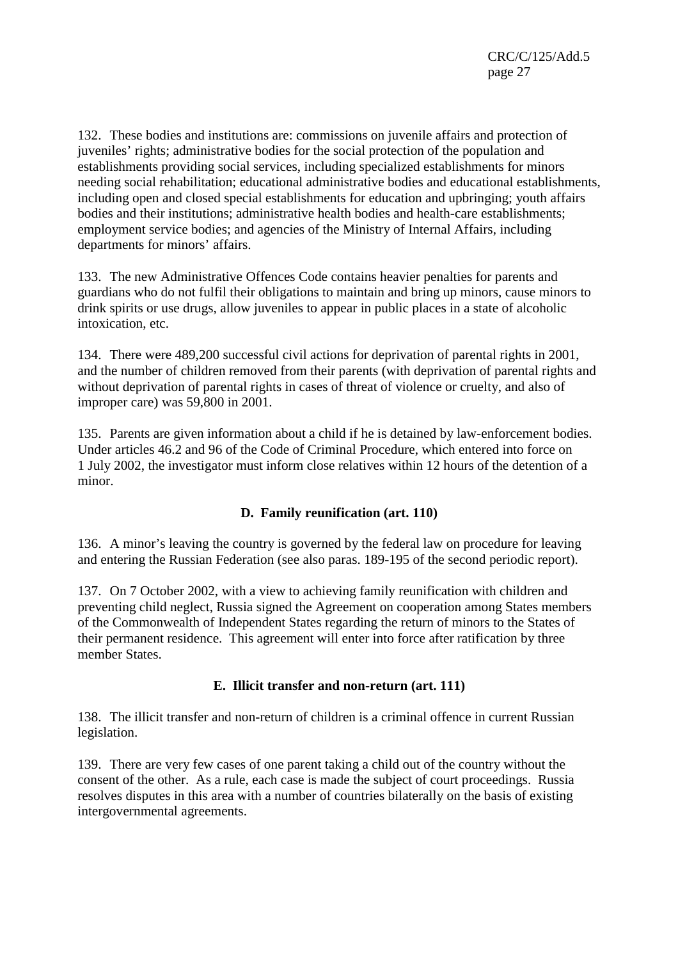132. These bodies and institutions are: commissions on juvenile affairs and protection of juveniles' rights; administrative bodies for the social protection of the population and establishments providing social services, including specialized establishments for minors needing social rehabilitation; educational administrative bodies and educational establishments, including open and closed special establishments for education and upbringing; youth affairs bodies and their institutions; administrative health bodies and health-care establishments; employment service bodies; and agencies of the Ministry of Internal Affairs, including departments for minors' affairs.

133. The new Administrative Offences Code contains heavier penalties for parents and guardians who do not fulfil their obligations to maintain and bring up minors, cause minors to drink spirits or use drugs, allow juveniles to appear in public places in a state of alcoholic intoxication, etc.

134. There were 489,200 successful civil actions for deprivation of parental rights in 2001, and the number of children removed from their parents (with deprivation of parental rights and without deprivation of parental rights in cases of threat of violence or cruelty, and also of improper care) was 59,800 in 2001.

135. Parents are given information about a child if he is detained by law-enforcement bodies. Under articles 46.2 and 96 of the Code of Criminal Procedure, which entered into force on 1 July 2002, the investigator must inform close relatives within 12 hours of the detention of a minor.

# **D. Family reunification (art. 110)**

136. A minor's leaving the country is governed by the federal law on procedure for leaving and entering the Russian Federation (see also paras. 189-195 of the second periodic report).

137. On 7 October 2002, with a view to achieving family reunification with children and preventing child neglect, Russia signed the Agreement on cooperation among States members of the Commonwealth of Independent States regarding the return of minors to the States of their permanent residence. This agreement will enter into force after ratification by three member States.

#### **E. Illicit transfer and non-return (art. 111)**

138. The illicit transfer and non-return of children is a criminal offence in current Russian legislation.

139. There are very few cases of one parent taking a child out of the country without the consent of the other. As a rule, each case is made the subject of court proceedings. Russia resolves disputes in this area with a number of countries bilaterally on the basis of existing intergovernmental agreements.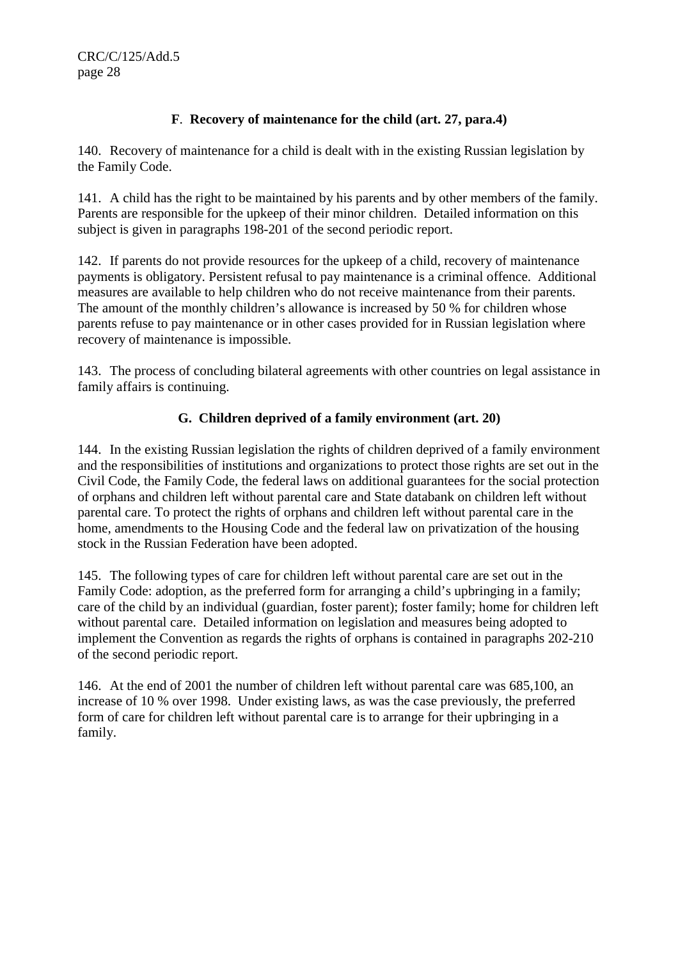# **F**. **Recovery of maintenance for the child (art. 27, para.4)**

140. Recovery of maintenance for a child is dealt with in the existing Russian legislation by the Family Code.

141. A child has the right to be maintained by his parents and by other members of the family. Parents are responsible for the upkeep of their minor children. Detailed information on this subject is given in paragraphs 198-201 of the second periodic report.

142. If parents do not provide resources for the upkeep of a child, recovery of maintenance payments is obligatory. Persistent refusal to pay maintenance is a criminal offence. Additional measures are available to help children who do not receive maintenance from their parents. The amount of the monthly children's allowance is increased by 50 % for children whose parents refuse to pay maintenance or in other cases provided for in Russian legislation where recovery of maintenance is impossible.

143. The process of concluding bilateral agreements with other countries on legal assistance in family affairs is continuing.

# **G. Children deprived of a family environment (art. 20)**

144. In the existing Russian legislation the rights of children deprived of a family environment and the responsibilities of institutions and organizations to protect those rights are set out in the Civil Code, the Family Code, the federal laws on additional guarantees for the social protection of orphans and children left without parental care and State databank on children left without parental care. To protect the rights of orphans and children left without parental care in the home, amendments to the Housing Code and the federal law on privatization of the housing stock in the Russian Federation have been adopted.

145. The following types of care for children left without parental care are set out in the Family Code: adoption, as the preferred form for arranging a child's upbringing in a family; care of the child by an individual (guardian, foster parent); foster family; home for children left without parental care. Detailed information on legislation and measures being adopted to implement the Convention as regards the rights of orphans is contained in paragraphs 202-210 of the second periodic report.

146. At the end of 2001 the number of children left without parental care was 685,100, an increase of 10 % over 1998. Under existing laws, as was the case previously, the preferred form of care for children left without parental care is to arrange for their upbringing in a family.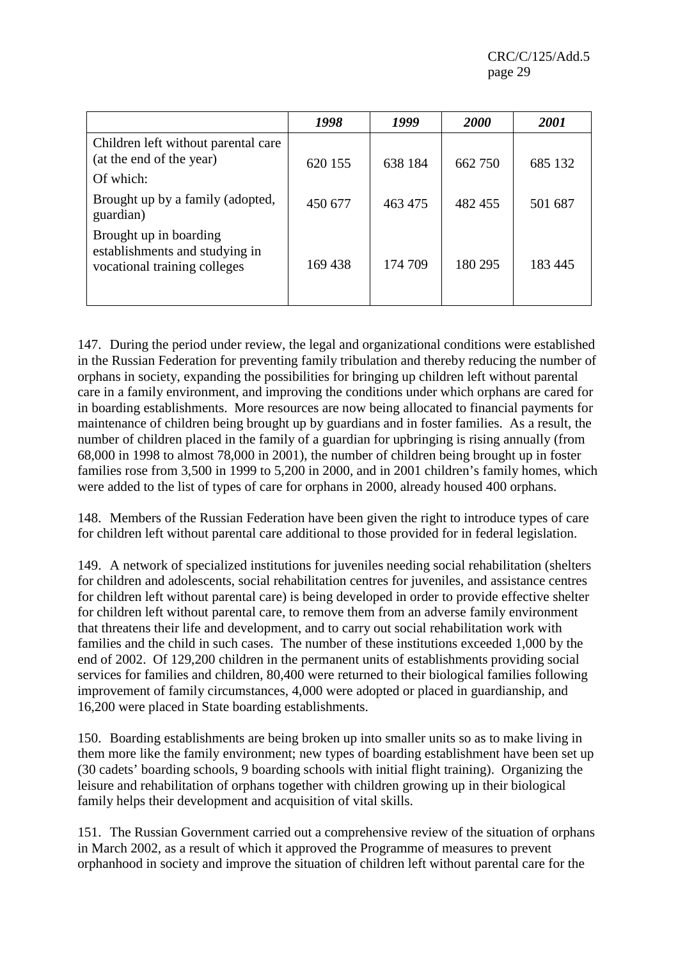CRC/C/125/Add.5 page 29

|                                                                                          | 1998    | 1999    | <b>2000</b> | <b>2001</b> |
|------------------------------------------------------------------------------------------|---------|---------|-------------|-------------|
| Children left without parental care<br>(at the end of the year)                          | 620 155 | 638 184 | 662 750     | 685 132     |
| Of which:                                                                                |         |         |             |             |
| Brought up by a family (adopted,<br>guardian)                                            | 450 677 | 463 475 | 482 455     | 501 687     |
| Brought up in boarding<br>establishments and studying in<br>vocational training colleges | 169 438 | 174 709 | 180 295     | 183 445     |

147. During the period under review, the legal and organizational conditions were established in the Russian Federation for preventing family tribulation and thereby reducing the number of orphans in society, expanding the possibilities for bringing up children left without parental care in a family environment, and improving the conditions under which orphans are cared for in boarding establishments. More resources are now being allocated to financial payments for maintenance of children being brought up by guardians and in foster families. As a result, the number of children placed in the family of a guardian for upbringing is rising annually (from 68,000 in 1998 to almost 78,000 in 2001), the number of children being brought up in foster families rose from 3,500 in 1999 to 5,200 in 2000, and in 2001 children's family homes, which were added to the list of types of care for orphans in 2000, already housed 400 orphans.

148. Members of the Russian Federation have been given the right to introduce types of care for children left without parental care additional to those provided for in federal legislation.

149. A network of specialized institutions for juveniles needing social rehabilitation (shelters for children and adolescents, social rehabilitation centres for juveniles, and assistance centres for children left without parental care) is being developed in order to provide effective shelter for children left without parental care, to remove them from an adverse family environment that threatens their life and development, and to carry out social rehabilitation work with families and the child in such cases. The number of these institutions exceeded 1,000 by the end of 2002. Of 129,200 children in the permanent units of establishments providing social services for families and children, 80,400 were returned to their biological families following improvement of family circumstances, 4,000 were adopted or placed in guardianship, and 16,200 were placed in State boarding establishments.

150. Boarding establishments are being broken up into smaller units so as to make living in them more like the family environment; new types of boarding establishment have been set up (30 cadets' boarding schools, 9 boarding schools with initial flight training). Organizing the leisure and rehabilitation of orphans together with children growing up in their biological family helps their development and acquisition of vital skills.

151. The Russian Government carried out a comprehensive review of the situation of orphans in March 2002, as a result of which it approved the Programme of measures to prevent orphanhood in society and improve the situation of children left without parental care for the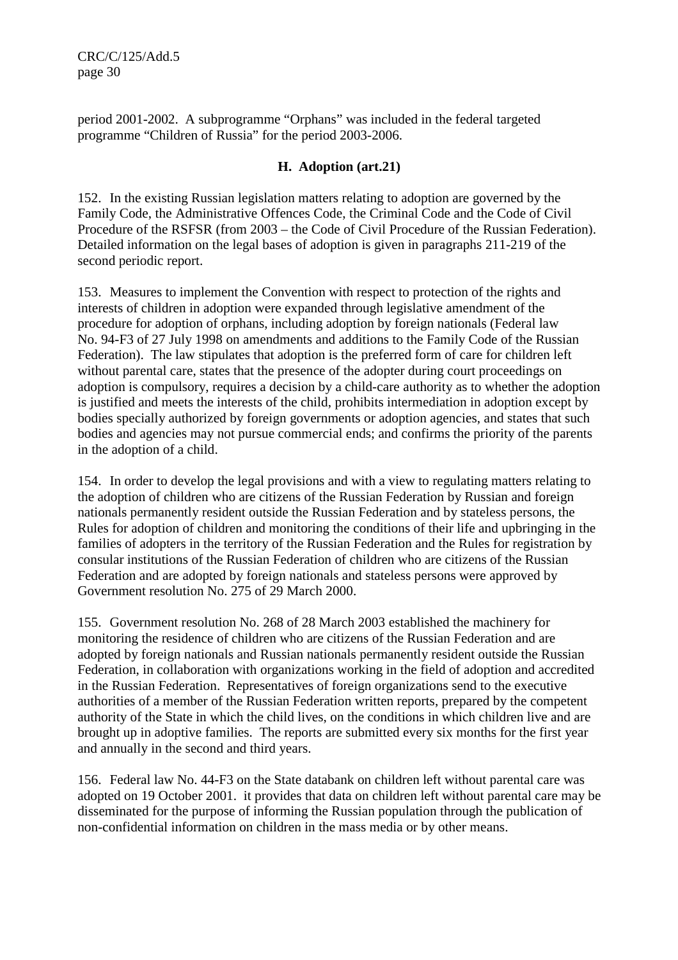CRC/C/125/Add.5 page 30

period 2001-2002. A subprogramme "Orphans" was included in the federal targeted programme "Children of Russia" for the period 2003-2006.

#### **H. Adoption (art.21)**

152. In the existing Russian legislation matters relating to adoption are governed by the Family Code, the Administrative Offences Code, the Criminal Code and the Code of Civil Procedure of the RSFSR (from 2003 – the Code of Civil Procedure of the Russian Federation). Detailed information on the legal bases of adoption is given in paragraphs 211-219 of the second periodic report.

153. Measures to implement the Convention with respect to protection of the rights and interests of children in adoption were expanded through legislative amendment of the procedure for adoption of orphans, including adoption by foreign nationals (Federal law No. 94-F3 of 27 July 1998 on amendments and additions to the Family Code of the Russian Federation). The law stipulates that adoption is the preferred form of care for children left without parental care, states that the presence of the adopter during court proceedings on adoption is compulsory, requires a decision by a child-care authority as to whether the adoption is justified and meets the interests of the child, prohibits intermediation in adoption except by bodies specially authorized by foreign governments or adoption agencies, and states that such bodies and agencies may not pursue commercial ends; and confirms the priority of the parents in the adoption of a child.

154. In order to develop the legal provisions and with a view to regulating matters relating to the adoption of children who are citizens of the Russian Federation by Russian and foreign nationals permanently resident outside the Russian Federation and by stateless persons, the Rules for adoption of children and monitoring the conditions of their life and upbringing in the families of adopters in the territory of the Russian Federation and the Rules for registration by consular institutions of the Russian Federation of children who are citizens of the Russian Federation and are adopted by foreign nationals and stateless persons were approved by Government resolution No. 275 of 29 March 2000.

155. Government resolution No. 268 of 28 March 2003 established the machinery for monitoring the residence of children who are citizens of the Russian Federation and are adopted by foreign nationals and Russian nationals permanently resident outside the Russian Federation, in collaboration with organizations working in the field of adoption and accredited in the Russian Federation. Representatives of foreign organizations send to the executive authorities of a member of the Russian Federation written reports, prepared by the competent authority of the State in which the child lives, on the conditions in which children live and are brought up in adoptive families. The reports are submitted every six months for the first year and annually in the second and third years.

156. Federal law No. 44-F3 on the State databank on children left without parental care was adopted on 19 October 2001. it provides that data on children left without parental care may be disseminated for the purpose of informing the Russian population through the publication of non-confidential information on children in the mass media or by other means.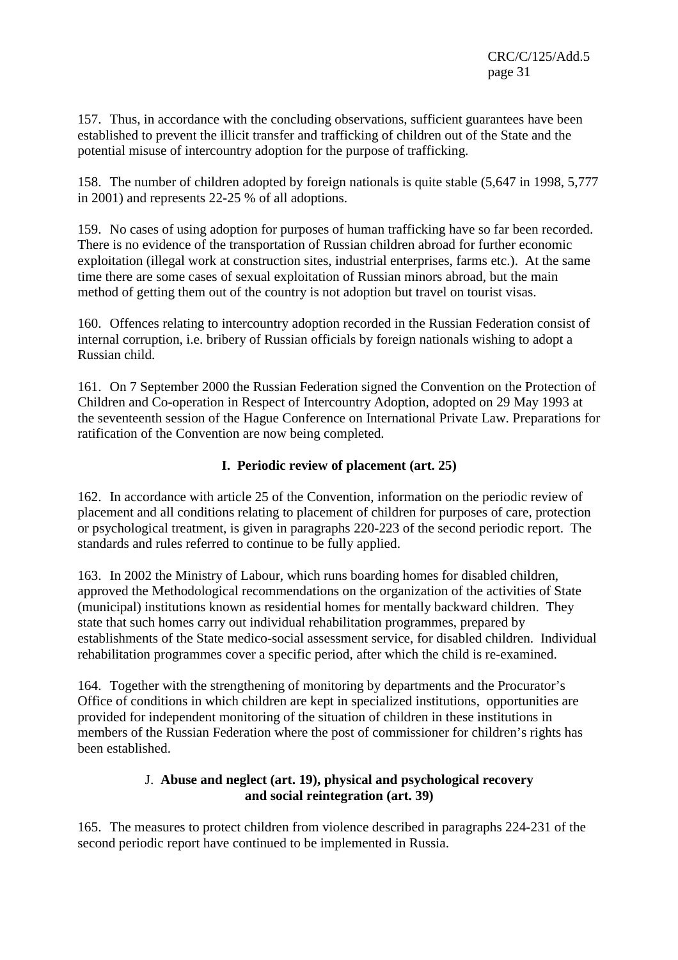157. Thus, in accordance with the concluding observations, sufficient guarantees have been established to prevent the illicit transfer and trafficking of children out of the State and the potential misuse of intercountry adoption for the purpose of trafficking.

158. The number of children adopted by foreign nationals is quite stable (5,647 in 1998, 5,777 in 2001) and represents 22-25 % of all adoptions.

159. No cases of using adoption for purposes of human trafficking have so far been recorded. There is no evidence of the transportation of Russian children abroad for further economic exploitation (illegal work at construction sites, industrial enterprises, farms etc.). At the same time there are some cases of sexual exploitation of Russian minors abroad, but the main method of getting them out of the country is not adoption but travel on tourist visas.

160. Offences relating to intercountry adoption recorded in the Russian Federation consist of internal corruption, i.e. bribery of Russian officials by foreign nationals wishing to adopt a Russian child.

161. On 7 September 2000 the Russian Federation signed the Convention on the Protection of Children and Co-operation in Respect of Intercountry Adoption, adopted on 29 May 1993 at the seventeenth session of the Hague Conference on International Private Law. Preparations for ratification of the Convention are now being completed.

# **I. Periodic review of placement (art. 25)**

162. In accordance with article 25 of the Convention, information on the periodic review of placement and all conditions relating to placement of children for purposes of care, protection or psychological treatment, is given in paragraphs 220-223 of the second periodic report. The standards and rules referred to continue to be fully applied.

163. In 2002 the Ministry of Labour, which runs boarding homes for disabled children, approved the Methodological recommendations on the organization of the activities of State (municipal) institutions known as residential homes for mentally backward children. They state that such homes carry out individual rehabilitation programmes, prepared by establishments of the State medico-social assessment service, for disabled children. Individual rehabilitation programmes cover a specific period, after which the child is re-examined.

164. Together with the strengthening of monitoring by departments and the Procurator's Office of conditions in which children are kept in specialized institutions, opportunities are provided for independent monitoring of the situation of children in these institutions in members of the Russian Federation where the post of commissioner for children's rights has been established.

#### J. **Abuse and neglect (art. 19), physical and psychological recovery and social reintegration (art. 39)**

165. The measures to protect children from violence described in paragraphs 224-231 of the second periodic report have continued to be implemented in Russia.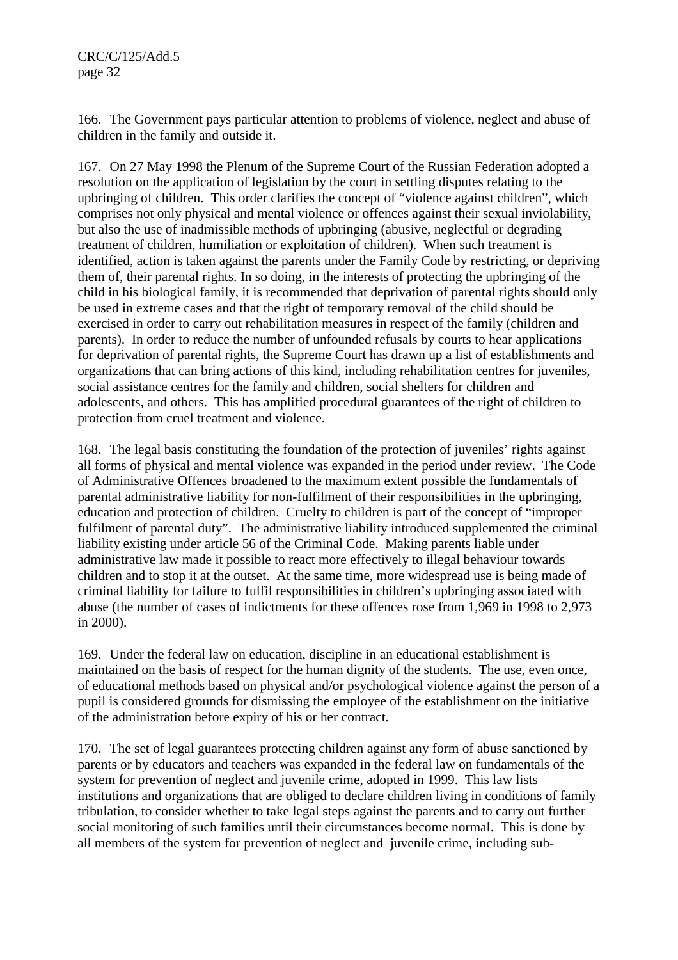CRC/C/125/Add.5 page 32

166. The Government pays particular attention to problems of violence, neglect and abuse of children in the family and outside it.

167. On 27 May 1998 the Plenum of the Supreme Court of the Russian Federation adopted a resolution on the application of legislation by the court in settling disputes relating to the upbringing of children. This order clarifies the concept of "violence against children", which comprises not only physical and mental violence or offences against their sexual inviolability, but also the use of inadmissible methods of upbringing (abusive, neglectful or degrading treatment of children, humiliation or exploitation of children). When such treatment is identified, action is taken against the parents under the Family Code by restricting, or depriving them of, their parental rights. In so doing, in the interests of protecting the upbringing of the child in his biological family, it is recommended that deprivation of parental rights should only be used in extreme cases and that the right of temporary removal of the child should be exercised in order to carry out rehabilitation measures in respect of the family (children and parents). In order to reduce the number of unfounded refusals by courts to hear applications for deprivation of parental rights, the Supreme Court has drawn up a list of establishments and organizations that can bring actions of this kind, including rehabilitation centres for juveniles, social assistance centres for the family and children, social shelters for children and adolescents, and others. This has amplified procedural guarantees of the right of children to protection from cruel treatment and violence.

168. The legal basis constituting the foundation of the protection of juveniles' rights against all forms of physical and mental violence was expanded in the period under review. The Code of Administrative Offences broadened to the maximum extent possible the fundamentals of parental administrative liability for non-fulfilment of their responsibilities in the upbringing, education and protection of children. Cruelty to children is part of the concept of "improper fulfilment of parental duty". The administrative liability introduced supplemented the criminal liability existing under article 56 of the Criminal Code. Making parents liable under administrative law made it possible to react more effectively to illegal behaviour towards children and to stop it at the outset. At the same time, more widespread use is being made of criminal liability for failure to fulfil responsibilities in children's upbringing associated with abuse (the number of cases of indictments for these offences rose from 1,969 in 1998 to 2,973 in 2000).

169. Under the federal law on education, discipline in an educational establishment is maintained on the basis of respect for the human dignity of the students. The use, even once, of educational methods based on physical and/or psychological violence against the person of a pupil is considered grounds for dismissing the employee of the establishment on the initiative of the administration before expiry of his or her contract.

170. The set of legal guarantees protecting children against any form of abuse sanctioned by parents or by educators and teachers was expanded in the federal law on fundamentals of the system for prevention of neglect and juvenile crime, adopted in 1999. This law lists institutions and organizations that are obliged to declare children living in conditions of family tribulation, to consider whether to take legal steps against the parents and to carry out further social monitoring of such families until their circumstances become normal. This is done by all members of the system for prevention of neglect and juvenile crime, including sub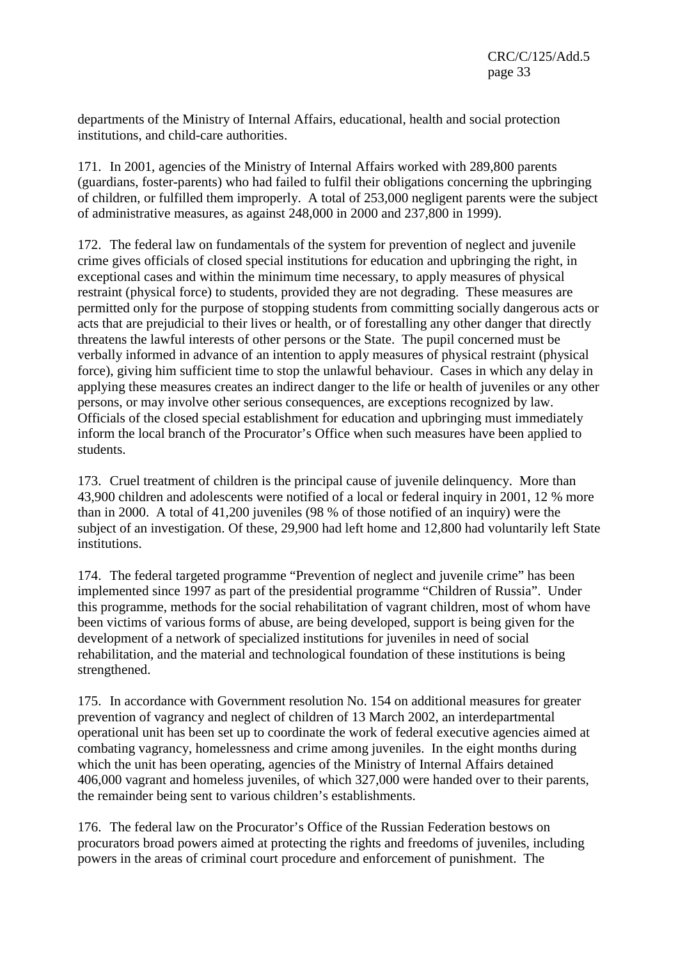departments of the Ministry of Internal Affairs, educational, health and social protection institutions, and child-care authorities.

171. In 2001, agencies of the Ministry of Internal Affairs worked with 289,800 parents (guardians, foster-parents) who had failed to fulfil their obligations concerning the upbringing of children, or fulfilled them improperly. A total of 253,000 negligent parents were the subject of administrative measures, as against 248,000 in 2000 and 237,800 in 1999).

172. The federal law on fundamentals of the system for prevention of neglect and juvenile crime gives officials of closed special institutions for education and upbringing the right, in exceptional cases and within the minimum time necessary, to apply measures of physical restraint (physical force) to students, provided they are not degrading. These measures are permitted only for the purpose of stopping students from committing socially dangerous acts or acts that are prejudicial to their lives or health, or of forestalling any other danger that directly threatens the lawful interests of other persons or the State. The pupil concerned must be verbally informed in advance of an intention to apply measures of physical restraint (physical force), giving him sufficient time to stop the unlawful behaviour. Cases in which any delay in applying these measures creates an indirect danger to the life or health of juveniles or any other persons, or may involve other serious consequences, are exceptions recognized by law. Officials of the closed special establishment for education and upbringing must immediately inform the local branch of the Procurator's Office when such measures have been applied to students.

173. Cruel treatment of children is the principal cause of juvenile delinquency. More than 43,900 children and adolescents were notified of a local or federal inquiry in 2001, 12 % more than in 2000. A total of 41,200 juveniles (98 % of those notified of an inquiry) were the subject of an investigation. Of these, 29,900 had left home and 12,800 had voluntarily left State institutions.

174. The federal targeted programme "Prevention of neglect and juvenile crime" has been implemented since 1997 as part of the presidential programme "Children of Russia". Under this programme, methods for the social rehabilitation of vagrant children, most of whom have been victims of various forms of abuse, are being developed, support is being given for the development of a network of specialized institutions for juveniles in need of social rehabilitation, and the material and technological foundation of these institutions is being strengthened.

175. In accordance with Government resolution No. 154 on additional measures for greater prevention of vagrancy and neglect of children of 13 March 2002, an interdepartmental operational unit has been set up to coordinate the work of federal executive agencies aimed at combating vagrancy, homelessness and crime among juveniles. In the eight months during which the unit has been operating, agencies of the Ministry of Internal Affairs detained 406,000 vagrant and homeless juveniles, of which 327,000 were handed over to their parents, the remainder being sent to various children's establishments.

176. The federal law on the Procurator's Office of the Russian Federation bestows on procurators broad powers aimed at protecting the rights and freedoms of juveniles, including powers in the areas of criminal court procedure and enforcement of punishment. The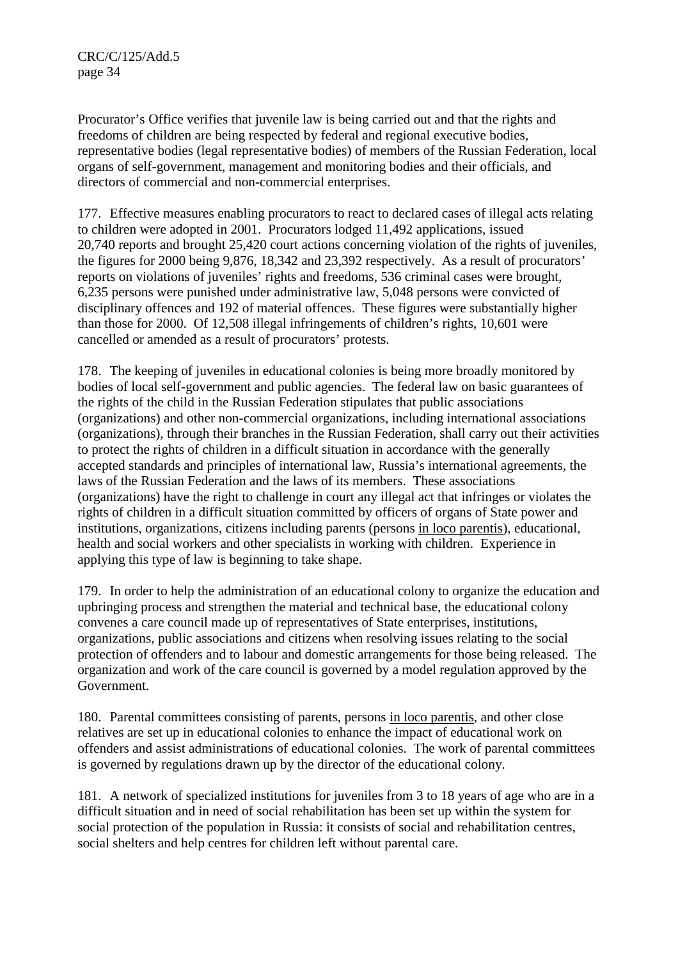Procurator's Office verifies that juvenile law is being carried out and that the rights and freedoms of children are being respected by federal and regional executive bodies, representative bodies (legal representative bodies) of members of the Russian Federation, local organs of self-government, management and monitoring bodies and their officials, and directors of commercial and non-commercial enterprises.

177. Effective measures enabling procurators to react to declared cases of illegal acts relating to children were adopted in 2001. Procurators lodged 11,492 applications, issued 20,740 reports and brought 25,420 court actions concerning violation of the rights of juveniles, the figures for 2000 being 9,876, 18,342 and 23,392 respectively. As a result of procurators' reports on violations of juveniles' rights and freedoms, 536 criminal cases were brought, 6,235 persons were punished under administrative law, 5,048 persons were convicted of disciplinary offences and 192 of material offences. These figures were substantially higher than those for 2000. Of 12,508 illegal infringements of children's rights, 10,601 were cancelled or amended as a result of procurators' protests.

178. The keeping of juveniles in educational colonies is being more broadly monitored by bodies of local self-government and public agencies. The federal law on basic guarantees of the rights of the child in the Russian Federation stipulates that public associations (organizations) and other non-commercial organizations, including international associations (organizations), through their branches in the Russian Federation, shall carry out their activities to protect the rights of children in a difficult situation in accordance with the generally accepted standards and principles of international law, Russia's international agreements, the laws of the Russian Federation and the laws of its members. These associations (organizations) have the right to challenge in court any illegal act that infringes or violates the rights of children in a difficult situation committed by officers of organs of State power and institutions, organizations, citizens including parents (persons in loco parentis), educational, health and social workers and other specialists in working with children. Experience in applying this type of law is beginning to take shape.

179. In order to help the administration of an educational colony to organize the education and upbringing process and strengthen the material and technical base, the educational colony convenes a care council made up of representatives of State enterprises, institutions, organizations, public associations and citizens when resolving issues relating to the social protection of offenders and to labour and domestic arrangements for those being released. The organization and work of the care council is governed by a model regulation approved by the Government.

180. Parental committees consisting of parents, persons in loco parentis, and other close relatives are set up in educational colonies to enhance the impact of educational work on offenders and assist administrations of educational colonies. The work of parental committees is governed by regulations drawn up by the director of the educational colony.

181. A network of specialized institutions for juveniles from 3 to 18 years of age who are in a difficult situation and in need of social rehabilitation has been set up within the system for social protection of the population in Russia: it consists of social and rehabilitation centres, social shelters and help centres for children left without parental care.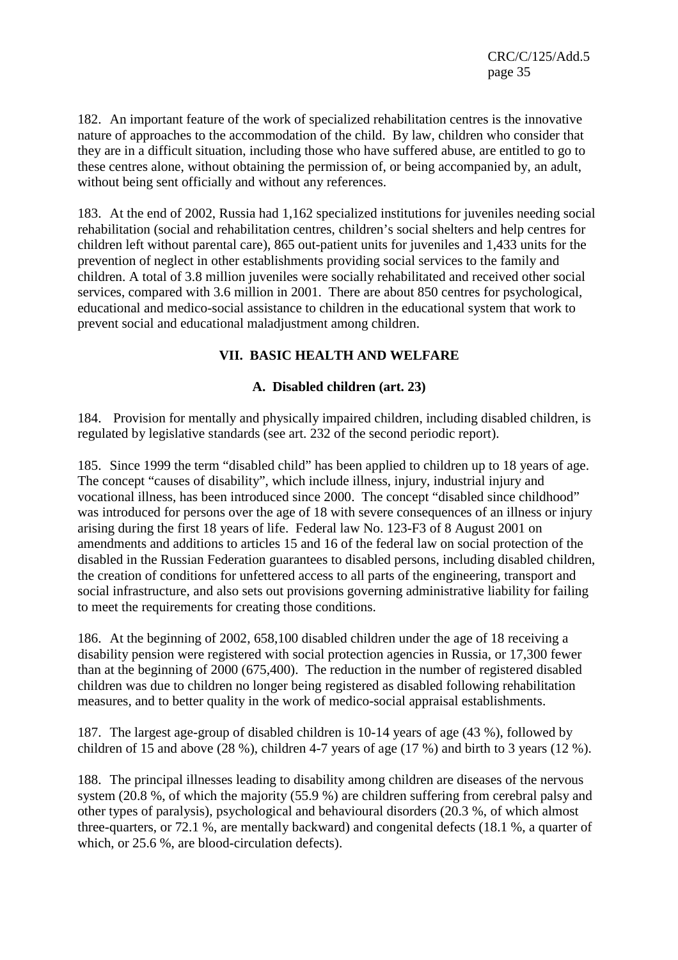182. An important feature of the work of specialized rehabilitation centres is the innovative nature of approaches to the accommodation of the child. By law, children who consider that they are in a difficult situation, including those who have suffered abuse, are entitled to go to these centres alone, without obtaining the permission of, or being accompanied by, an adult, without being sent officially and without any references.

183. At the end of 2002, Russia had 1,162 specialized institutions for juveniles needing social rehabilitation (social and rehabilitation centres, children's social shelters and help centres for children left without parental care), 865 out-patient units for juveniles and 1,433 units for the prevention of neglect in other establishments providing social services to the family and children. A total of 3.8 million juveniles were socially rehabilitated and received other social services, compared with 3.6 million in 2001. There are about 850 centres for psychological, educational and medico-social assistance to children in the educational system that work to prevent social and educational maladjustment among children.

# **VII. BASIC HEALTH AND WELFARE**

# **A. Disabled children (art. 23)**

184. Provision for mentally and physically impaired children, including disabled children, is regulated by legislative standards (see art. 232 of the second periodic report).

185. Since 1999 the term "disabled child" has been applied to children up to 18 years of age. The concept "causes of disability", which include illness, injury, industrial injury and vocational illness, has been introduced since 2000. The concept "disabled since childhood" was introduced for persons over the age of 18 with severe consequences of an illness or injury arising during the first 18 years of life. Federal law No. 123-F3 of 8 August 2001 on amendments and additions to articles 15 and 16 of the federal law on social protection of the disabled in the Russian Federation guarantees to disabled persons, including disabled children, the creation of conditions for unfettered access to all parts of the engineering, transport and social infrastructure, and also sets out provisions governing administrative liability for failing to meet the requirements for creating those conditions.

186. At the beginning of 2002, 658,100 disabled children under the age of 18 receiving a disability pension were registered with social protection agencies in Russia, or 17,300 fewer than at the beginning of 2000 (675,400). The reduction in the number of registered disabled children was due to children no longer being registered as disabled following rehabilitation measures, and to better quality in the work of medico-social appraisal establishments.

187. The largest age-group of disabled children is 10-14 years of age (43 %), followed by children of 15 and above (28 %), children 4-7 years of age (17 %) and birth to 3 years (12 %).

188. The principal illnesses leading to disability among children are diseases of the nervous system (20.8 %, of which the majority (55.9 %) are children suffering from cerebral palsy and other types of paralysis), psychological and behavioural disorders (20.3 %, of which almost three-quarters, or 72.1 %, are mentally backward) and congenital defects (18.1 %, a quarter of which, or 25.6 %, are blood-circulation defects).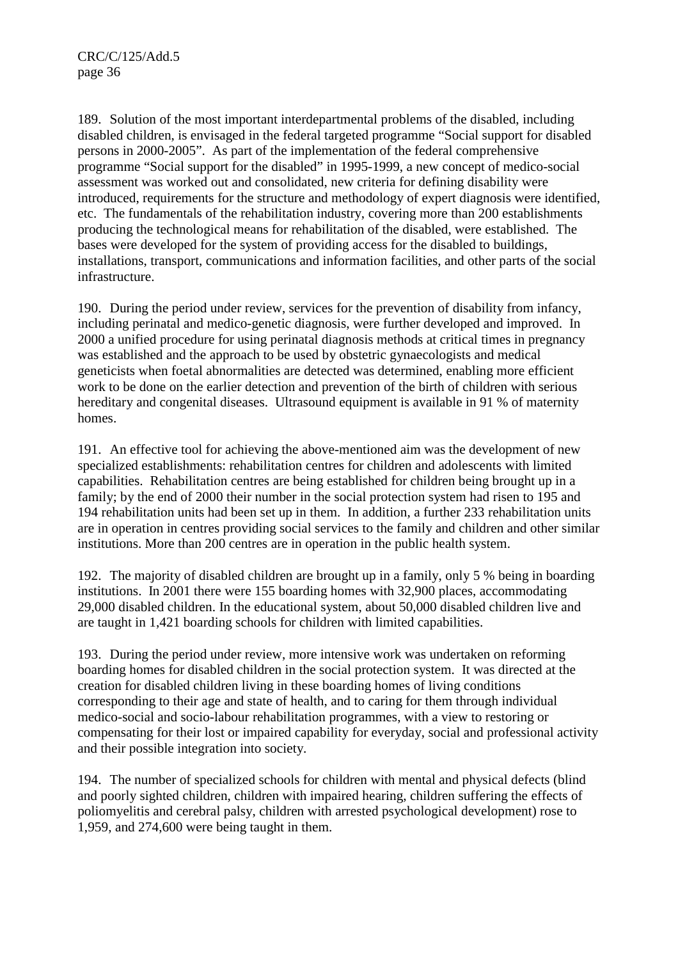189. Solution of the most important interdepartmental problems of the disabled, including disabled children, is envisaged in the federal targeted programme "Social support for disabled persons in 2000-2005". As part of the implementation of the federal comprehensive programme "Social support for the disabled" in 1995-1999, a new concept of medico-social assessment was worked out and consolidated, new criteria for defining disability were introduced, requirements for the structure and methodology of expert diagnosis were identified, etc. The fundamentals of the rehabilitation industry, covering more than 200 establishments producing the technological means for rehabilitation of the disabled, were established. The bases were developed for the system of providing access for the disabled to buildings, installations, transport, communications and information facilities, and other parts of the social infrastructure.

190. During the period under review, services for the prevention of disability from infancy, including perinatal and medico-genetic diagnosis, were further developed and improved. In 2000 a unified procedure for using perinatal diagnosis methods at critical times in pregnancy was established and the approach to be used by obstetric gynaecologists and medical geneticists when foetal abnormalities are detected was determined, enabling more efficient work to be done on the earlier detection and prevention of the birth of children with serious hereditary and congenital diseases. Ultrasound equipment is available in 91 % of maternity homes.

191. An effective tool for achieving the above-mentioned aim was the development of new specialized establishments: rehabilitation centres for children and adolescents with limited capabilities. Rehabilitation centres are being established for children being brought up in a family; by the end of 2000 their number in the social protection system had risen to 195 and 194 rehabilitation units had been set up in them. In addition, a further 233 rehabilitation units are in operation in centres providing social services to the family and children and other similar institutions. More than 200 centres are in operation in the public health system.

192. The majority of disabled children are brought up in a family, only 5 % being in boarding institutions. In 2001 there were 155 boarding homes with 32,900 places, accommodating 29,000 disabled children. In the educational system, about 50,000 disabled children live and are taught in 1,421 boarding schools for children with limited capabilities.

193. During the period under review, more intensive work was undertaken on reforming boarding homes for disabled children in the social protection system. It was directed at the creation for disabled children living in these boarding homes of living conditions corresponding to their age and state of health, and to caring for them through individual medico-social and socio-labour rehabilitation programmes, with a view to restoring or compensating for their lost or impaired capability for everyday, social and professional activity and their possible integration into society.

194. The number of specialized schools for children with mental and physical defects (blind and poorly sighted children, children with impaired hearing, children suffering the effects of poliomyelitis and cerebral palsy, children with arrested psychological development) rose to 1,959, and 274,600 were being taught in them.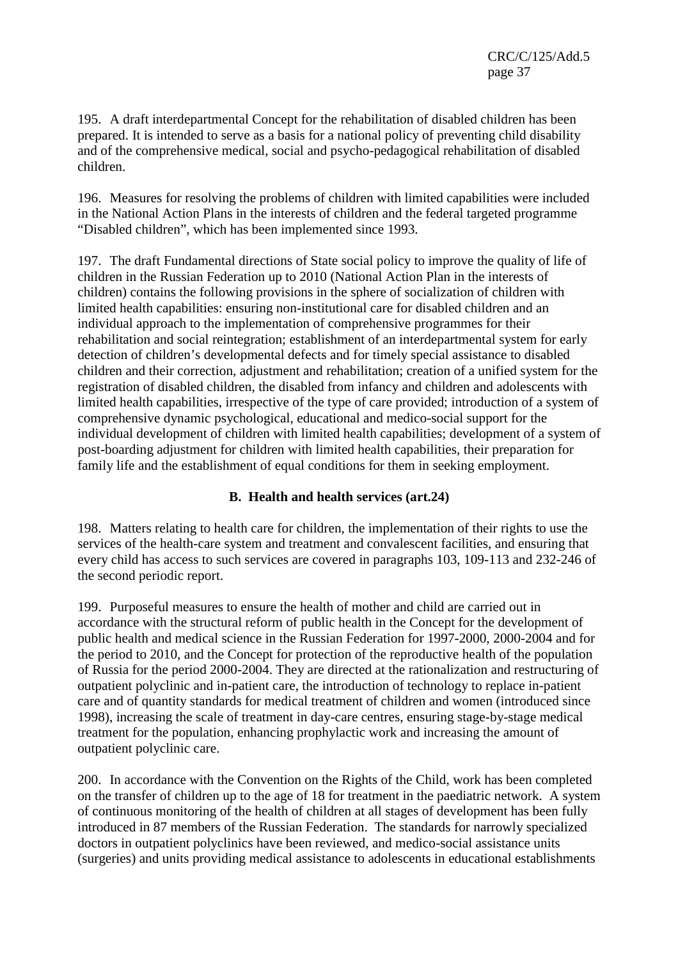195. A draft interdepartmental Concept for the rehabilitation of disabled children has been prepared. It is intended to serve as a basis for a national policy of preventing child disability and of the comprehensive medical, social and psycho-pedagogical rehabilitation of disabled children.

196. Measures for resolving the problems of children with limited capabilities were included in the National Action Plans in the interests of children and the federal targeted programme "Disabled children", which has been implemented since 1993.

197. The draft Fundamental directions of State social policy to improve the quality of life of children in the Russian Federation up to 2010 (National Action Plan in the interests of children) contains the following provisions in the sphere of socialization of children with limited health capabilities: ensuring non-institutional care for disabled children and an individual approach to the implementation of comprehensive programmes for their rehabilitation and social reintegration; establishment of an interdepartmental system for early detection of children's developmental defects and for timely special assistance to disabled children and their correction, adjustment and rehabilitation; creation of a unified system for the registration of disabled children, the disabled from infancy and children and adolescents with limited health capabilities, irrespective of the type of care provided; introduction of a system of comprehensive dynamic psychological, educational and medico-social support for the individual development of children with limited health capabilities; development of a system of post-boarding adjustment for children with limited health capabilities, their preparation for family life and the establishment of equal conditions for them in seeking employment.

### **B. Health and health services (art.24)**

198. Matters relating to health care for children, the implementation of their rights to use the services of the health-care system and treatment and convalescent facilities, and ensuring that every child has access to such services are covered in paragraphs 103, 109-113 and 232-246 of the second periodic report.

199. Purposeful measures to ensure the health of mother and child are carried out in accordance with the structural reform of public health in the Concept for the development of public health and medical science in the Russian Federation for 1997-2000, 2000-2004 and for the period to 2010, and the Concept for protection of the reproductive health of the population of Russia for the period 2000-2004. They are directed at the rationalization and restructuring of outpatient polyclinic and in-patient care, the introduction of technology to replace in-patient care and of quantity standards for medical treatment of children and women (introduced since 1998), increasing the scale of treatment in day-care centres, ensuring stage-by-stage medical treatment for the population, enhancing prophylactic work and increasing the amount of outpatient polyclinic care.

200. In accordance with the Convention on the Rights of the Child, work has been completed on the transfer of children up to the age of 18 for treatment in the paediatric network. A system of continuous monitoring of the health of children at all stages of development has been fully introduced in 87 members of the Russian Federation. The standards for narrowly specialized doctors in outpatient polyclinics have been reviewed, and medico-social assistance units (surgeries) and units providing medical assistance to adolescents in educational establishments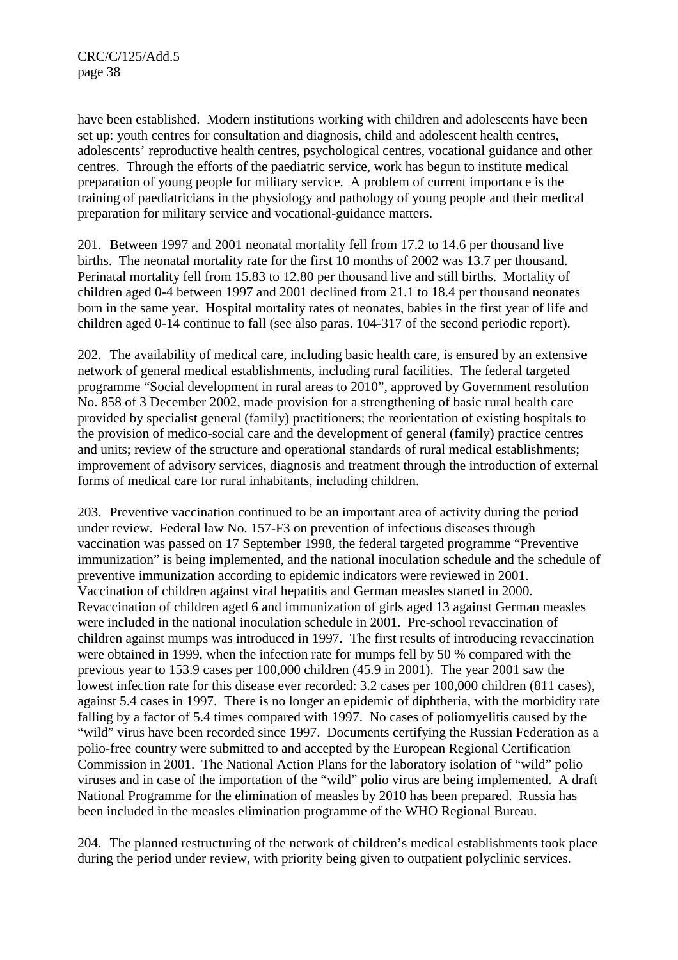have been established. Modern institutions working with children and adolescents have been set up: youth centres for consultation and diagnosis, child and adolescent health centres, adolescents' reproductive health centres, psychological centres, vocational guidance and other centres. Through the efforts of the paediatric service, work has begun to institute medical preparation of young people for military service. A problem of current importance is the training of paediatricians in the physiology and pathology of young people and their medical preparation for military service and vocational-guidance matters.

201. Between 1997 and 2001 neonatal mortality fell from 17.2 to 14.6 per thousand live births. The neonatal mortality rate for the first 10 months of 2002 was 13.7 per thousand. Perinatal mortality fell from 15.83 to 12.80 per thousand live and still births. Mortality of children aged 0-4 between 1997 and 2001 declined from 21.1 to 18.4 per thousand neonates born in the same year. Hospital mortality rates of neonates, babies in the first year of life and children aged 0-14 continue to fall (see also paras. 104-317 of the second periodic report).

202. The availability of medical care, including basic health care, is ensured by an extensive network of general medical establishments, including rural facilities. The federal targeted programme "Social development in rural areas to 2010", approved by Government resolution No. 858 of 3 December 2002, made provision for a strengthening of basic rural health care provided by specialist general (family) practitioners; the reorientation of existing hospitals to the provision of medico-social care and the development of general (family) practice centres and units; review of the structure and operational standards of rural medical establishments; improvement of advisory services, diagnosis and treatment through the introduction of external forms of medical care for rural inhabitants, including children.

203. Preventive vaccination continued to be an important area of activity during the period under review. Federal law No. 157-F3 on prevention of infectious diseases through vaccination was passed on 17 September 1998, the federal targeted programme "Preventive immunization" is being implemented, and the national inoculation schedule and the schedule of preventive immunization according to epidemic indicators were reviewed in 2001. Vaccination of children against viral hepatitis and German measles started in 2000. Revaccination of children aged 6 and immunization of girls aged 13 against German measles were included in the national inoculation schedule in 2001. Pre-school revaccination of children against mumps was introduced in 1997. The first results of introducing revaccination were obtained in 1999, when the infection rate for mumps fell by 50 % compared with the previous year to 153.9 cases per 100,000 children (45.9 in 2001). The year 2001 saw the lowest infection rate for this disease ever recorded: 3.2 cases per 100,000 children (811 cases), against 5.4 cases in 1997. There is no longer an epidemic of diphtheria, with the morbidity rate falling by a factor of 5.4 times compared with 1997. No cases of poliomyelitis caused by the "wild" virus have been recorded since 1997. Documents certifying the Russian Federation as a polio-free country were submitted to and accepted by the European Regional Certification Commission in 2001. The National Action Plans for the laboratory isolation of "wild" polio viruses and in case of the importation of the "wild" polio virus are being implemented. A draft National Programme for the elimination of measles by 2010 has been prepared. Russia has been included in the measles elimination programme of the WHO Regional Bureau.

204. The planned restructuring of the network of children's medical establishments took place during the period under review, with priority being given to outpatient polyclinic services.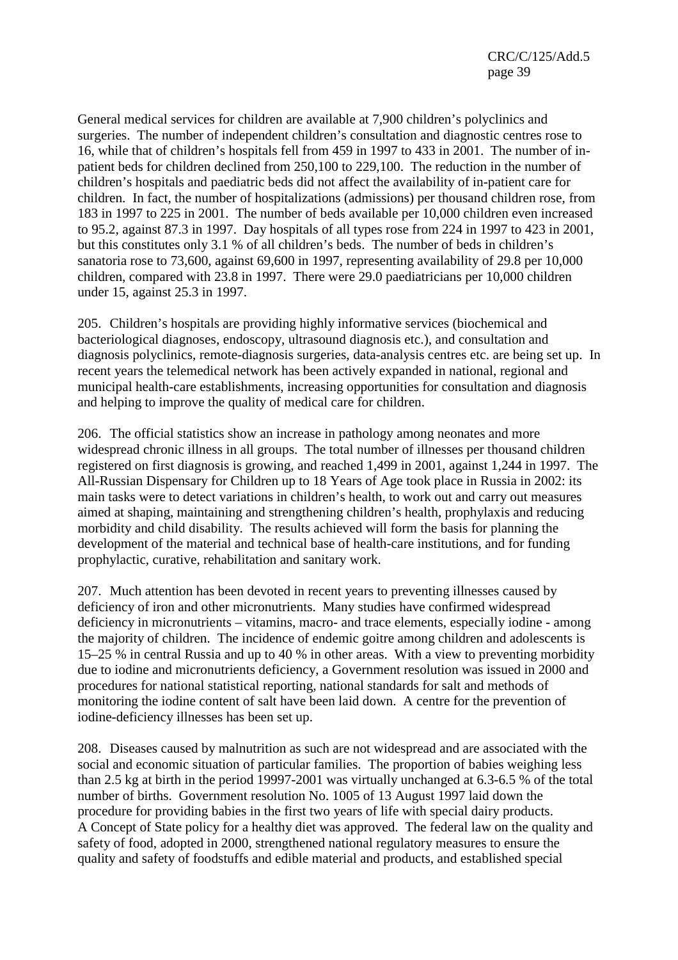General medical services for children are available at 7,900 children's polyclinics and surgeries. The number of independent children's consultation and diagnostic centres rose to 16, while that of children's hospitals fell from 459 in 1997 to 433 in 2001. The number of inpatient beds for children declined from 250,100 to 229,100. The reduction in the number of children's hospitals and paediatric beds did not affect the availability of in-patient care for children. In fact, the number of hospitalizations (admissions) per thousand children rose, from 183 in 1997 to 225 in 2001. The number of beds available per 10,000 children even increased to 95.2, against 87.3 in 1997. Day hospitals of all types rose from 224 in 1997 to 423 in 2001, but this constitutes only 3.1 % of all children's beds. The number of beds in children's sanatoria rose to 73,600, against 69,600 in 1997, representing availability of 29.8 per 10,000 children, compared with 23.8 in 1997. There were 29.0 paediatricians per 10,000 children under 15, against 25.3 in 1997.

205. Children's hospitals are providing highly informative services (biochemical and bacteriological diagnoses, endoscopy, ultrasound diagnosis etc.), and consultation and diagnosis polyclinics, remote-diagnosis surgeries, data-analysis centres etc. are being set up. In recent years the telemedical network has been actively expanded in national, regional and municipal health-care establishments, increasing opportunities for consultation and diagnosis and helping to improve the quality of medical care for children.

206. The official statistics show an increase in pathology among neonates and more widespread chronic illness in all groups. The total number of illnesses per thousand children registered on first diagnosis is growing, and reached 1,499 in 2001, against 1,244 in 1997. The All-Russian Dispensary for Children up to 18 Years of Age took place in Russia in 2002: its main tasks were to detect variations in children's health, to work out and carry out measures aimed at shaping, maintaining and strengthening children's health, prophylaxis and reducing morbidity and child disability. The results achieved will form the basis for planning the development of the material and technical base of health-care institutions, and for funding prophylactic, curative, rehabilitation and sanitary work.

207. Much attention has been devoted in recent years to preventing illnesses caused by deficiency of iron and other micronutrients. Many studies have confirmed widespread deficiency in micronutrients – vitamins, macro- and trace elements, especially iodine - among the majority of children. The incidence of endemic goitre among children and adolescents is 15–25 % in central Russia and up to 40 % in other areas. With a view to preventing morbidity due to iodine and micronutrients deficiency, a Government resolution was issued in 2000 and procedures for national statistical reporting, national standards for salt and methods of monitoring the iodine content of salt have been laid down. A centre for the prevention of iodine-deficiency illnesses has been set up.

208. Diseases caused by malnutrition as such are not widespread and are associated with the social and economic situation of particular families. The proportion of babies weighing less than 2.5 kg at birth in the period 19997-2001 was virtually unchanged at 6.3-6.5 % of the total number of births. Government resolution No. 1005 of 13 August 1997 laid down the procedure for providing babies in the first two years of life with special dairy products. A Concept of State policy for a healthy diet was approved. The federal law on the quality and safety of food, adopted in 2000, strengthened national regulatory measures to ensure the quality and safety of foodstuffs and edible material and products, and established special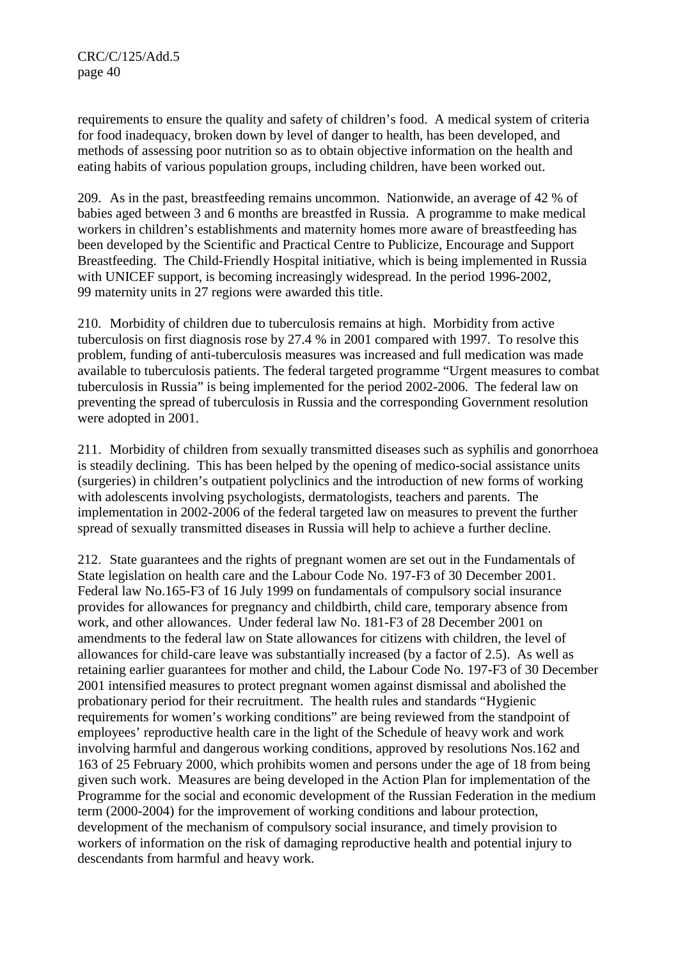requirements to ensure the quality and safety of children's food. A medical system of criteria for food inadequacy, broken down by level of danger to health, has been developed, and methods of assessing poor nutrition so as to obtain objective information on the health and eating habits of various population groups, including children, have been worked out.

209. As in the past, breastfeeding remains uncommon. Nationwide, an average of 42 % of babies aged between 3 and 6 months are breastfed in Russia. A programme to make medical workers in children's establishments and maternity homes more aware of breastfeeding has been developed by the Scientific and Practical Centre to Publicize, Encourage and Support Breastfeeding. The Child-Friendly Hospital initiative, which is being implemented in Russia with UNICEF support, is becoming increasingly widespread. In the period 1996-2002, 99 maternity units in 27 regions were awarded this title.

210. Morbidity of children due to tuberculosis remains at high. Morbidity from active tuberculosis on first diagnosis rose by 27.4 % in 2001 compared with 1997. To resolve this problem, funding of anti-tuberculosis measures was increased and full medication was made available to tuberculosis patients. The federal targeted programme "Urgent measures to combat tuberculosis in Russia" is being implemented for the period 2002-2006. The federal law on preventing the spread of tuberculosis in Russia and the corresponding Government resolution were adopted in 2001.

211. Morbidity of children from sexually transmitted diseases such as syphilis and gonorrhoea is steadily declining. This has been helped by the opening of medico-social assistance units (surgeries) in children's outpatient polyclinics and the introduction of new forms of working with adolescents involving psychologists, dermatologists, teachers and parents. The implementation in 2002-2006 of the federal targeted law on measures to prevent the further spread of sexually transmitted diseases in Russia will help to achieve a further decline.

212. State guarantees and the rights of pregnant women are set out in the Fundamentals of State legislation on health care and the Labour Code No. 197-F3 of 30 December 2001. Federal law No.165-F3 of 16 July 1999 on fundamentals of compulsory social insurance provides for allowances for pregnancy and childbirth, child care, temporary absence from work, and other allowances. Under federal law No. 181-F3 of 28 December 2001 on amendments to the federal law on State allowances for citizens with children, the level of allowances for child-care leave was substantially increased (by a factor of 2.5). As well as retaining earlier guarantees for mother and child, the Labour Code No. 197-F3 of 30 December 2001 intensified measures to protect pregnant women against dismissal and abolished the probationary period for their recruitment. The health rules and standards "Hygienic requirements for women's working conditions" are being reviewed from the standpoint of employees' reproductive health care in the light of the Schedule of heavy work and work involving harmful and dangerous working conditions, approved by resolutions Nos.162 and 163 of 25 February 2000, which prohibits women and persons under the age of 18 from being given such work. Measures are being developed in the Action Plan for implementation of the Programme for the social and economic development of the Russian Federation in the medium term (2000-2004) for the improvement of working conditions and labour protection, development of the mechanism of compulsory social insurance, and timely provision to workers of information on the risk of damaging reproductive health and potential injury to descendants from harmful and heavy work.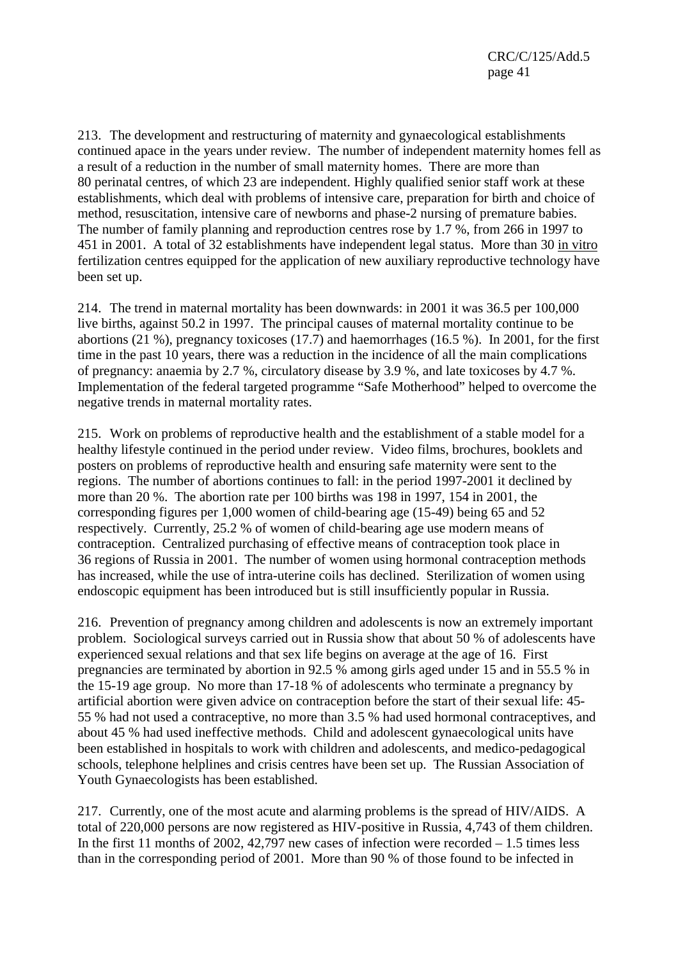213. The development and restructuring of maternity and gynaecological establishments continued apace in the years under review. The number of independent maternity homes fell as a result of a reduction in the number of small maternity homes. There are more than 80 perinatal centres, of which 23 are independent. Highly qualified senior staff work at these establishments, which deal with problems of intensive care, preparation for birth and choice of method, resuscitation, intensive care of newborns and phase-2 nursing of premature babies. The number of family planning and reproduction centres rose by 1.7 %, from 266 in 1997 to 451 in 2001. A total of 32 establishments have independent legal status. More than 30 in vitro fertilization centres equipped for the application of new auxiliary reproductive technology have been set up.

214. The trend in maternal mortality has been downwards: in 2001 it was 36.5 per 100,000 live births, against 50.2 in 1997. The principal causes of maternal mortality continue to be abortions (21 %), pregnancy toxicoses (17.7) and haemorrhages (16.5 %). In 2001, for the first time in the past 10 years, there was a reduction in the incidence of all the main complications of pregnancy: anaemia by 2.7 %, circulatory disease by 3.9 %, and late toxicoses by 4.7 %. Implementation of the federal targeted programme "Safe Motherhood" helped to overcome the negative trends in maternal mortality rates.

215. Work on problems of reproductive health and the establishment of a stable model for a healthy lifestyle continued in the period under review. Video films, brochures, booklets and posters on problems of reproductive health and ensuring safe maternity were sent to the regions. The number of abortions continues to fall: in the period 1997-2001 it declined by more than 20 %. The abortion rate per 100 births was 198 in 1997, 154 in 2001, the corresponding figures per 1,000 women of child-bearing age (15-49) being 65 and 52 respectively. Currently, 25.2 % of women of child-bearing age use modern means of contraception. Centralized purchasing of effective means of contraception took place in 36 regions of Russia in 2001. The number of women using hormonal contraception methods has increased, while the use of intra-uterine coils has declined. Sterilization of women using endoscopic equipment has been introduced but is still insufficiently popular in Russia.

216. Prevention of pregnancy among children and adolescents is now an extremely important problem. Sociological surveys carried out in Russia show that about 50 % of adolescents have experienced sexual relations and that sex life begins on average at the age of 16. First pregnancies are terminated by abortion in 92.5 % among girls aged under 15 and in 55.5 % in the 15-19 age group. No more than 17-18 % of adolescents who terminate a pregnancy by artificial abortion were given advice on contraception before the start of their sexual life: 45- 55 % had not used a contraceptive, no more than 3.5 % had used hormonal contraceptives, and about 45 % had used ineffective methods. Child and adolescent gynaecological units have been established in hospitals to work with children and adolescents, and medico-pedagogical schools, telephone helplines and crisis centres have been set up. The Russian Association of Youth Gynaecologists has been established.

217. Currently, one of the most acute and alarming problems is the spread of HIV/AIDS. A total of 220,000 persons are now registered as HIV-positive in Russia, 4,743 of them children. In the first 11 months of 2002,  $42.797$  new cases of infection were recorded  $-1.5$  times less than in the corresponding period of 2001. More than 90 % of those found to be infected in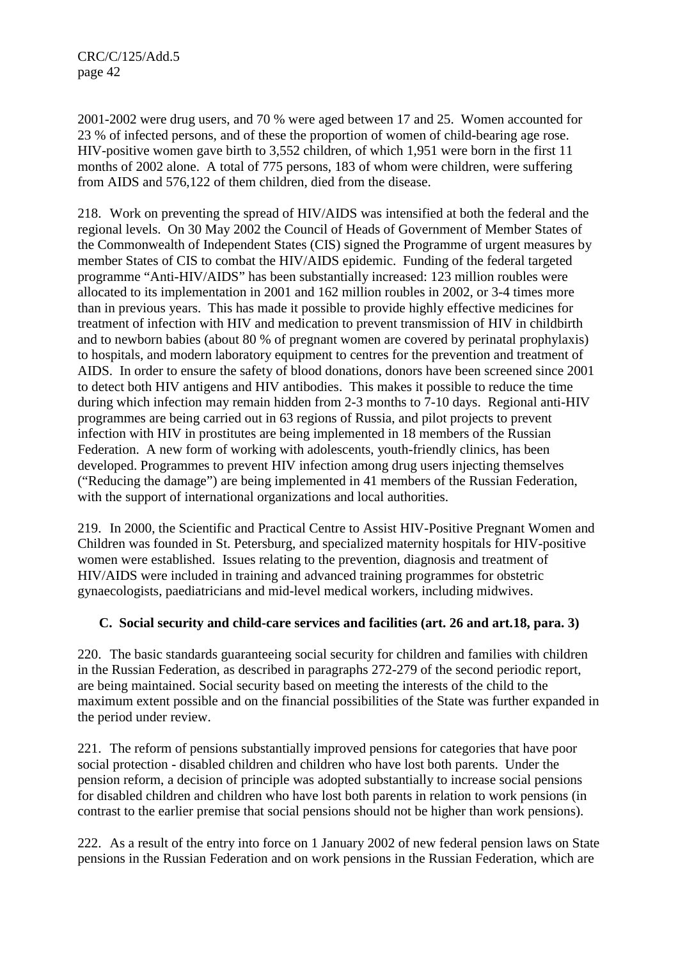2001-2002 were drug users, and 70 % were aged between 17 and 25. Women accounted for 23 % of infected persons, and of these the proportion of women of child-bearing age rose. HIV-positive women gave birth to 3,552 children, of which 1,951 were born in the first 11 months of 2002 alone. A total of 775 persons, 183 of whom were children, were suffering from AIDS and 576,122 of them children, died from the disease.

218. Work on preventing the spread of HIV/AIDS was intensified at both the federal and the regional levels. On 30 May 2002 the Council of Heads of Government of Member States of the Commonwealth of Independent States (CIS) signed the Programme of urgent measures by member States of CIS to combat the HIV/AIDS epidemic. Funding of the federal targeted programme "Anti-HIV/AIDS" has been substantially increased: 123 million roubles were allocated to its implementation in 2001 and 162 million roubles in 2002, or 3-4 times more than in previous years. This has made it possible to provide highly effective medicines for treatment of infection with HIV and medication to prevent transmission of HIV in childbirth and to newborn babies (about 80 % of pregnant women are covered by perinatal prophylaxis) to hospitals, and modern laboratory equipment to centres for the prevention and treatment of AIDS. In order to ensure the safety of blood donations, donors have been screened since 2001 to detect both HIV antigens and HIV antibodies. This makes it possible to reduce the time during which infection may remain hidden from 2-3 months to 7-10 days. Regional anti-HIV programmes are being carried out in 63 regions of Russia, and pilot projects to prevent infection with HIV in prostitutes are being implemented in 18 members of the Russian Federation. A new form of working with adolescents, youth-friendly clinics, has been developed. Programmes to prevent HIV infection among drug users injecting themselves ("Reducing the damage") are being implemented in 41 members of the Russian Federation, with the support of international organizations and local authorities.

219. In 2000, the Scientific and Practical Centre to Assist HIV-Positive Pregnant Women and Children was founded in St. Petersburg, and specialized maternity hospitals for HIV-positive women were established. Issues relating to the prevention, diagnosis and treatment of HIV/AIDS were included in training and advanced training programmes for obstetric gynaecologists, paediatricians and mid-level medical workers, including midwives.

# **C. Social security and child-care services and facilities (art. 26 and art.18, para. 3)**

220. The basic standards guaranteeing social security for children and families with children in the Russian Federation, as described in paragraphs 272-279 of the second periodic report, are being maintained. Social security based on meeting the interests of the child to the maximum extent possible and on the financial possibilities of the State was further expanded in the period under review.

221. The reform of pensions substantially improved pensions for categories that have poor social protection - disabled children and children who have lost both parents. Under the pension reform, a decision of principle was adopted substantially to increase social pensions for disabled children and children who have lost both parents in relation to work pensions (in contrast to the earlier premise that social pensions should not be higher than work pensions).

222. As a result of the entry into force on 1 January 2002 of new federal pension laws on State pensions in the Russian Federation and on work pensions in the Russian Federation, which are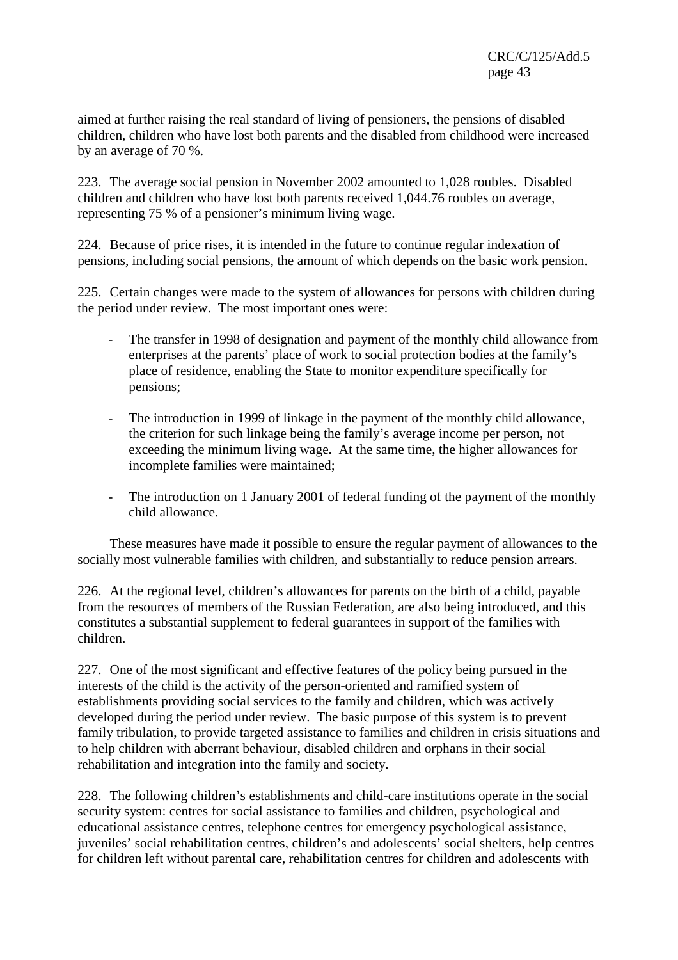aimed at further raising the real standard of living of pensioners, the pensions of disabled children, children who have lost both parents and the disabled from childhood were increased by an average of 70 %.

223. The average social pension in November 2002 amounted to 1,028 roubles. Disabled children and children who have lost both parents received 1,044.76 roubles on average, representing 75 % of a pensioner's minimum living wage.

224. Because of price rises, it is intended in the future to continue regular indexation of pensions, including social pensions, the amount of which depends on the basic work pension.

225. Certain changes were made to the system of allowances for persons with children during the period under review. The most important ones were:

- The transfer in 1998 of designation and payment of the monthly child allowance from enterprises at the parents' place of work to social protection bodies at the family's place of residence, enabling the State to monitor expenditure specifically for pensions;
- The introduction in 1999 of linkage in the payment of the monthly child allowance, the criterion for such linkage being the family's average income per person, not exceeding the minimum living wage. At the same time, the higher allowances for incomplete families were maintained;
- The introduction on 1 January 2001 of federal funding of the payment of the monthly child allowance.

 These measures have made it possible to ensure the regular payment of allowances to the socially most vulnerable families with children, and substantially to reduce pension arrears.

226. At the regional level, children's allowances for parents on the birth of a child, payable from the resources of members of the Russian Federation, are also being introduced, and this constitutes a substantial supplement to federal guarantees in support of the families with children.

227. One of the most significant and effective features of the policy being pursued in the interests of the child is the activity of the person-oriented and ramified system of establishments providing social services to the family and children, which was actively developed during the period under review. The basic purpose of this system is to prevent family tribulation, to provide targeted assistance to families and children in crisis situations and to help children with aberrant behaviour, disabled children and orphans in their social rehabilitation and integration into the family and society.

228. The following children's establishments and child-care institutions operate in the social security system: centres for social assistance to families and children, psychological and educational assistance centres, telephone centres for emergency psychological assistance, juveniles' social rehabilitation centres, children's and adolescents' social shelters, help centres for children left without parental care, rehabilitation centres for children and adolescents with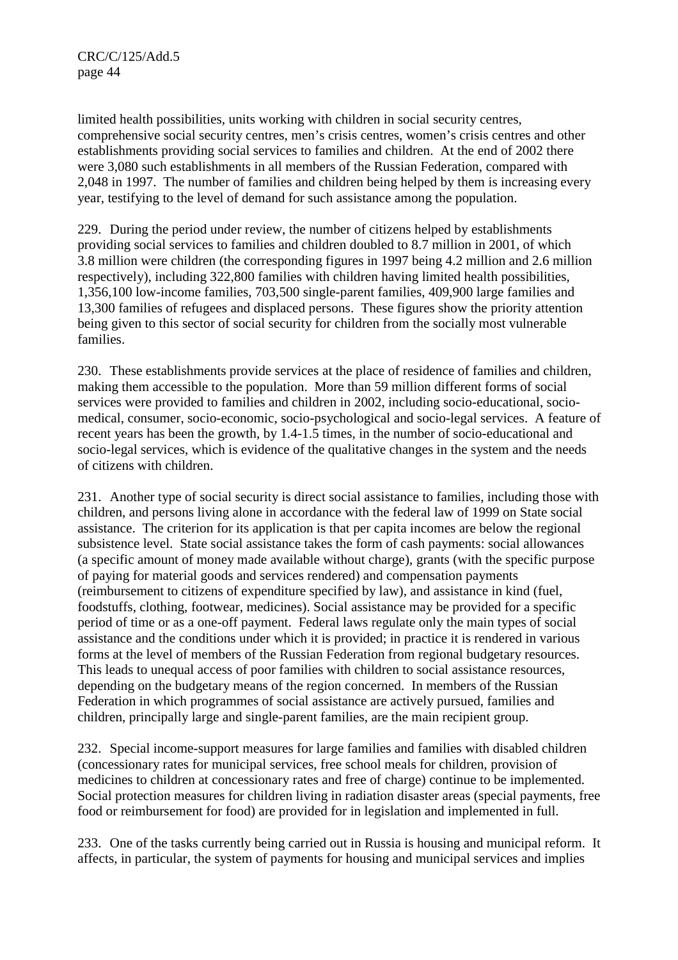limited health possibilities, units working with children in social security centres, comprehensive social security centres, men's crisis centres, women's crisis centres and other establishments providing social services to families and children. At the end of 2002 there were 3,080 such establishments in all members of the Russian Federation, compared with 2,048 in 1997. The number of families and children being helped by them is increasing every year, testifying to the level of demand for such assistance among the population.

229. During the period under review, the number of citizens helped by establishments providing social services to families and children doubled to 8.7 million in 2001, of which 3.8 million were children (the corresponding figures in 1997 being 4.2 million and 2.6 million respectively), including 322,800 families with children having limited health possibilities, 1,356,100 low-income families, 703,500 single-parent families, 409,900 large families and 13,300 families of refugees and displaced persons. These figures show the priority attention being given to this sector of social security for children from the socially most vulnerable families.

230. These establishments provide services at the place of residence of families and children, making them accessible to the population. More than 59 million different forms of social services were provided to families and children in 2002, including socio-educational, sociomedical, consumer, socio-economic, socio-psychological and socio-legal services. A feature of recent years has been the growth, by 1.4-1.5 times, in the number of socio-educational and socio-legal services, which is evidence of the qualitative changes in the system and the needs of citizens with children.

231. Another type of social security is direct social assistance to families, including those with children, and persons living alone in accordance with the federal law of 1999 on State social assistance. The criterion for its application is that per capita incomes are below the regional subsistence level. State social assistance takes the form of cash payments: social allowances (a specific amount of money made available without charge), grants (with the specific purpose of paying for material goods and services rendered) and compensation payments (reimbursement to citizens of expenditure specified by law), and assistance in kind (fuel, foodstuffs, clothing, footwear, medicines). Social assistance may be provided for a specific period of time or as a one-off payment. Federal laws regulate only the main types of social assistance and the conditions under which it is provided; in practice it is rendered in various forms at the level of members of the Russian Federation from regional budgetary resources. This leads to unequal access of poor families with children to social assistance resources, depending on the budgetary means of the region concerned. In members of the Russian Federation in which programmes of social assistance are actively pursued, families and children, principally large and single-parent families, are the main recipient group.

232. Special income-support measures for large families and families with disabled children (concessionary rates for municipal services, free school meals for children, provision of medicines to children at concessionary rates and free of charge) continue to be implemented. Social protection measures for children living in radiation disaster areas (special payments, free food or reimbursement for food) are provided for in legislation and implemented in full.

233. One of the tasks currently being carried out in Russia is housing and municipal reform. It affects, in particular, the system of payments for housing and municipal services and implies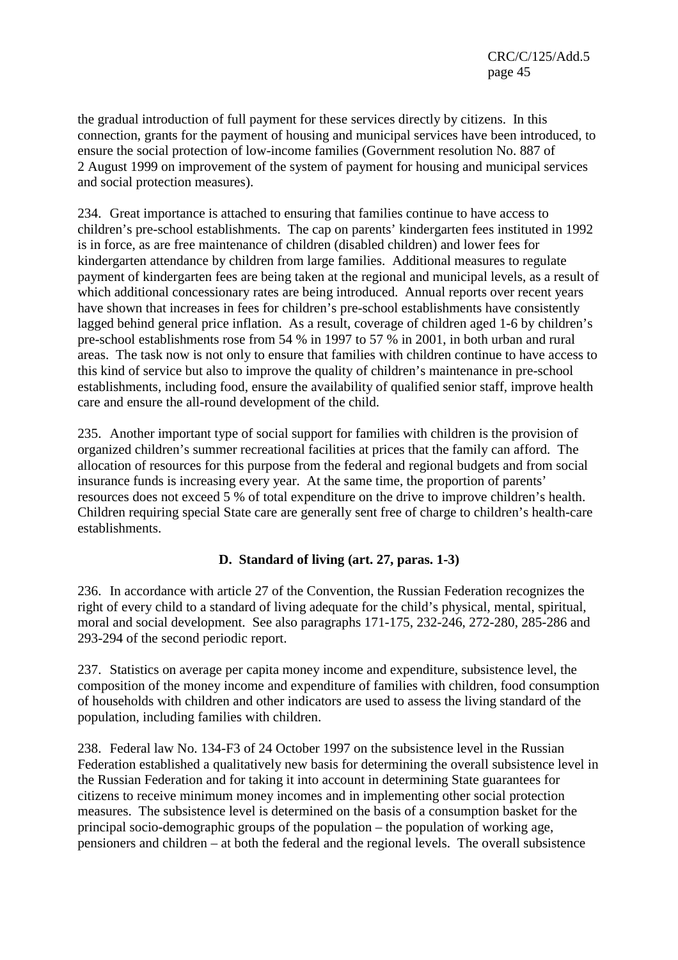the gradual introduction of full payment for these services directly by citizens. In this connection, grants for the payment of housing and municipal services have been introduced, to ensure the social protection of low-income families (Government resolution No. 887 of 2 August 1999 on improvement of the system of payment for housing and municipal services and social protection measures).

234. Great importance is attached to ensuring that families continue to have access to children's pre-school establishments. The cap on parents' kindergarten fees instituted in 1992 is in force, as are free maintenance of children (disabled children) and lower fees for kindergarten attendance by children from large families. Additional measures to regulate payment of kindergarten fees are being taken at the regional and municipal levels, as a result of which additional concessionary rates are being introduced. Annual reports over recent years have shown that increases in fees for children's pre-school establishments have consistently lagged behind general price inflation. As a result, coverage of children aged 1-6 by children's pre-school establishments rose from 54 % in 1997 to 57 % in 2001, in both urban and rural areas. The task now is not only to ensure that families with children continue to have access to this kind of service but also to improve the quality of children's maintenance in pre-school establishments, including food, ensure the availability of qualified senior staff, improve health care and ensure the all-round development of the child.

235. Another important type of social support for families with children is the provision of organized children's summer recreational facilities at prices that the family can afford. The allocation of resources for this purpose from the federal and regional budgets and from social insurance funds is increasing every year. At the same time, the proportion of parents' resources does not exceed 5 % of total expenditure on the drive to improve children's health. Children requiring special State care are generally sent free of charge to children's health-care establishments.

# **D. Standard of living (art. 27, paras. 1-3)**

236. In accordance with article 27 of the Convention, the Russian Federation recognizes the right of every child to a standard of living adequate for the child's physical, mental, spiritual, moral and social development. See also paragraphs 171-175, 232-246, 272-280, 285-286 and 293-294 of the second periodic report.

237. Statistics on average per capita money income and expenditure, subsistence level, the composition of the money income and expenditure of families with children, food consumption of households with children and other indicators are used to assess the living standard of the population, including families with children.

238. Federal law No. 134-F3 of 24 October 1997 on the subsistence level in the Russian Federation established a qualitatively new basis for determining the overall subsistence level in the Russian Federation and for taking it into account in determining State guarantees for citizens to receive minimum money incomes and in implementing other social protection measures. The subsistence level is determined on the basis of a consumption basket for the principal socio-demographic groups of the population – the population of working age, pensioners and children – at both the federal and the regional levels. The overall subsistence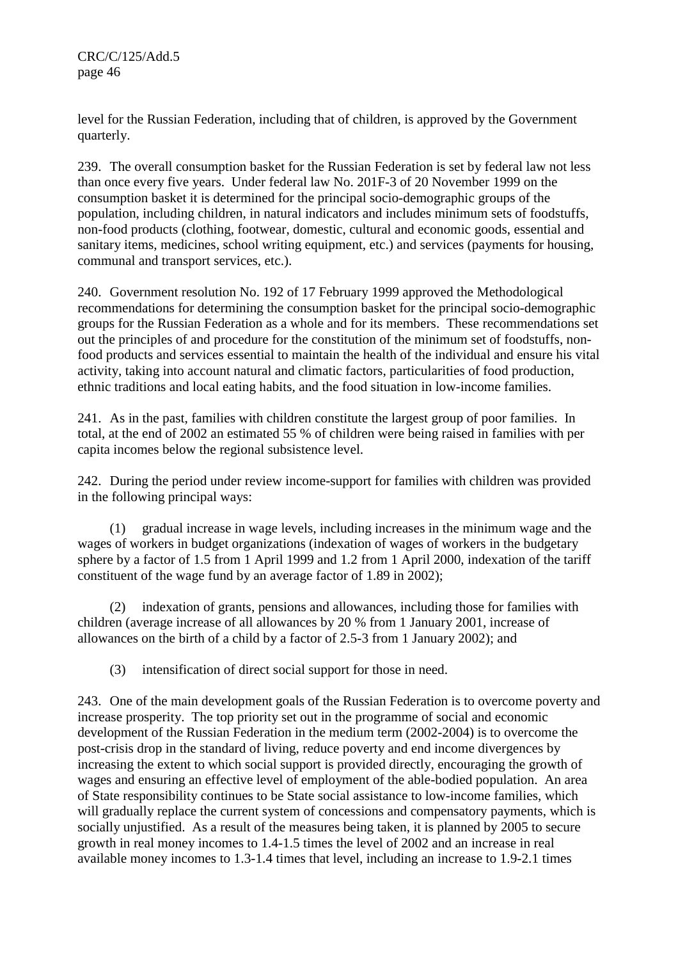CRC/C/125/Add.5 page 46

level for the Russian Federation, including that of children, is approved by the Government quarterly.

239. The overall consumption basket for the Russian Federation is set by federal law not less than once every five years. Under federal law No. 201F-3 of 20 November 1999 on the consumption basket it is determined for the principal socio-demographic groups of the population, including children, in natural indicators and includes minimum sets of foodstuffs, non-food products (clothing, footwear, domestic, cultural and economic goods, essential and sanitary items, medicines, school writing equipment, etc.) and services (payments for housing, communal and transport services, etc.).

240. Government resolution No. 192 of 17 February 1999 approved the Methodological recommendations for determining the consumption basket for the principal socio-demographic groups for the Russian Federation as a whole and for its members. These recommendations set out the principles of and procedure for the constitution of the minimum set of foodstuffs, nonfood products and services essential to maintain the health of the individual and ensure his vital activity, taking into account natural and climatic factors, particularities of food production, ethnic traditions and local eating habits, and the food situation in low-income families.

241. As in the past, families with children constitute the largest group of poor families. In total, at the end of 2002 an estimated 55 % of children were being raised in families with per capita incomes below the regional subsistence level.

242. During the period under review income-support for families with children was provided in the following principal ways:

(1) gradual increase in wage levels, including increases in the minimum wage and the wages of workers in budget organizations (indexation of wages of workers in the budgetary sphere by a factor of 1.5 from 1 April 1999 and 1.2 from 1 April 2000, indexation of the tariff constituent of the wage fund by an average factor of 1.89 in 2002);

(2) indexation of grants, pensions and allowances, including those for families with children (average increase of all allowances by 20 % from 1 January 2001, increase of allowances on the birth of a child by a factor of 2.5-3 from 1 January 2002); and

(3) intensification of direct social support for those in need.

243. One of the main development goals of the Russian Federation is to overcome poverty and increase prosperity. The top priority set out in the programme of social and economic development of the Russian Federation in the medium term (2002-2004) is to overcome the post-crisis drop in the standard of living, reduce poverty and end income divergences by increasing the extent to which social support is provided directly, encouraging the growth of wages and ensuring an effective level of employment of the able-bodied population. An area of State responsibility continues to be State social assistance to low-income families, which will gradually replace the current system of concessions and compensatory payments, which is socially unjustified. As a result of the measures being taken, it is planned by 2005 to secure growth in real money incomes to 1.4-1.5 times the level of 2002 and an increase in real available money incomes to 1.3-1.4 times that level, including an increase to 1.9-2.1 times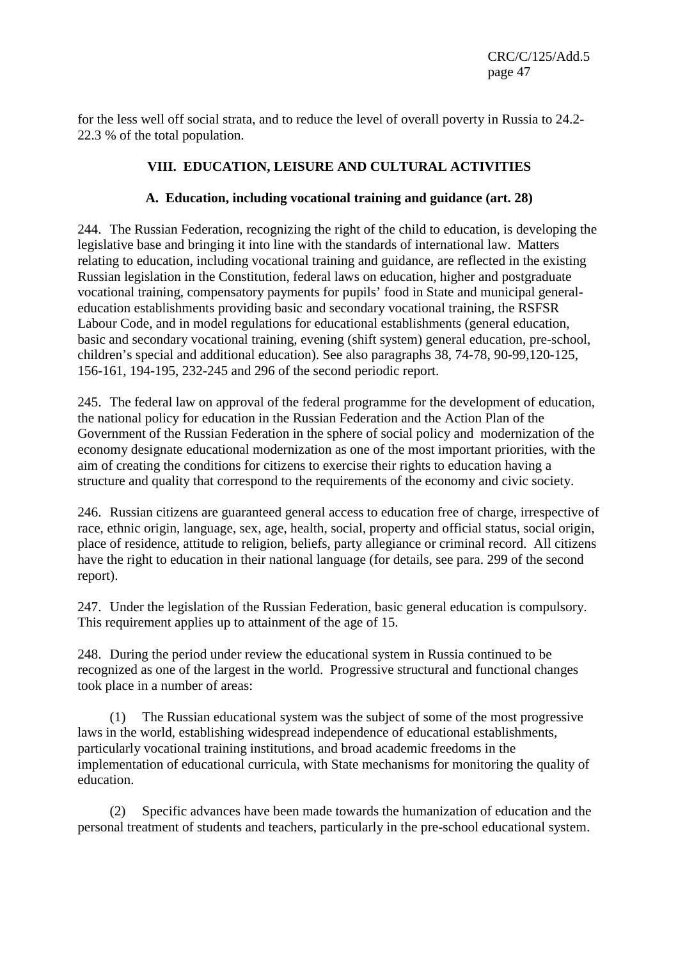for the less well off social strata, and to reduce the level of overall poverty in Russia to 24.2- 22.3 % of the total population.

# **VIII. EDUCATION, LEISURE AND CULTURAL ACTIVITIES**

### **A. Education, including vocational training and guidance (art. 28)**

244. The Russian Federation, recognizing the right of the child to education, is developing the legislative base and bringing it into line with the standards of international law. Matters relating to education, including vocational training and guidance, are reflected in the existing Russian legislation in the Constitution, federal laws on education, higher and postgraduate vocational training, compensatory payments for pupils' food in State and municipal generaleducation establishments providing basic and secondary vocational training, the RSFSR Labour Code, and in model regulations for educational establishments (general education, basic and secondary vocational training, evening (shift system) general education, pre-school, children's special and additional education). See also paragraphs 38, 74-78, 90-99,120-125, 156-161, 194-195, 232-245 and 296 of the second periodic report.

245. The federal law on approval of the federal programme for the development of education, the national policy for education in the Russian Federation and the Action Plan of the Government of the Russian Federation in the sphere of social policy and modernization of the economy designate educational modernization as one of the most important priorities, with the aim of creating the conditions for citizens to exercise their rights to education having a structure and quality that correspond to the requirements of the economy and civic society.

246. Russian citizens are guaranteed general access to education free of charge, irrespective of race, ethnic origin, language, sex, age, health, social, property and official status, social origin, place of residence, attitude to religion, beliefs, party allegiance or criminal record. All citizens have the right to education in their national language (for details, see para. 299 of the second report).

247. Under the legislation of the Russian Federation, basic general education is compulsory. This requirement applies up to attainment of the age of 15.

248. During the period under review the educational system in Russia continued to be recognized as one of the largest in the world. Progressive structural and functional changes took place in a number of areas:

 (1) The Russian educational system was the subject of some of the most progressive laws in the world, establishing widespread independence of educational establishments, particularly vocational training institutions, and broad academic freedoms in the implementation of educational curricula, with State mechanisms for monitoring the quality of education.

 (2) Specific advances have been made towards the humanization of education and the personal treatment of students and teachers, particularly in the pre-school educational system.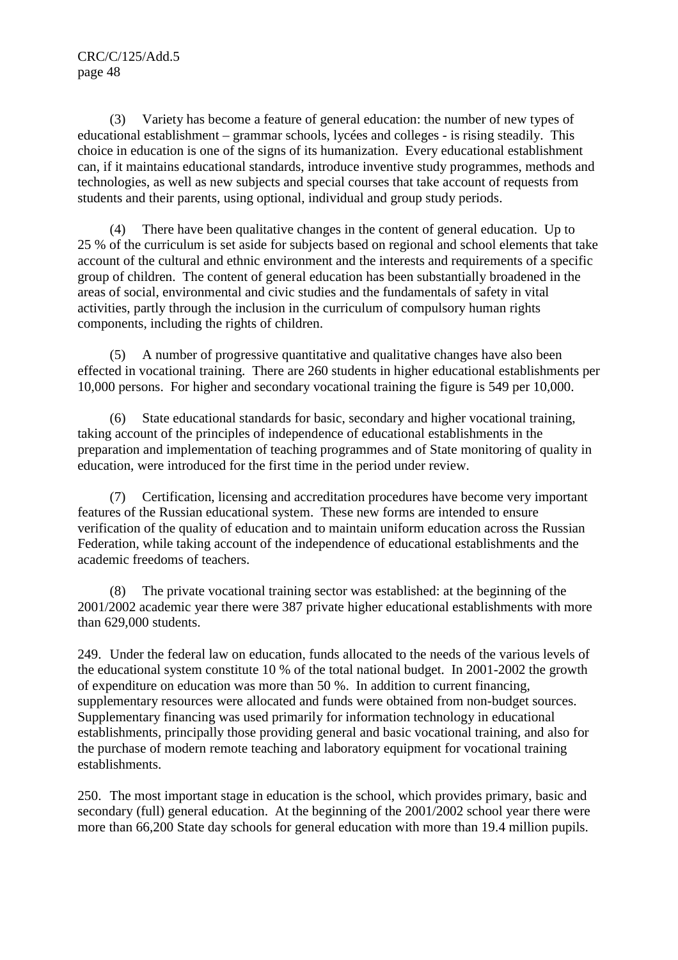(3) Variety has become a feature of general education: the number of new types of educational establishment – grammar schools, lycées and colleges - is rising steadily. This choice in education is one of the signs of its humanization. Every educational establishment can, if it maintains educational standards, introduce inventive study programmes, methods and technologies, as well as new subjects and special courses that take account of requests from students and their parents, using optional, individual and group study periods.

 (4) There have been qualitative changes in the content of general education. Up to 25 % of the curriculum is set aside for subjects based on regional and school elements that take account of the cultural and ethnic environment and the interests and requirements of a specific group of children. The content of general education has been substantially broadened in the areas of social, environmental and civic studies and the fundamentals of safety in vital activities, partly through the inclusion in the curriculum of compulsory human rights components, including the rights of children.

 (5) A number of progressive quantitative and qualitative changes have also been effected in vocational training. There are 260 students in higher educational establishments per 10,000 persons. For higher and secondary vocational training the figure is 549 per 10,000.

 (6) State educational standards for basic, secondary and higher vocational training, taking account of the principles of independence of educational establishments in the preparation and implementation of teaching programmes and of State monitoring of quality in education, were introduced for the first time in the period under review.

 (7) Certification, licensing and accreditation procedures have become very important features of the Russian educational system. These new forms are intended to ensure verification of the quality of education and to maintain uniform education across the Russian Federation, while taking account of the independence of educational establishments and the academic freedoms of teachers.

 (8) The private vocational training sector was established: at the beginning of the 2001/2002 academic year there were 387 private higher educational establishments with more than 629,000 students.

249. Under the federal law on education, funds allocated to the needs of the various levels of the educational system constitute 10 % of the total national budget. In 2001-2002 the growth of expenditure on education was more than 50 %. In addition to current financing, supplementary resources were allocated and funds were obtained from non-budget sources. Supplementary financing was used primarily for information technology in educational establishments, principally those providing general and basic vocational training, and also for the purchase of modern remote teaching and laboratory equipment for vocational training establishments.

250. The most important stage in education is the school, which provides primary, basic and secondary (full) general education. At the beginning of the 2001/2002 school year there were more than 66,200 State day schools for general education with more than 19.4 million pupils.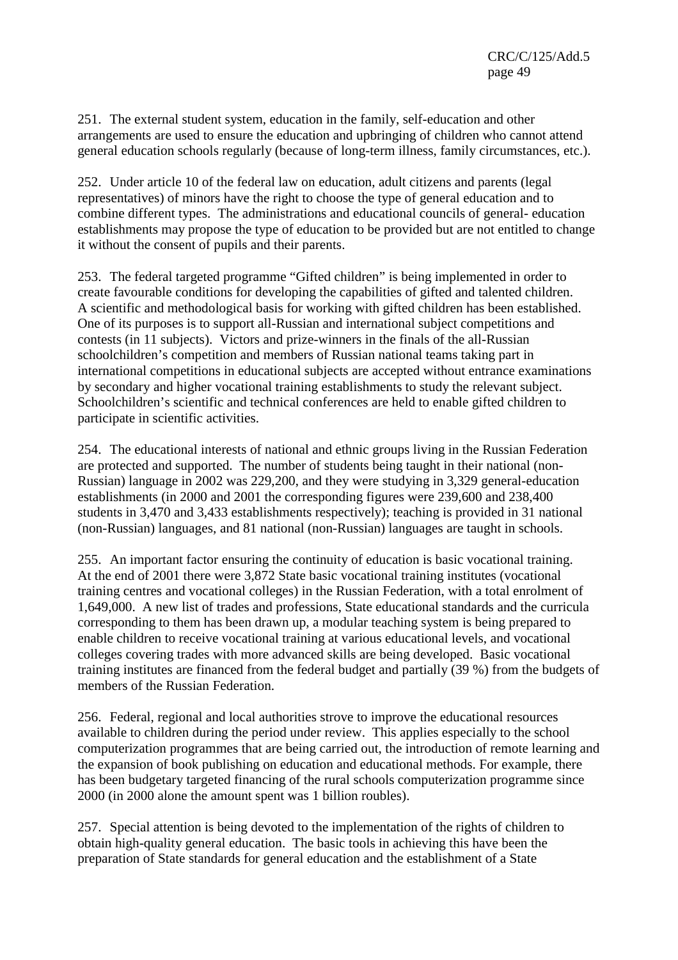251. The external student system, education in the family, self-education and other arrangements are used to ensure the education and upbringing of children who cannot attend general education schools regularly (because of long-term illness, family circumstances, etc.).

252. Under article 10 of the federal law on education, adult citizens and parents (legal representatives) of minors have the right to choose the type of general education and to combine different types. The administrations and educational councils of general- education establishments may propose the type of education to be provided but are not entitled to change it without the consent of pupils and their parents.

253. The federal targeted programme "Gifted children" is being implemented in order to create favourable conditions for developing the capabilities of gifted and talented children. A scientific and methodological basis for working with gifted children has been established. One of its purposes is to support all-Russian and international subject competitions and contests (in 11 subjects). Victors and prize-winners in the finals of the all-Russian schoolchildren's competition and members of Russian national teams taking part in international competitions in educational subjects are accepted without entrance examinations by secondary and higher vocational training establishments to study the relevant subject. Schoolchildren's scientific and technical conferences are held to enable gifted children to participate in scientific activities.

254. The educational interests of national and ethnic groups living in the Russian Federation are protected and supported. The number of students being taught in their national (non-Russian) language in 2002 was 229,200, and they were studying in 3,329 general-education establishments (in 2000 and 2001 the corresponding figures were 239,600 and 238,400 students in 3,470 and 3,433 establishments respectively); teaching is provided in 31 national (non-Russian) languages, and 81 national (non-Russian) languages are taught in schools.

255. An important factor ensuring the continuity of education is basic vocational training. At the end of 2001 there were 3,872 State basic vocational training institutes (vocational training centres and vocational colleges) in the Russian Federation, with a total enrolment of 1,649,000. A new list of trades and professions, State educational standards and the curricula corresponding to them has been drawn up, a modular teaching system is being prepared to enable children to receive vocational training at various educational levels, and vocational colleges covering trades with more advanced skills are being developed. Basic vocational training institutes are financed from the federal budget and partially (39 %) from the budgets of members of the Russian Federation.

256. Federal, regional and local authorities strove to improve the educational resources available to children during the period under review. This applies especially to the school computerization programmes that are being carried out, the introduction of remote learning and the expansion of book publishing on education and educational methods. For example, there has been budgetary targeted financing of the rural schools computerization programme since 2000 (in 2000 alone the amount spent was 1 billion roubles).

257. Special attention is being devoted to the implementation of the rights of children to obtain high-quality general education. The basic tools in achieving this have been the preparation of State standards for general education and the establishment of a State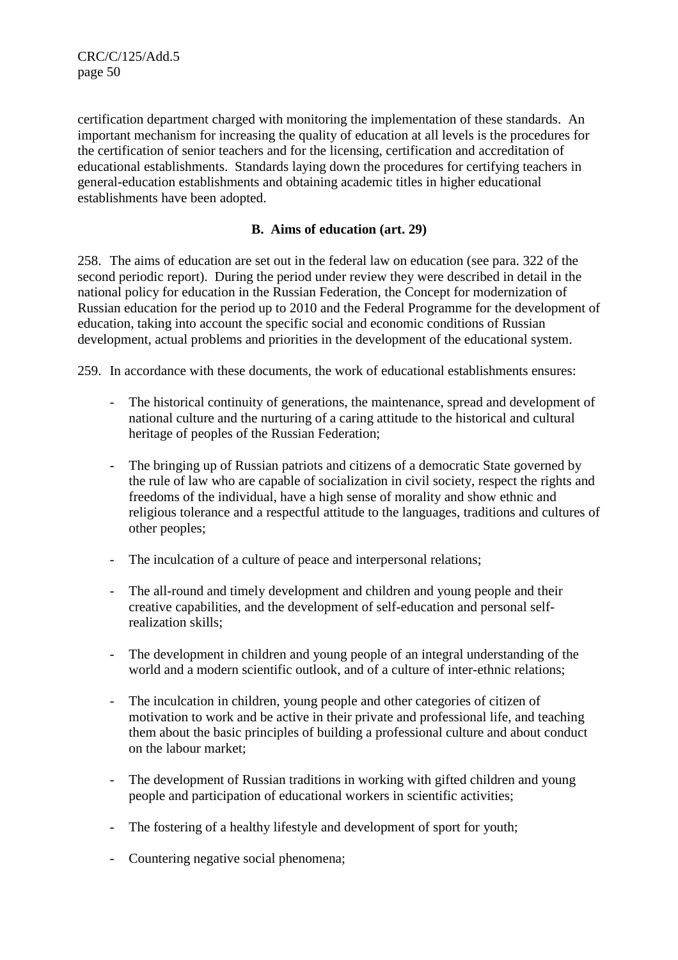CRC/C/125/Add.5 page 50

certification department charged with monitoring the implementation of these standards. An important mechanism for increasing the quality of education at all levels is the procedures for the certification of senior teachers and for the licensing, certification and accreditation of educational establishments. Standards laying down the procedures for certifying teachers in general-education establishments and obtaining academic titles in higher educational establishments have been adopted.

### **B. Aims of education (art. 29)**

258. The aims of education are set out in the federal law on education (see para. 322 of the second periodic report). During the period under review they were described in detail in the national policy for education in the Russian Federation, the Concept for modernization of Russian education for the period up to 2010 and the Federal Programme for the development of education, taking into account the specific social and economic conditions of Russian development, actual problems and priorities in the development of the educational system.

259. In accordance with these documents, the work of educational establishments ensures:

- The historical continuity of generations, the maintenance, spread and development of national culture and the nurturing of a caring attitude to the historical and cultural heritage of peoples of the Russian Federation;
- The bringing up of Russian patriots and citizens of a democratic State governed by the rule of law who are capable of socialization in civil society, respect the rights and freedoms of the individual, have a high sense of morality and show ethnic and religious tolerance and a respectful attitude to the languages, traditions and cultures of other peoples;
- The inculcation of a culture of peace and interpersonal relations;
- The all-round and timely development and children and young people and their creative capabilities, and the development of self-education and personal selfrealization skills;
- The development in children and young people of an integral understanding of the world and a modern scientific outlook, and of a culture of inter-ethnic relations;
- The inculcation in children, young people and other categories of citizen of motivation to work and be active in their private and professional life, and teaching them about the basic principles of building a professional culture and about conduct on the labour market;
- The development of Russian traditions in working with gifted children and young people and participation of educational workers in scientific activities;
- The fostering of a healthy lifestyle and development of sport for youth;
- Countering negative social phenomena;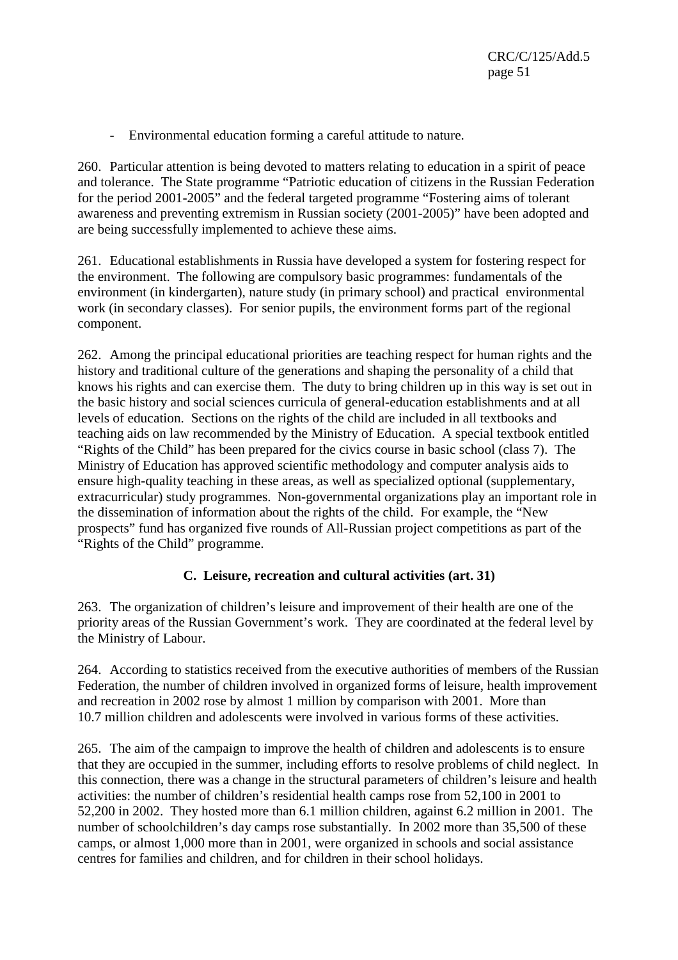- Environmental education forming a careful attitude to nature.

260. Particular attention is being devoted to matters relating to education in a spirit of peace and tolerance. The State programme "Patriotic education of citizens in the Russian Federation for the period 2001-2005" and the federal targeted programme "Fostering aims of tolerant awareness and preventing extremism in Russian society (2001-2005)" have been adopted and are being successfully implemented to achieve these aims.

261. Educational establishments in Russia have developed a system for fostering respect for the environment. The following are compulsory basic programmes: fundamentals of the environment (in kindergarten), nature study (in primary school) and practical environmental work (in secondary classes). For senior pupils, the environment forms part of the regional component.

262. Among the principal educational priorities are teaching respect for human rights and the history and traditional culture of the generations and shaping the personality of a child that knows his rights and can exercise them. The duty to bring children up in this way is set out in the basic history and social sciences curricula of general-education establishments and at all levels of education. Sections on the rights of the child are included in all textbooks and teaching aids on law recommended by the Ministry of Education. A special textbook entitled "Rights of the Child" has been prepared for the civics course in basic school (class 7). The Ministry of Education has approved scientific methodology and computer analysis aids to ensure high-quality teaching in these areas, as well as specialized optional (supplementary, extracurricular) study programmes. Non-governmental organizations play an important role in the dissemination of information about the rights of the child. For example, the "New prospects" fund has organized five rounds of All-Russian project competitions as part of the "Rights of the Child" programme.

# **C. Leisure, recreation and cultural activities (art. 31)**

263. The organization of children's leisure and improvement of their health are one of the priority areas of the Russian Government's work. They are coordinated at the federal level by the Ministry of Labour.

264. According to statistics received from the executive authorities of members of the Russian Federation, the number of children involved in organized forms of leisure, health improvement and recreation in 2002 rose by almost 1 million by comparison with 2001. More than 10.7 million children and adolescents were involved in various forms of these activities.

265. The aim of the campaign to improve the health of children and adolescents is to ensure that they are occupied in the summer, including efforts to resolve problems of child neglect. In this connection, there was a change in the structural parameters of children's leisure and health activities: the number of children's residential health camps rose from 52,100 in 2001 to 52,200 in 2002. They hosted more than 6.1 million children, against 6.2 million in 2001. The number of schoolchildren's day camps rose substantially. In 2002 more than 35,500 of these camps, or almost 1,000 more than in 2001, were organized in schools and social assistance centres for families and children, and for children in their school holidays.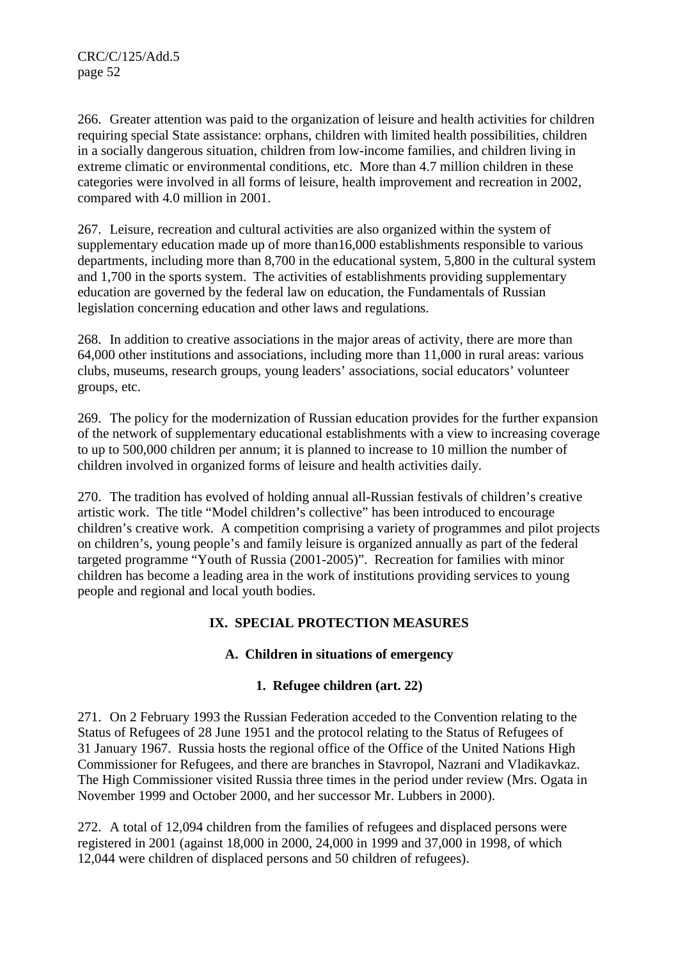266. Greater attention was paid to the organization of leisure and health activities for children requiring special State assistance: orphans, children with limited health possibilities, children in a socially dangerous situation, children from low-income families, and children living in extreme climatic or environmental conditions, etc. More than 4.7 million children in these categories were involved in all forms of leisure, health improvement and recreation in 2002, compared with 4.0 million in 2001.

267. Leisure, recreation and cultural activities are also organized within the system of supplementary education made up of more than16,000 establishments responsible to various departments, including more than 8,700 in the educational system, 5,800 in the cultural system and 1,700 in the sports system. The activities of establishments providing supplementary education are governed by the federal law on education, the Fundamentals of Russian legislation concerning education and other laws and regulations.

268. In addition to creative associations in the major areas of activity, there are more than 64,000 other institutions and associations, including more than 11,000 in rural areas: various clubs, museums, research groups, young leaders' associations, social educators' volunteer groups, etc.

269. The policy for the modernization of Russian education provides for the further expansion of the network of supplementary educational establishments with a view to increasing coverage to up to 500,000 children per annum; it is planned to increase to 10 million the number of children involved in organized forms of leisure and health activities daily.

270. The tradition has evolved of holding annual all-Russian festivals of children's creative artistic work. The title "Model children's collective" has been introduced to encourage children's creative work. A competition comprising a variety of programmes and pilot projects on children's, young people's and family leisure is organized annually as part of the federal targeted programme "Youth of Russia (2001-2005)". Recreation for families with minor children has become a leading area in the work of institutions providing services to young people and regional and local youth bodies.

# **IX. SPECIAL PROTECTION MEASURES**

# **A. Children in situations of emergency**

# **1. Refugee children (art. 22)**

271. On 2 February 1993 the Russian Federation acceded to the Convention relating to the Status of Refugees of 28 June 1951 and the protocol relating to the Status of Refugees of 31 January 1967. Russia hosts the regional office of the Office of the United Nations High Commissioner for Refugees, and there are branches in Stavropol, Nazrani and Vladikavkaz. The High Commissioner visited Russia three times in the period under review (Mrs. Ogata in November 1999 and October 2000, and her successor Mr. Lubbers in 2000).

272. A total of 12,094 children from the families of refugees and displaced persons were registered in 2001 (against 18,000 in 2000, 24,000 in 1999 and 37,000 in 1998, of which 12,044 were children of displaced persons and 50 children of refugees).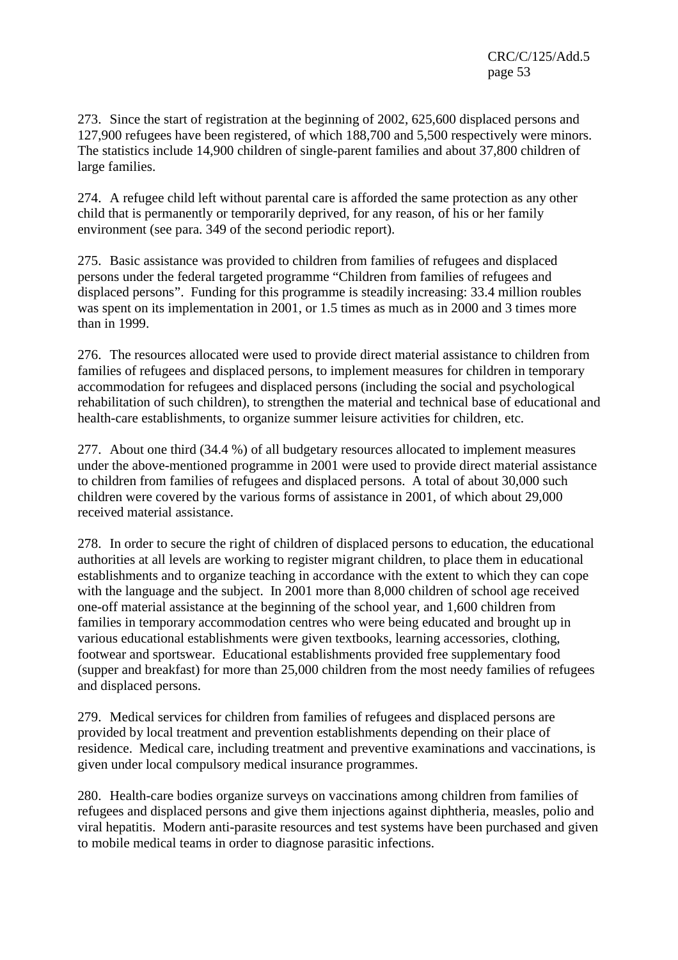273. Since the start of registration at the beginning of 2002, 625,600 displaced persons and 127,900 refugees have been registered, of which 188,700 and 5,500 respectively were minors. The statistics include 14,900 children of single-parent families and about 37,800 children of large families.

274. A refugee child left without parental care is afforded the same protection as any other child that is permanently or temporarily deprived, for any reason, of his or her family environment (see para. 349 of the second periodic report).

275. Basic assistance was provided to children from families of refugees and displaced persons under the federal targeted programme "Children from families of refugees and displaced persons". Funding for this programme is steadily increasing: 33.4 million roubles was spent on its implementation in 2001, or 1.5 times as much as in 2000 and 3 times more than in 1999.

276. The resources allocated were used to provide direct material assistance to children from families of refugees and displaced persons, to implement measures for children in temporary accommodation for refugees and displaced persons (including the social and psychological rehabilitation of such children), to strengthen the material and technical base of educational and health-care establishments, to organize summer leisure activities for children, etc.

277. About one third (34.4 %) of all budgetary resources allocated to implement measures under the above-mentioned programme in 2001 were used to provide direct material assistance to children from families of refugees and displaced persons. A total of about 30,000 such children were covered by the various forms of assistance in 2001, of which about 29,000 received material assistance.

278. In order to secure the right of children of displaced persons to education, the educational authorities at all levels are working to register migrant children, to place them in educational establishments and to organize teaching in accordance with the extent to which they can cope with the language and the subject. In 2001 more than 8,000 children of school age received one-off material assistance at the beginning of the school year, and 1,600 children from families in temporary accommodation centres who were being educated and brought up in various educational establishments were given textbooks, learning accessories, clothing, footwear and sportswear. Educational establishments provided free supplementary food (supper and breakfast) for more than 25,000 children from the most needy families of refugees and displaced persons.

279. Medical services for children from families of refugees and displaced persons are provided by local treatment and prevention establishments depending on their place of residence. Medical care, including treatment and preventive examinations and vaccinations, is given under local compulsory medical insurance programmes.

280. Health-care bodies organize surveys on vaccinations among children from families of refugees and displaced persons and give them injections against diphtheria, measles, polio and viral hepatitis. Modern anti-parasite resources and test systems have been purchased and given to mobile medical teams in order to diagnose parasitic infections.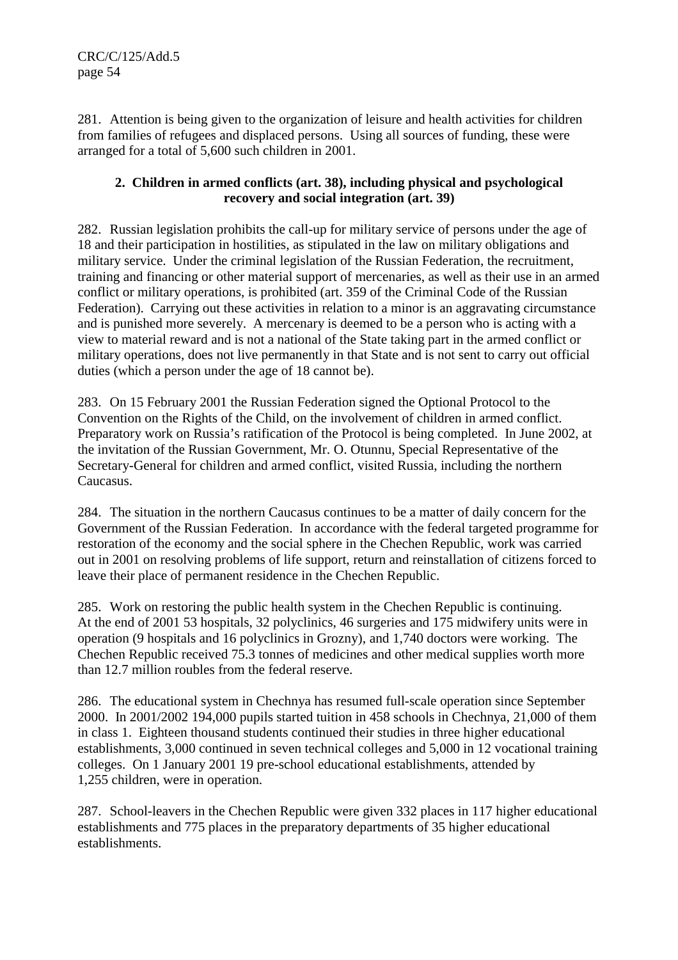281. Attention is being given to the organization of leisure and health activities for children from families of refugees and displaced persons. Using all sources of funding, these were arranged for a total of 5,600 such children in 2001.

### **2. Children in armed conflicts (art. 38), including physical and psychological recovery and social integration (art. 39)**

282. Russian legislation prohibits the call-up for military service of persons under the age of 18 and their participation in hostilities, as stipulated in the law on military obligations and military service. Under the criminal legislation of the Russian Federation, the recruitment, training and financing or other material support of mercenaries, as well as their use in an armed conflict or military operations, is prohibited (art. 359 of the Criminal Code of the Russian Federation). Carrying out these activities in relation to a minor is an aggravating circumstance and is punished more severely. A mercenary is deemed to be a person who is acting with a view to material reward and is not a national of the State taking part in the armed conflict or military operations, does not live permanently in that State and is not sent to carry out official duties (which a person under the age of 18 cannot be).

283. On 15 February 2001 the Russian Federation signed the Optional Protocol to the Convention on the Rights of the Child, on the involvement of children in armed conflict. Preparatory work on Russia's ratification of the Protocol is being completed. In June 2002, at the invitation of the Russian Government, Mr. O. Otunnu, Special Representative of the Secretary-General for children and armed conflict, visited Russia, including the northern Caucasus.

284. The situation in the northern Caucasus continues to be a matter of daily concern for the Government of the Russian Federation. In accordance with the federal targeted programme for restoration of the economy and the social sphere in the Chechen Republic, work was carried out in 2001 on resolving problems of life support, return and reinstallation of citizens forced to leave their place of permanent residence in the Chechen Republic.

285. Work on restoring the public health system in the Chechen Republic is continuing. At the end of 2001 53 hospitals, 32 polyclinics, 46 surgeries and 175 midwifery units were in operation (9 hospitals and 16 polyclinics in Grozny), and 1,740 doctors were working. The Chechen Republic received 75.3 tonnes of medicines and other medical supplies worth more than 12.7 million roubles from the federal reserve.

286. The educational system in Chechnya has resumed full-scale operation since September 2000. In 2001/2002 194,000 pupils started tuition in 458 schools in Chechnya, 21,000 of them in class 1. Eighteen thousand students continued their studies in three higher educational establishments, 3,000 continued in seven technical colleges and 5,000 in 12 vocational training colleges. On 1 January 2001 19 pre-school educational establishments, attended by 1,255 children, were in operation.

287. School-leavers in the Chechen Republic were given 332 places in 117 higher educational establishments and 775 places in the preparatory departments of 35 higher educational establishments.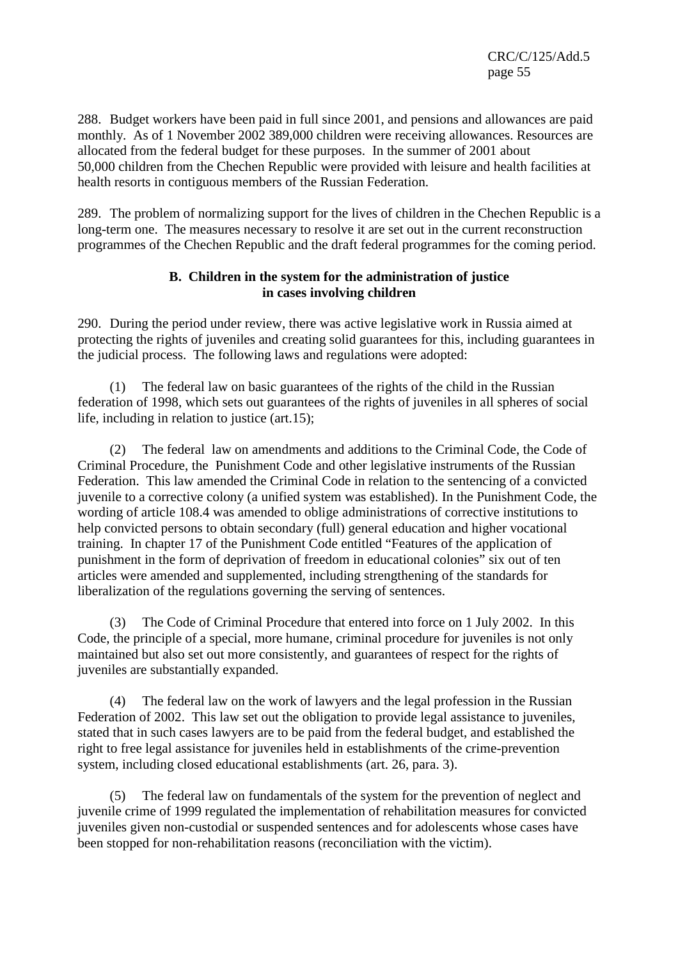CRC/C/125/Add.5 page 55

288. Budget workers have been paid in full since 2001, and pensions and allowances are paid monthly. As of 1 November 2002 389,000 children were receiving allowances. Resources are allocated from the federal budget for these purposes. In the summer of 2001 about 50,000 children from the Chechen Republic were provided with leisure and health facilities at health resorts in contiguous members of the Russian Federation.

289. The problem of normalizing support for the lives of children in the Chechen Republic is a long-term one. The measures necessary to resolve it are set out in the current reconstruction programmes of the Chechen Republic and the draft federal programmes for the coming period.

#### **B. Children in the system for the administration of justice in cases involving children**

290. During the period under review, there was active legislative work in Russia aimed at protecting the rights of juveniles and creating solid guarantees for this, including guarantees in the judicial process. The following laws and regulations were adopted:

The federal law on basic guarantees of the rights of the child in the Russian federation of 1998, which sets out guarantees of the rights of juveniles in all spheres of social life, including in relation to justice (art.15);

 (2) The federal law on amendments and additions to the Criminal Code, the Code of Criminal Procedure, the Punishment Code and other legislative instruments of the Russian Federation. This law amended the Criminal Code in relation to the sentencing of a convicted juvenile to a corrective colony (a unified system was established). In the Punishment Code, the wording of article 108.4 was amended to oblige administrations of corrective institutions to help convicted persons to obtain secondary (full) general education and higher vocational training. In chapter 17 of the Punishment Code entitled "Features of the application of punishment in the form of deprivation of freedom in educational colonies" six out of ten articles were amended and supplemented, including strengthening of the standards for liberalization of the regulations governing the serving of sentences.

 (3) The Code of Criminal Procedure that entered into force on 1 July 2002. In this Code, the principle of a special, more humane, criminal procedure for juveniles is not only maintained but also set out more consistently, and guarantees of respect for the rights of juveniles are substantially expanded.

(4) The federal law on the work of lawyers and the legal profession in the Russian Federation of 2002. This law set out the obligation to provide legal assistance to juveniles, stated that in such cases lawyers are to be paid from the federal budget, and established the right to free legal assistance for juveniles held in establishments of the crime-prevention system, including closed educational establishments (art. 26, para. 3).

 (5) The federal law on fundamentals of the system for the prevention of neglect and juvenile crime of 1999 regulated the implementation of rehabilitation measures for convicted juveniles given non-custodial or suspended sentences and for adolescents whose cases have been stopped for non-rehabilitation reasons (reconciliation with the victim).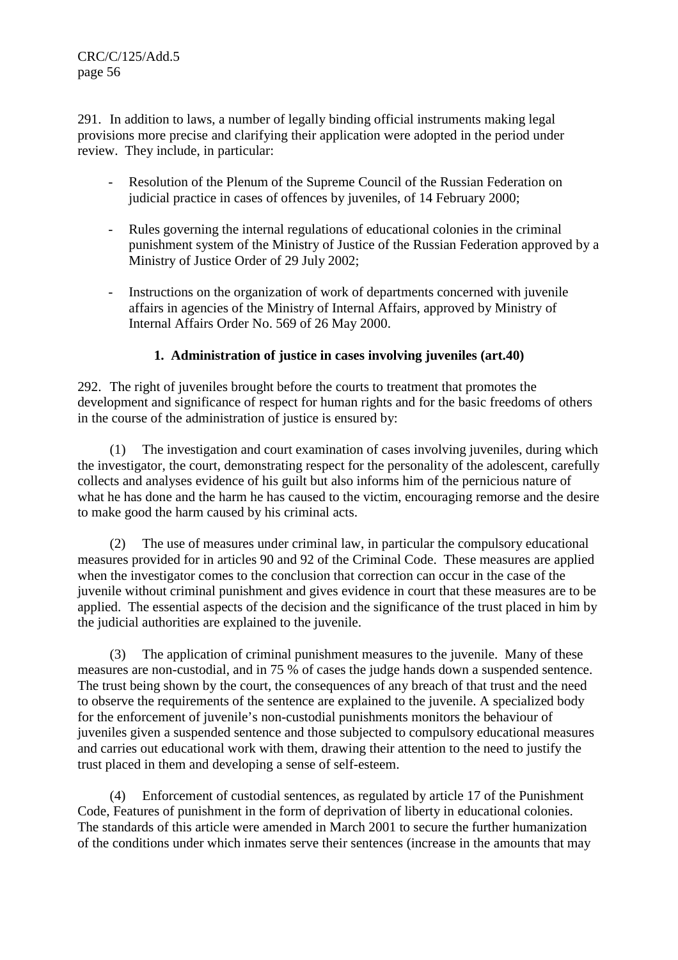CRC/C/125/Add.5 page 56

291. In addition to laws, a number of legally binding official instruments making legal provisions more precise and clarifying their application were adopted in the period under review. They include, in particular:

- Resolution of the Plenum of the Supreme Council of the Russian Federation on judicial practice in cases of offences by juveniles, of 14 February 2000;
- Rules governing the internal regulations of educational colonies in the criminal punishment system of the Ministry of Justice of the Russian Federation approved by a Ministry of Justice Order of 29 July 2002;
- Instructions on the organization of work of departments concerned with juvenile affairs in agencies of the Ministry of Internal Affairs, approved by Ministry of Internal Affairs Order No. 569 of 26 May 2000.

### **1. Administration of justice in cases involving juveniles (art.40)**

292. The right of juveniles brought before the courts to treatment that promotes the development and significance of respect for human rights and for the basic freedoms of others in the course of the administration of justice is ensured by:

 (1) The investigation and court examination of cases involving juveniles, during which the investigator, the court, demonstrating respect for the personality of the adolescent, carefully collects and analyses evidence of his guilt but also informs him of the pernicious nature of what he has done and the harm he has caused to the victim, encouraging remorse and the desire to make good the harm caused by his criminal acts.

 (2) The use of measures under criminal law, in particular the compulsory educational measures provided for in articles 90 and 92 of the Criminal Code. These measures are applied when the investigator comes to the conclusion that correction can occur in the case of the juvenile without criminal punishment and gives evidence in court that these measures are to be applied. The essential aspects of the decision and the significance of the trust placed in him by the judicial authorities are explained to the juvenile.

 (3) The application of criminal punishment measures to the juvenile. Many of these measures are non-custodial, and in 75 % of cases the judge hands down a suspended sentence. The trust being shown by the court, the consequences of any breach of that trust and the need to observe the requirements of the sentence are explained to the juvenile. A specialized body for the enforcement of juvenile's non-custodial punishments monitors the behaviour of juveniles given a suspended sentence and those subjected to compulsory educational measures and carries out educational work with them, drawing their attention to the need to justify the trust placed in them and developing a sense of self-esteem.

 (4) Enforcement of custodial sentences, as regulated by article 17 of the Punishment Code, Features of punishment in the form of deprivation of liberty in educational colonies. The standards of this article were amended in March 2001 to secure the further humanization of the conditions under which inmates serve their sentences (increase in the amounts that may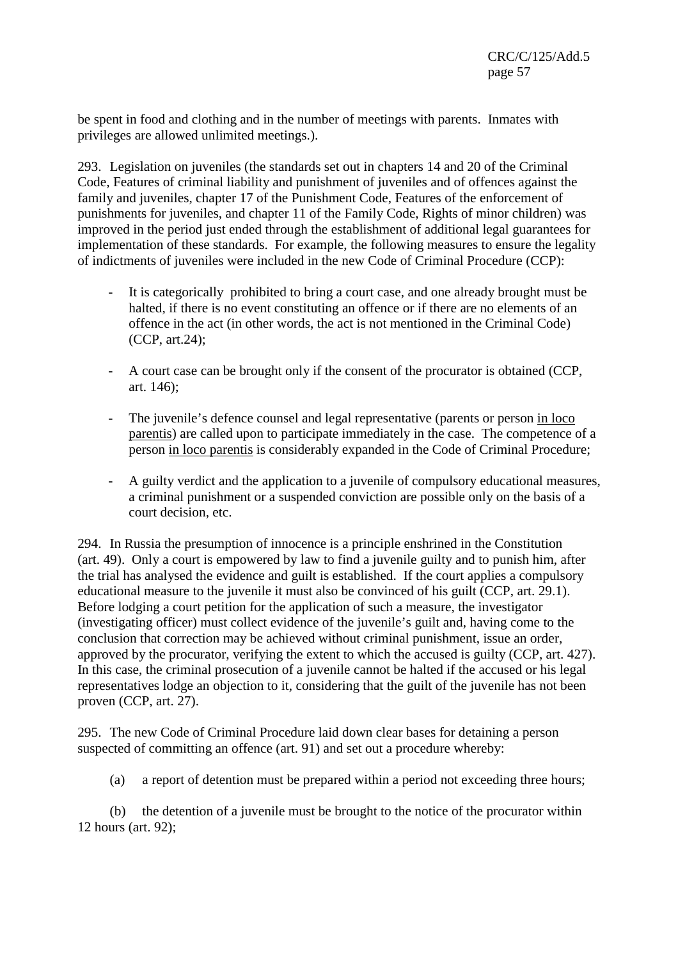be spent in food and clothing and in the number of meetings with parents. Inmates with privileges are allowed unlimited meetings.).

293. Legislation on juveniles (the standards set out in chapters 14 and 20 of the Criminal Code, Features of criminal liability and punishment of juveniles and of offences against the family and juveniles, chapter 17 of the Punishment Code, Features of the enforcement of punishments for juveniles, and chapter 11 of the Family Code, Rights of minor children) was improved in the period just ended through the establishment of additional legal guarantees for implementation of these standards. For example, the following measures to ensure the legality of indictments of juveniles were included in the new Code of Criminal Procedure (CCP):

- It is categorically prohibited to bring a court case, and one already brought must be halted, if there is no event constituting an offence or if there are no elements of an offence in the act (in other words, the act is not mentioned in the Criminal Code) (CCP, art.24);
- A court case can be brought only if the consent of the procurator is obtained (CCP, art. 146);
- The juvenile's defence counsel and legal representative (parents or person in loco parentis) are called upon to participate immediately in the case. The competence of a person in loco parentis is considerably expanded in the Code of Criminal Procedure;
- A guilty verdict and the application to a juvenile of compulsory educational measures, a criminal punishment or a suspended conviction are possible only on the basis of a court decision, etc.

294. In Russia the presumption of innocence is a principle enshrined in the Constitution (art. 49). Only a court is empowered by law to find a juvenile guilty and to punish him, after the trial has analysed the evidence and guilt is established. If the court applies a compulsory educational measure to the juvenile it must also be convinced of his guilt (CCP, art. 29.1). Before lodging a court petition for the application of such a measure, the investigator (investigating officer) must collect evidence of the juvenile's guilt and, having come to the conclusion that correction may be achieved without criminal punishment, issue an order, approved by the procurator, verifying the extent to which the accused is guilty (CCP, art. 427). In this case, the criminal prosecution of a juvenile cannot be halted if the accused or his legal representatives lodge an objection to it, considering that the guilt of the juvenile has not been proven (CCP, art. 27).

295. The new Code of Criminal Procedure laid down clear bases for detaining a person suspected of committing an offence (art. 91) and set out a procedure whereby:

(a) a report of detention must be prepared within a period not exceeding three hours;

(b) the detention of a juvenile must be brought to the notice of the procurator within 12 hours (art. 92);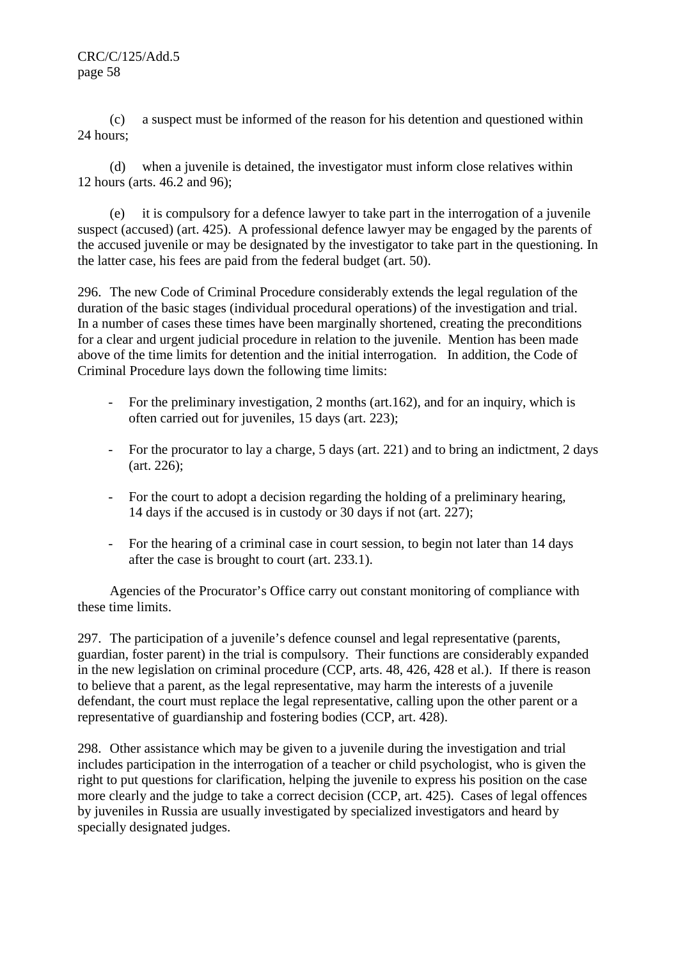(c) a suspect must be informed of the reason for his detention and questioned within 24 hours;

(d) when a juvenile is detained, the investigator must inform close relatives within 12 hours (arts. 46.2 and 96);

(e) it is compulsory for a defence lawyer to take part in the interrogation of a juvenile suspect (accused) (art. 425). A professional defence lawyer may be engaged by the parents of the accused juvenile or may be designated by the investigator to take part in the questioning. In the latter case, his fees are paid from the federal budget (art. 50).

296. The new Code of Criminal Procedure considerably extends the legal regulation of the duration of the basic stages (individual procedural operations) of the investigation and trial. In a number of cases these times have been marginally shortened, creating the preconditions for a clear and urgent judicial procedure in relation to the juvenile. Mention has been made above of the time limits for detention and the initial interrogation. In addition, the Code of Criminal Procedure lays down the following time limits:

- For the preliminary investigation, 2 months (art.162), and for an inquiry, which is often carried out for juveniles, 15 days (art. 223);
- For the procurator to lay a charge, 5 days (art. 221) and to bring an indictment, 2 days (art. 226);
- For the court to adopt a decision regarding the holding of a preliminary hearing, 14 days if the accused is in custody or 30 days if not (art. 227);
- For the hearing of a criminal case in court session, to begin not later than 14 days after the case is brought to court (art. 233.1).

 Agencies of the Procurator's Office carry out constant monitoring of compliance with these time limits.

297. The participation of a juvenile's defence counsel and legal representative (parents, guardian, foster parent) in the trial is compulsory. Their functions are considerably expanded in the new legislation on criminal procedure (CCP, arts. 48, 426, 428 et al.). If there is reason to believe that a parent, as the legal representative, may harm the interests of a juvenile defendant, the court must replace the legal representative, calling upon the other parent or a representative of guardianship and fostering bodies (CCP, art. 428).

298. Other assistance which may be given to a juvenile during the investigation and trial includes participation in the interrogation of a teacher or child psychologist, who is given the right to put questions for clarification, helping the juvenile to express his position on the case more clearly and the judge to take a correct decision (CCP, art. 425). Cases of legal offences by juveniles in Russia are usually investigated by specialized investigators and heard by specially designated judges.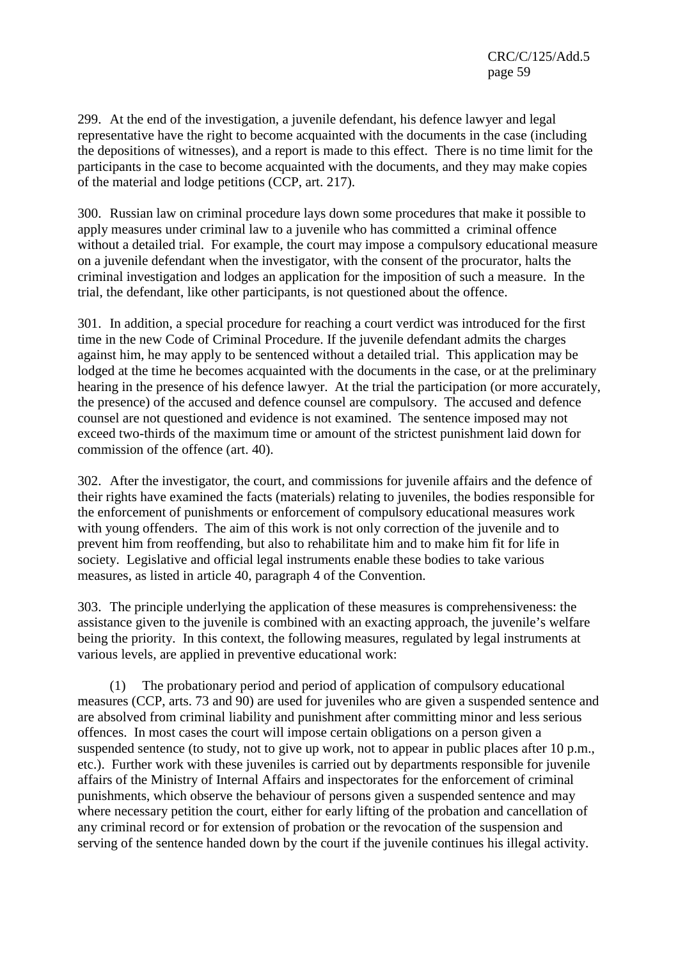299. At the end of the investigation, a juvenile defendant, his defence lawyer and legal representative have the right to become acquainted with the documents in the case (including the depositions of witnesses), and a report is made to this effect. There is no time limit for the participants in the case to become acquainted with the documents, and they may make copies of the material and lodge petitions (CCP, art. 217).

300. Russian law on criminal procedure lays down some procedures that make it possible to apply measures under criminal law to a juvenile who has committed a criminal offence without a detailed trial. For example, the court may impose a compulsory educational measure on a juvenile defendant when the investigator, with the consent of the procurator, halts the criminal investigation and lodges an application for the imposition of such a measure. In the trial, the defendant, like other participants, is not questioned about the offence.

301. In addition, a special procedure for reaching a court verdict was introduced for the first time in the new Code of Criminal Procedure. If the juvenile defendant admits the charges against him, he may apply to be sentenced without a detailed trial. This application may be lodged at the time he becomes acquainted with the documents in the case, or at the preliminary hearing in the presence of his defence lawyer. At the trial the participation (or more accurately, the presence) of the accused and defence counsel are compulsory. The accused and defence counsel are not questioned and evidence is not examined. The sentence imposed may not exceed two-thirds of the maximum time or amount of the strictest punishment laid down for commission of the offence (art. 40).

302. After the investigator, the court, and commissions for juvenile affairs and the defence of their rights have examined the facts (materials) relating to juveniles, the bodies responsible for the enforcement of punishments or enforcement of compulsory educational measures work with young offenders. The aim of this work is not only correction of the juvenile and to prevent him from reoffending, but also to rehabilitate him and to make him fit for life in society. Legislative and official legal instruments enable these bodies to take various measures, as listed in article 40, paragraph 4 of the Convention.

303. The principle underlying the application of these measures is comprehensiveness: the assistance given to the juvenile is combined with an exacting approach, the juvenile's welfare being the priority. In this context, the following measures, regulated by legal instruments at various levels, are applied in preventive educational work:

 (1) The probationary period and period of application of compulsory educational measures (CCP, arts. 73 and 90) are used for juveniles who are given a suspended sentence and are absolved from criminal liability and punishment after committing minor and less serious offences. In most cases the court will impose certain obligations on a person given a suspended sentence (to study, not to give up work, not to appear in public places after 10 p.m., etc.). Further work with these juveniles is carried out by departments responsible for juvenile affairs of the Ministry of Internal Affairs and inspectorates for the enforcement of criminal punishments, which observe the behaviour of persons given a suspended sentence and may where necessary petition the court, either for early lifting of the probation and cancellation of any criminal record or for extension of probation or the revocation of the suspension and serving of the sentence handed down by the court if the juvenile continues his illegal activity.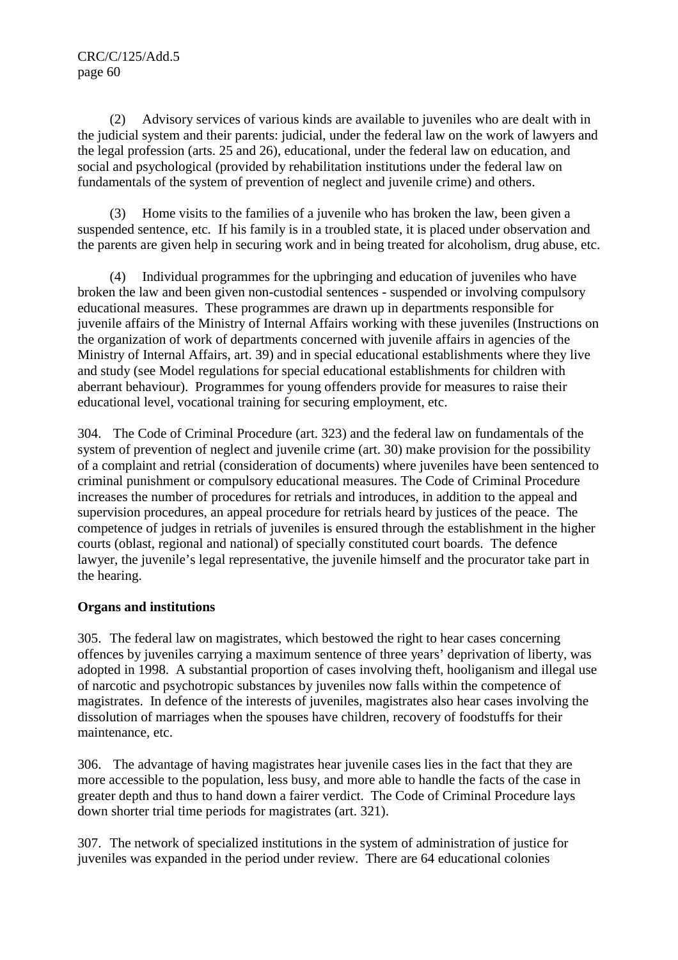(2) Advisory services of various kinds are available to juveniles who are dealt with in the judicial system and their parents: judicial, under the federal law on the work of lawyers and the legal profession (arts. 25 and 26), educational, under the federal law on education, and social and psychological (provided by rehabilitation institutions under the federal law on fundamentals of the system of prevention of neglect and juvenile crime) and others.

 (3) Home visits to the families of a juvenile who has broken the law, been given a suspended sentence, etc. If his family is in a troubled state, it is placed under observation and the parents are given help in securing work and in being treated for alcoholism, drug abuse, etc.

Individual programmes for the upbringing and education of juveniles who have broken the law and been given non-custodial sentences - suspended or involving compulsory educational measures. These programmes are drawn up in departments responsible for juvenile affairs of the Ministry of Internal Affairs working with these juveniles (Instructions on the organization of work of departments concerned with juvenile affairs in agencies of the Ministry of Internal Affairs, art. 39) and in special educational establishments where they live and study (see Model regulations for special educational establishments for children with aberrant behaviour). Programmes for young offenders provide for measures to raise their educational level, vocational training for securing employment, etc.

304. The Code of Criminal Procedure (art. 323) and the federal law on fundamentals of the system of prevention of neglect and juvenile crime (art. 30) make provision for the possibility of a complaint and retrial (consideration of documents) where juveniles have been sentenced to criminal punishment or compulsory educational measures. The Code of Criminal Procedure increases the number of procedures for retrials and introduces, in addition to the appeal and supervision procedures, an appeal procedure for retrials heard by justices of the peace. The competence of judges in retrials of juveniles is ensured through the establishment in the higher courts (oblast, regional and national) of specially constituted court boards. The defence lawyer, the juvenile's legal representative, the juvenile himself and the procurator take part in the hearing.

### **Organs and institutions**

305. The federal law on magistrates, which bestowed the right to hear cases concerning offences by juveniles carrying a maximum sentence of three years' deprivation of liberty, was adopted in 1998. A substantial proportion of cases involving theft, hooliganism and illegal use of narcotic and psychotropic substances by juveniles now falls within the competence of magistrates. In defence of the interests of juveniles, magistrates also hear cases involving the dissolution of marriages when the spouses have children, recovery of foodstuffs for their maintenance, etc.

306. The advantage of having magistrates hear juvenile cases lies in the fact that they are more accessible to the population, less busy, and more able to handle the facts of the case in greater depth and thus to hand down a fairer verdict. The Code of Criminal Procedure lays down shorter trial time periods for magistrates (art. 321).

307. The network of specialized institutions in the system of administration of justice for juveniles was expanded in the period under review. There are 64 educational colonies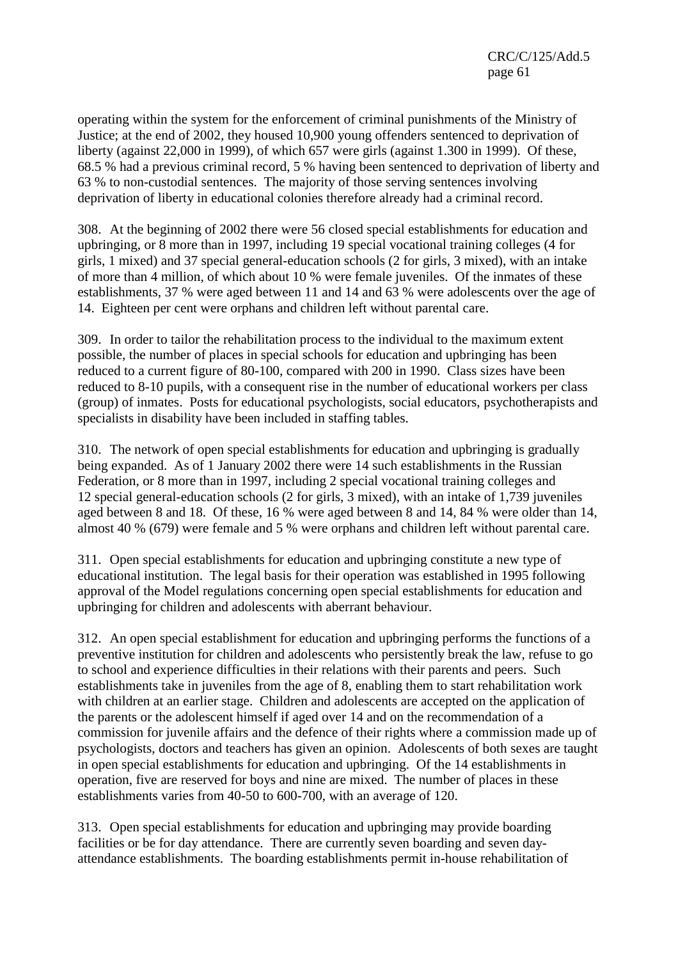operating within the system for the enforcement of criminal punishments of the Ministry of Justice; at the end of 2002, they housed 10,900 young offenders sentenced to deprivation of liberty (against 22,000 in 1999), of which 657 were girls (against 1.300 in 1999). Of these, 68.5 % had a previous criminal record, 5 % having been sentenced to deprivation of liberty and 63 % to non-custodial sentences. The majority of those serving sentences involving deprivation of liberty in educational colonies therefore already had a criminal record.

308. At the beginning of 2002 there were 56 closed special establishments for education and upbringing, or 8 more than in 1997, including 19 special vocational training colleges (4 for girls, 1 mixed) and 37 special general-education schools (2 for girls, 3 mixed), with an intake of more than 4 million, of which about 10 % were female juveniles. Of the inmates of these establishments, 37 % were aged between 11 and 14 and 63 % were adolescents over the age of 14. Eighteen per cent were orphans and children left without parental care.

309. In order to tailor the rehabilitation process to the individual to the maximum extent possible, the number of places in special schools for education and upbringing has been reduced to a current figure of 80-100, compared with 200 in 1990. Class sizes have been reduced to 8-10 pupils, with a consequent rise in the number of educational workers per class (group) of inmates. Posts for educational psychologists, social educators, psychotherapists and specialists in disability have been included in staffing tables.

310. The network of open special establishments for education and upbringing is gradually being expanded. As of 1 January 2002 there were 14 such establishments in the Russian Federation, or 8 more than in 1997, including 2 special vocational training colleges and 12 special general-education schools (2 for girls, 3 mixed), with an intake of 1,739 juveniles aged between 8 and 18. Of these, 16 % were aged between 8 and 14, 84 % were older than 14, almost 40 % (679) were female and 5 % were orphans and children left without parental care.

311. Open special establishments for education and upbringing constitute a new type of educational institution. The legal basis for their operation was established in 1995 following approval of the Model regulations concerning open special establishments for education and upbringing for children and adolescents with aberrant behaviour.

312. An open special establishment for education and upbringing performs the functions of a preventive institution for children and adolescents who persistently break the law, refuse to go to school and experience difficulties in their relations with their parents and peers. Such establishments take in juveniles from the age of 8, enabling them to start rehabilitation work with children at an earlier stage. Children and adolescents are accepted on the application of the parents or the adolescent himself if aged over 14 and on the recommendation of a commission for juvenile affairs and the defence of their rights where a commission made up of psychologists, doctors and teachers has given an opinion. Adolescents of both sexes are taught in open special establishments for education and upbringing. Of the 14 establishments in operation, five are reserved for boys and nine are mixed. The number of places in these establishments varies from 40-50 to 600-700, with an average of 120.

313. Open special establishments for education and upbringing may provide boarding facilities or be for day attendance. There are currently seven boarding and seven dayattendance establishments. The boarding establishments permit in-house rehabilitation of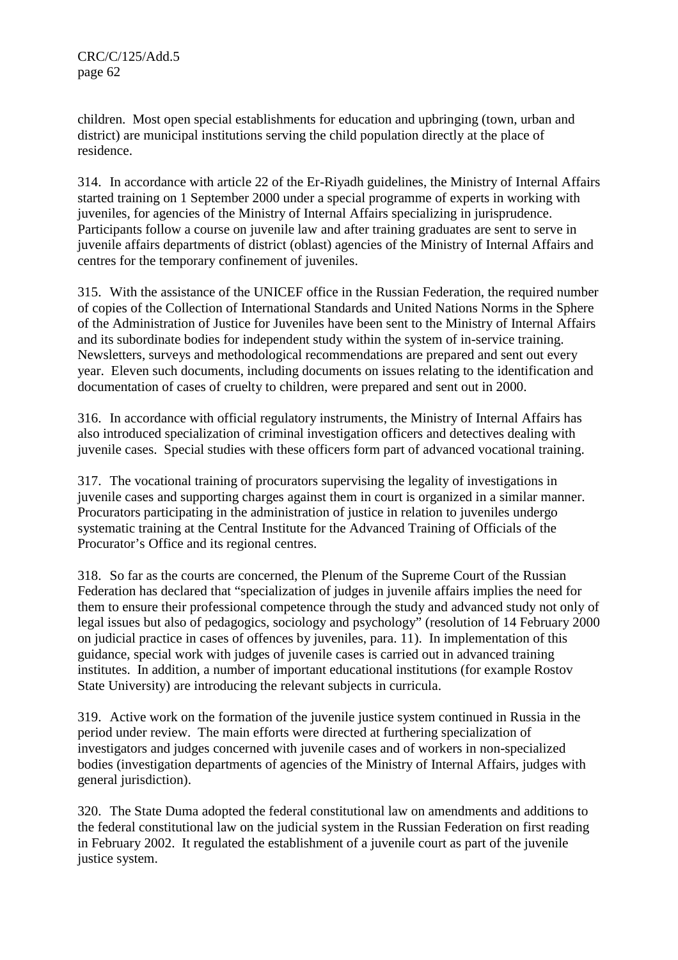CRC/C/125/Add.5 page 62

children. Most open special establishments for education and upbringing (town, urban and district) are municipal institutions serving the child population directly at the place of residence.

314. In accordance with article 22 of the Er-Riyadh guidelines, the Ministry of Internal Affairs started training on 1 September 2000 under a special programme of experts in working with juveniles, for agencies of the Ministry of Internal Affairs specializing in jurisprudence. Participants follow a course on juvenile law and after training graduates are sent to serve in juvenile affairs departments of district (oblast) agencies of the Ministry of Internal Affairs and centres for the temporary confinement of juveniles.

315. With the assistance of the UNICEF office in the Russian Federation, the required number of copies of the Collection of International Standards and United Nations Norms in the Sphere of the Administration of Justice for Juveniles have been sent to the Ministry of Internal Affairs and its subordinate bodies for independent study within the system of in-service training. Newsletters, surveys and methodological recommendations are prepared and sent out every year. Eleven such documents, including documents on issues relating to the identification and documentation of cases of cruelty to children, were prepared and sent out in 2000.

316. In accordance with official regulatory instruments, the Ministry of Internal Affairs has also introduced specialization of criminal investigation officers and detectives dealing with juvenile cases. Special studies with these officers form part of advanced vocational training.

317. The vocational training of procurators supervising the legality of investigations in juvenile cases and supporting charges against them in court is organized in a similar manner. Procurators participating in the administration of justice in relation to juveniles undergo systematic training at the Central Institute for the Advanced Training of Officials of the Procurator's Office and its regional centres.

318. So far as the courts are concerned, the Plenum of the Supreme Court of the Russian Federation has declared that "specialization of judges in juvenile affairs implies the need for them to ensure their professional competence through the study and advanced study not only of legal issues but also of pedagogics, sociology and psychology" (resolution of 14 February 2000 on judicial practice in cases of offences by juveniles, para. 11). In implementation of this guidance, special work with judges of juvenile cases is carried out in advanced training institutes. In addition, a number of important educational institutions (for example Rostov State University) are introducing the relevant subjects in curricula.

319. Active work on the formation of the juvenile justice system continued in Russia in the period under review. The main efforts were directed at furthering specialization of investigators and judges concerned with juvenile cases and of workers in non-specialized bodies (investigation departments of agencies of the Ministry of Internal Affairs, judges with general jurisdiction).

320. The State Duma adopted the federal constitutional law on amendments and additions to the federal constitutional law on the judicial system in the Russian Federation on first reading in February 2002. It regulated the establishment of a juvenile court as part of the juvenile justice system.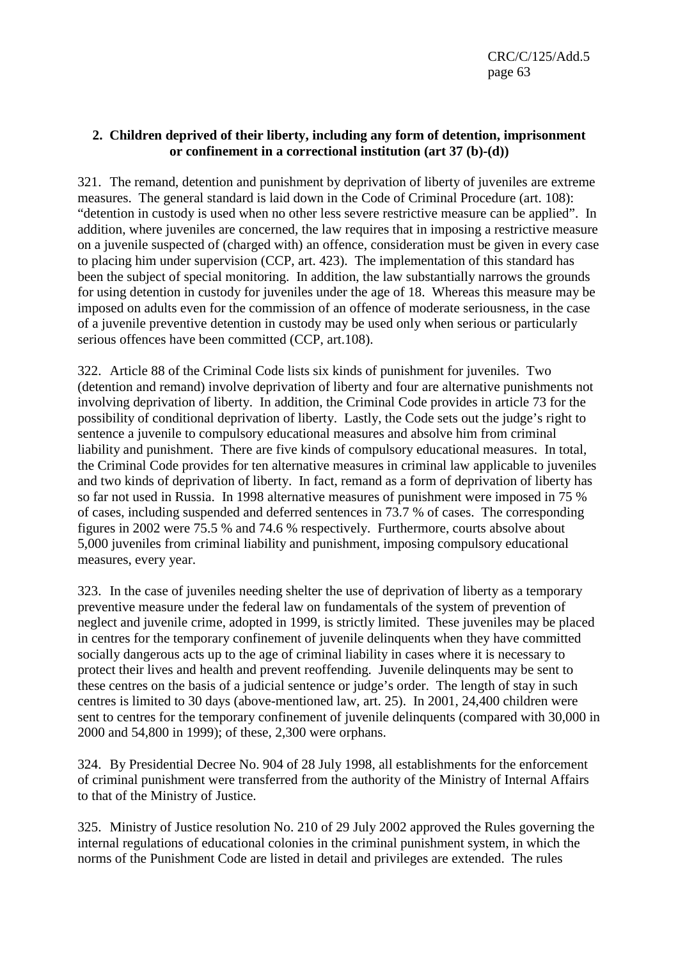### **2. Children deprived of their liberty, including any form of detention, imprisonment or confinement in a correctional institution (art 37 (b)-(d))**

321. The remand, detention and punishment by deprivation of liberty of juveniles are extreme measures. The general standard is laid down in the Code of Criminal Procedure (art. 108): "detention in custody is used when no other less severe restrictive measure can be applied". In addition, where juveniles are concerned, the law requires that in imposing a restrictive measure on a juvenile suspected of (charged with) an offence, consideration must be given in every case to placing him under supervision (CCP, art. 423). The implementation of this standard has been the subject of special monitoring. In addition, the law substantially narrows the grounds for using detention in custody for juveniles under the age of 18. Whereas this measure may be imposed on adults even for the commission of an offence of moderate seriousness, in the case of a juvenile preventive detention in custody may be used only when serious or particularly serious offences have been committed (CCP, art.108).

322. Article 88 of the Criminal Code lists six kinds of punishment for juveniles. Two (detention and remand) involve deprivation of liberty and four are alternative punishments not involving deprivation of liberty. In addition, the Criminal Code provides in article 73 for the possibility of conditional deprivation of liberty. Lastly, the Code sets out the judge's right to sentence a juvenile to compulsory educational measures and absolve him from criminal liability and punishment. There are five kinds of compulsory educational measures. In total, the Criminal Code provides for ten alternative measures in criminal law applicable to juveniles and two kinds of deprivation of liberty. In fact, remand as a form of deprivation of liberty has so far not used in Russia. In 1998 alternative measures of punishment were imposed in 75 % of cases, including suspended and deferred sentences in 73.7 % of cases. The corresponding figures in 2002 were 75.5 % and 74.6 % respectively. Furthermore, courts absolve about 5,000 juveniles from criminal liability and punishment, imposing compulsory educational measures, every year.

323. In the case of juveniles needing shelter the use of deprivation of liberty as a temporary preventive measure under the federal law on fundamentals of the system of prevention of neglect and juvenile crime, adopted in 1999, is strictly limited. These juveniles may be placed in centres for the temporary confinement of juvenile delinquents when they have committed socially dangerous acts up to the age of criminal liability in cases where it is necessary to protect their lives and health and prevent reoffending. Juvenile delinquents may be sent to these centres on the basis of a judicial sentence or judge's order. The length of stay in such centres is limited to 30 days (above-mentioned law, art. 25). In 2001, 24,400 children were sent to centres for the temporary confinement of juvenile delinquents (compared with 30,000 in 2000 and 54,800 in 1999); of these, 2,300 were orphans.

324. By Presidential Decree No. 904 of 28 July 1998, all establishments for the enforcement of criminal punishment were transferred from the authority of the Ministry of Internal Affairs to that of the Ministry of Justice.

325. Ministry of Justice resolution No. 210 of 29 July 2002 approved the Rules governing the internal regulations of educational colonies in the criminal punishment system, in which the norms of the Punishment Code are listed in detail and privileges are extended. The rules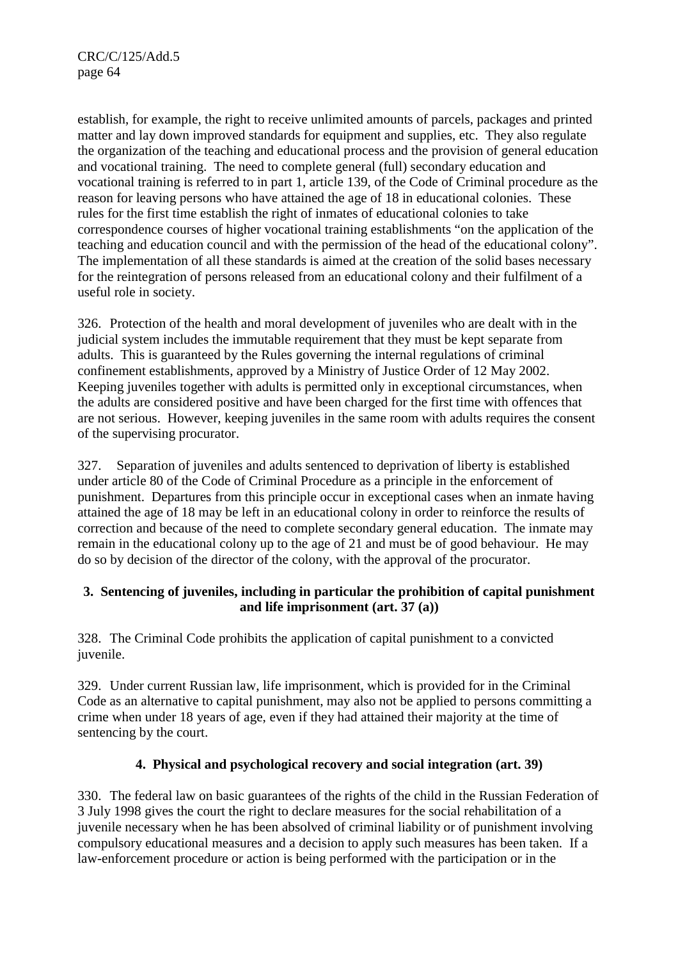CRC/C/125/Add.5 page 64

establish, for example, the right to receive unlimited amounts of parcels, packages and printed matter and lay down improved standards for equipment and supplies, etc. They also regulate the organization of the teaching and educational process and the provision of general education and vocational training. The need to complete general (full) secondary education and vocational training is referred to in part 1, article 139, of the Code of Criminal procedure as the reason for leaving persons who have attained the age of 18 in educational colonies. These rules for the first time establish the right of inmates of educational colonies to take correspondence courses of higher vocational training establishments "on the application of the teaching and education council and with the permission of the head of the educational colony". The implementation of all these standards is aimed at the creation of the solid bases necessary for the reintegration of persons released from an educational colony and their fulfilment of a useful role in society.

326. Protection of the health and moral development of juveniles who are dealt with in the judicial system includes the immutable requirement that they must be kept separate from adults. This is guaranteed by the Rules governing the internal regulations of criminal confinement establishments, approved by a Ministry of Justice Order of 12 May 2002. Keeping juveniles together with adults is permitted only in exceptional circumstances, when the adults are considered positive and have been charged for the first time with offences that are not serious. However, keeping juveniles in the same room with adults requires the consent of the supervising procurator.

327. Separation of juveniles and adults sentenced to deprivation of liberty is established under article 80 of the Code of Criminal Procedure as a principle in the enforcement of punishment. Departures from this principle occur in exceptional cases when an inmate having attained the age of 18 may be left in an educational colony in order to reinforce the results of correction and because of the need to complete secondary general education. The inmate may remain in the educational colony up to the age of 21 and must be of good behaviour. He may do so by decision of the director of the colony, with the approval of the procurator.

### **3. Sentencing of juveniles, including in particular the prohibition of capital punishment and life imprisonment (art. 37 (a))**

328. The Criminal Code prohibits the application of capital punishment to a convicted juvenile.

329. Under current Russian law, life imprisonment, which is provided for in the Criminal Code as an alternative to capital punishment, may also not be applied to persons committing a crime when under 18 years of age, even if they had attained their majority at the time of sentencing by the court.

### **4. Physical and psychological recovery and social integration (art. 39)**

330. The federal law on basic guarantees of the rights of the child in the Russian Federation of 3 July 1998 gives the court the right to declare measures for the social rehabilitation of a juvenile necessary when he has been absolved of criminal liability or of punishment involving compulsory educational measures and a decision to apply such measures has been taken. If a law-enforcement procedure or action is being performed with the participation or in the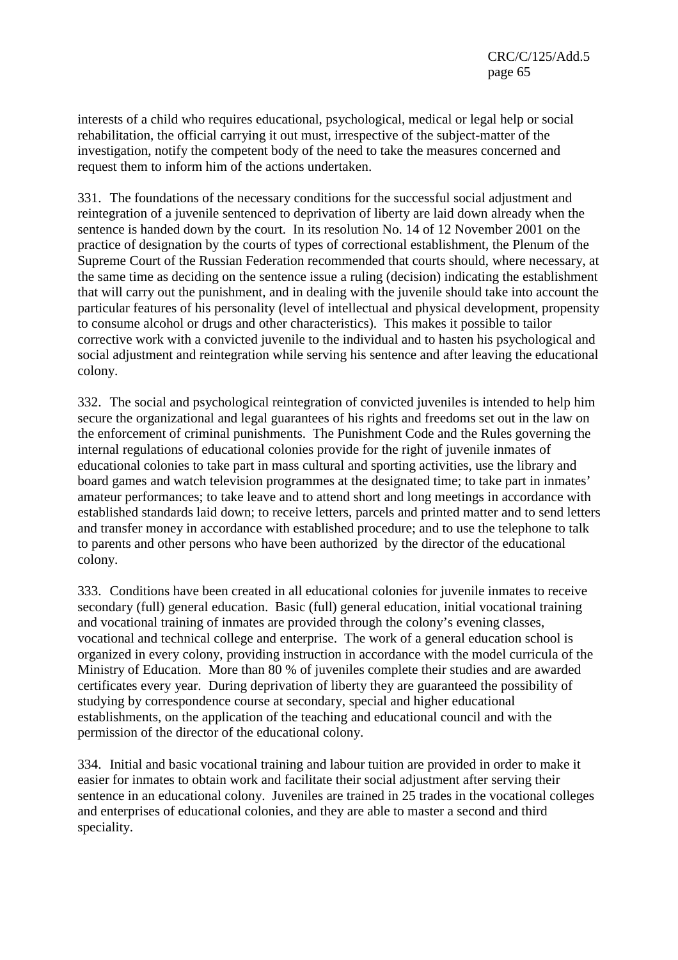interests of a child who requires educational, psychological, medical or legal help or social rehabilitation, the official carrying it out must, irrespective of the subject-matter of the investigation, notify the competent body of the need to take the measures concerned and request them to inform him of the actions undertaken.

331. The foundations of the necessary conditions for the successful social adjustment and reintegration of a juvenile sentenced to deprivation of liberty are laid down already when the sentence is handed down by the court. In its resolution No. 14 of 12 November 2001 on the practice of designation by the courts of types of correctional establishment, the Plenum of the Supreme Court of the Russian Federation recommended that courts should, where necessary, at the same time as deciding on the sentence issue a ruling (decision) indicating the establishment that will carry out the punishment, and in dealing with the juvenile should take into account the particular features of his personality (level of intellectual and physical development, propensity to consume alcohol or drugs and other characteristics). This makes it possible to tailor corrective work with a convicted juvenile to the individual and to hasten his psychological and social adjustment and reintegration while serving his sentence and after leaving the educational colony.

332. The social and psychological reintegration of convicted juveniles is intended to help him secure the organizational and legal guarantees of his rights and freedoms set out in the law on the enforcement of criminal punishments. The Punishment Code and the Rules governing the internal regulations of educational colonies provide for the right of juvenile inmates of educational colonies to take part in mass cultural and sporting activities, use the library and board games and watch television programmes at the designated time; to take part in inmates' amateur performances; to take leave and to attend short and long meetings in accordance with established standards laid down; to receive letters, parcels and printed matter and to send letters and transfer money in accordance with established procedure; and to use the telephone to talk to parents and other persons who have been authorized by the director of the educational colony.

333. Conditions have been created in all educational colonies for juvenile inmates to receive secondary (full) general education. Basic (full) general education, initial vocational training and vocational training of inmates are provided through the colony's evening classes, vocational and technical college and enterprise. The work of a general education school is organized in every colony, providing instruction in accordance with the model curricula of the Ministry of Education. More than 80 % of juveniles complete their studies and are awarded certificates every year. During deprivation of liberty they are guaranteed the possibility of studying by correspondence course at secondary, special and higher educational establishments, on the application of the teaching and educational council and with the permission of the director of the educational colony.

334. Initial and basic vocational training and labour tuition are provided in order to make it easier for inmates to obtain work and facilitate their social adjustment after serving their sentence in an educational colony. Juveniles are trained in 25 trades in the vocational colleges and enterprises of educational colonies, and they are able to master a second and third speciality.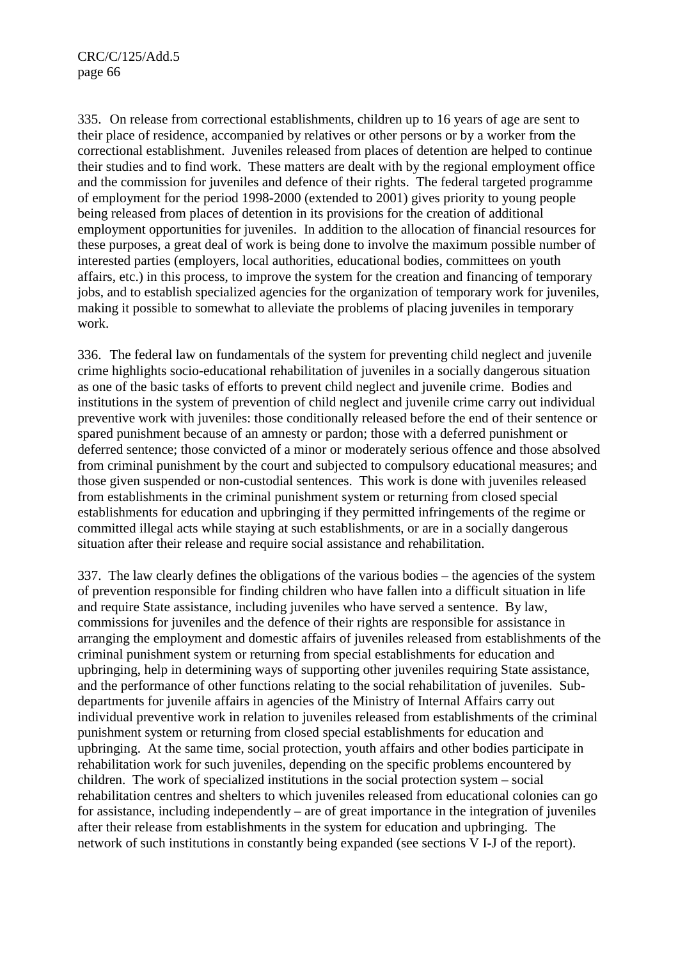335. On release from correctional establishments, children up to 16 years of age are sent to their place of residence, accompanied by relatives or other persons or by a worker from the correctional establishment. Juveniles released from places of detention are helped to continue their studies and to find work. These matters are dealt with by the regional employment office and the commission for juveniles and defence of their rights. The federal targeted programme of employment for the period 1998-2000 (extended to 2001) gives priority to young people being released from places of detention in its provisions for the creation of additional employment opportunities for juveniles. In addition to the allocation of financial resources for these purposes, a great deal of work is being done to involve the maximum possible number of interested parties (employers, local authorities, educational bodies, committees on youth affairs, etc.) in this process, to improve the system for the creation and financing of temporary jobs, and to establish specialized agencies for the organization of temporary work for juveniles, making it possible to somewhat to alleviate the problems of placing juveniles in temporary work.

336. The federal law on fundamentals of the system for preventing child neglect and juvenile crime highlights socio-educational rehabilitation of juveniles in a socially dangerous situation as one of the basic tasks of efforts to prevent child neglect and juvenile crime. Bodies and institutions in the system of prevention of child neglect and juvenile crime carry out individual preventive work with juveniles: those conditionally released before the end of their sentence or spared punishment because of an amnesty or pardon; those with a deferred punishment or deferred sentence; those convicted of a minor or moderately serious offence and those absolved from criminal punishment by the court and subjected to compulsory educational measures; and those given suspended or non-custodial sentences. This work is done with juveniles released from establishments in the criminal punishment system or returning from closed special establishments for education and upbringing if they permitted infringements of the regime or committed illegal acts while staying at such establishments, or are in a socially dangerous situation after their release and require social assistance and rehabilitation.

337. The law clearly defines the obligations of the various bodies – the agencies of the system of prevention responsible for finding children who have fallen into a difficult situation in life and require State assistance, including juveniles who have served a sentence. By law, commissions for juveniles and the defence of their rights are responsible for assistance in arranging the employment and domestic affairs of juveniles released from establishments of the criminal punishment system or returning from special establishments for education and upbringing, help in determining ways of supporting other juveniles requiring State assistance, and the performance of other functions relating to the social rehabilitation of juveniles. Subdepartments for juvenile affairs in agencies of the Ministry of Internal Affairs carry out individual preventive work in relation to juveniles released from establishments of the criminal punishment system or returning from closed special establishments for education and upbringing. At the same time, social protection, youth affairs and other bodies participate in rehabilitation work for such juveniles, depending on the specific problems encountered by children. The work of specialized institutions in the social protection system – social rehabilitation centres and shelters to which juveniles released from educational colonies can go for assistance, including independently – are of great importance in the integration of juveniles after their release from establishments in the system for education and upbringing. The network of such institutions in constantly being expanded (see sections V I-J of the report).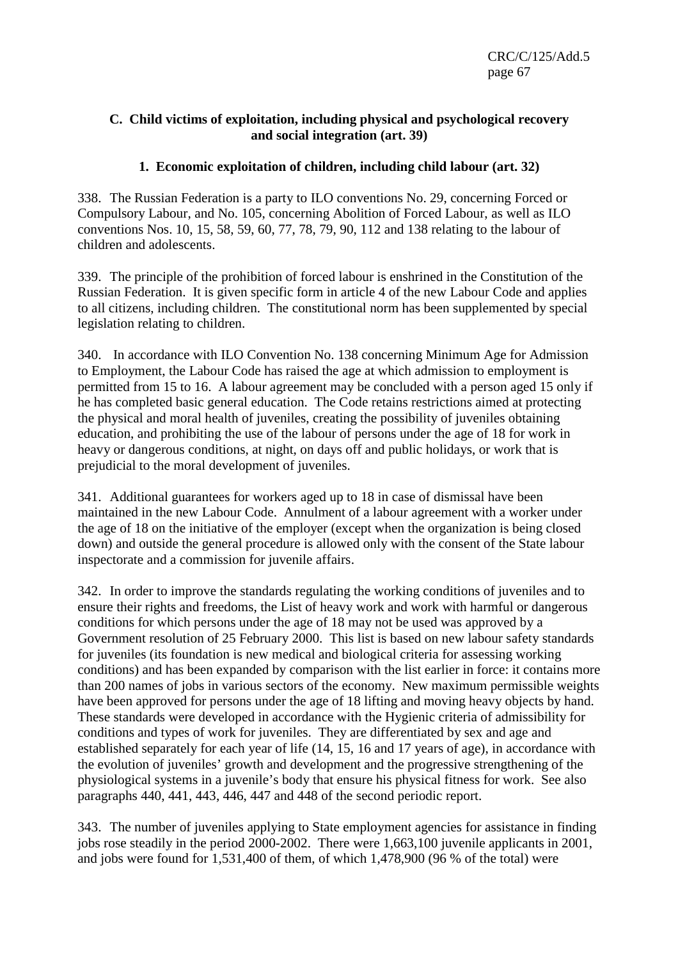### **C. Child victims of exploitation, including physical and psychological recovery and social integration (art. 39)**

### **1. Economic exploitation of children, including child labour (art. 32)**

338. The Russian Federation is a party to ILO conventions No. 29, concerning Forced or Compulsory Labour, and No. 105, concerning Abolition of Forced Labour, as well as ILO conventions Nos. 10, 15, 58, 59, 60, 77, 78, 79, 90, 112 and 138 relating to the labour of children and adolescents.

339. The principle of the prohibition of forced labour is enshrined in the Constitution of the Russian Federation. It is given specific form in article 4 of the new Labour Code and applies to all citizens, including children. The constitutional norm has been supplemented by special legislation relating to children.

340. In accordance with ILO Convention No. 138 concerning Minimum Age for Admission to Employment, the Labour Code has raised the age at which admission to employment is permitted from 15 to 16. A labour agreement may be concluded with a person aged 15 only if he has completed basic general education. The Code retains restrictions aimed at protecting the physical and moral health of juveniles, creating the possibility of juveniles obtaining education, and prohibiting the use of the labour of persons under the age of 18 for work in heavy or dangerous conditions, at night, on days off and public holidays, or work that is prejudicial to the moral development of juveniles.

341. Additional guarantees for workers aged up to 18 in case of dismissal have been maintained in the new Labour Code. Annulment of a labour agreement with a worker under the age of 18 on the initiative of the employer (except when the organization is being closed down) and outside the general procedure is allowed only with the consent of the State labour inspectorate and a commission for juvenile affairs.

342. In order to improve the standards regulating the working conditions of juveniles and to ensure their rights and freedoms, the List of heavy work and work with harmful or dangerous conditions for which persons under the age of 18 may not be used was approved by a Government resolution of 25 February 2000. This list is based on new labour safety standards for juveniles (its foundation is new medical and biological criteria for assessing working conditions) and has been expanded by comparison with the list earlier in force: it contains more than 200 names of jobs in various sectors of the economy. New maximum permissible weights have been approved for persons under the age of 18 lifting and moving heavy objects by hand. These standards were developed in accordance with the Hygienic criteria of admissibility for conditions and types of work for juveniles. They are differentiated by sex and age and established separately for each year of life (14, 15, 16 and 17 years of age), in accordance with the evolution of juveniles' growth and development and the progressive strengthening of the physiological systems in a juvenile's body that ensure his physical fitness for work. See also paragraphs 440, 441, 443, 446, 447 and 448 of the second periodic report.

343. The number of juveniles applying to State employment agencies for assistance in finding jobs rose steadily in the period 2000-2002. There were 1,663,100 juvenile applicants in 2001, and jobs were found for 1,531,400 of them, of which 1,478,900 (96 % of the total) were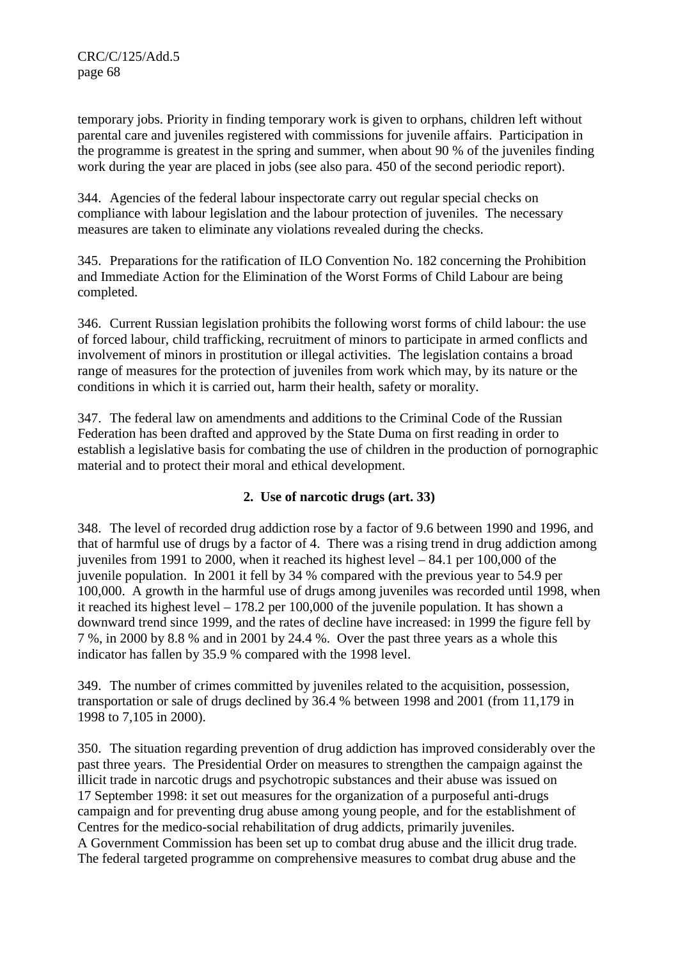temporary jobs. Priority in finding temporary work is given to orphans, children left without parental care and juveniles registered with commissions for juvenile affairs. Participation in the programme is greatest in the spring and summer, when about 90 % of the juveniles finding work during the year are placed in jobs (see also para. 450 of the second periodic report).

344. Agencies of the federal labour inspectorate carry out regular special checks on compliance with labour legislation and the labour protection of juveniles. The necessary measures are taken to eliminate any violations revealed during the checks.

345. Preparations for the ratification of ILO Convention No. 182 concerning the Prohibition and Immediate Action for the Elimination of the Worst Forms of Child Labour are being completed.

346. Current Russian legislation prohibits the following worst forms of child labour: the use of forced labour, child trafficking, recruitment of minors to participate in armed conflicts and involvement of minors in prostitution or illegal activities. The legislation contains a broad range of measures for the protection of juveniles from work which may, by its nature or the conditions in which it is carried out, harm their health, safety or morality.

347. The federal law on amendments and additions to the Criminal Code of the Russian Federation has been drafted and approved by the State Duma on first reading in order to establish a legislative basis for combating the use of children in the production of pornographic material and to protect their moral and ethical development.

# **2. Use of narcotic drugs (art. 33)**

348. The level of recorded drug addiction rose by a factor of 9.6 between 1990 and 1996, and that of harmful use of drugs by a factor of 4. There was a rising trend in drug addiction among juveniles from 1991 to 2000, when it reached its highest level – 84.1 per 100,000 of the juvenile population. In 2001 it fell by 34 % compared with the previous year to 54.9 per 100,000. A growth in the harmful use of drugs among juveniles was recorded until 1998, when it reached its highest level – 178.2 per 100,000 of the juvenile population. It has shown a downward trend since 1999, and the rates of decline have increased: in 1999 the figure fell by 7 %, in 2000 by 8.8 % and in 2001 by 24.4 %. Over the past three years as a whole this indicator has fallen by 35.9 % compared with the 1998 level.

349. The number of crimes committed by juveniles related to the acquisition, possession, transportation or sale of drugs declined by 36.4 % between 1998 and 2001 (from 11,179 in 1998 to 7,105 in 2000).

350. The situation regarding prevention of drug addiction has improved considerably over the past three years. The Presidential Order on measures to strengthen the campaign against the illicit trade in narcotic drugs and psychotropic substances and their abuse was issued on 17 September 1998: it set out measures for the organization of a purposeful anti-drugs campaign and for preventing drug abuse among young people, and for the establishment of Centres for the medico-social rehabilitation of drug addicts, primarily juveniles. A Government Commission has been set up to combat drug abuse and the illicit drug trade. The federal targeted programme on comprehensive measures to combat drug abuse and the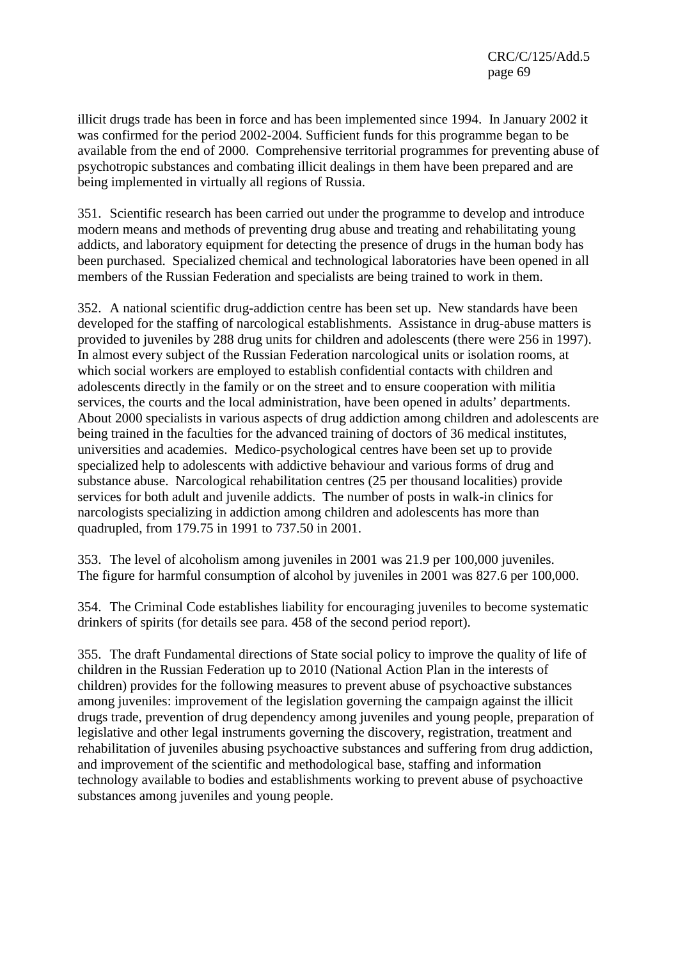illicit drugs trade has been in force and has been implemented since 1994. In January 2002 it was confirmed for the period 2002-2004. Sufficient funds for this programme began to be available from the end of 2000. Comprehensive territorial programmes for preventing abuse of psychotropic substances and combating illicit dealings in them have been prepared and are being implemented in virtually all regions of Russia.

351. Scientific research has been carried out under the programme to develop and introduce modern means and methods of preventing drug abuse and treating and rehabilitating young addicts, and laboratory equipment for detecting the presence of drugs in the human body has been purchased. Specialized chemical and technological laboratories have been opened in all members of the Russian Federation and specialists are being trained to work in them.

352. A national scientific drug-addiction centre has been set up. New standards have been developed for the staffing of narcological establishments. Assistance in drug-abuse matters is provided to juveniles by 288 drug units for children and adolescents (there were 256 in 1997). In almost every subject of the Russian Federation narcological units or isolation rooms, at which social workers are employed to establish confidential contacts with children and adolescents directly in the family or on the street and to ensure cooperation with militia services, the courts and the local administration, have been opened in adults' departments. About 2000 specialists in various aspects of drug addiction among children and adolescents are being trained in the faculties for the advanced training of doctors of 36 medical institutes, universities and academies. Medico-psychological centres have been set up to provide specialized help to adolescents with addictive behaviour and various forms of drug and substance abuse. Narcological rehabilitation centres (25 per thousand localities) provide services for both adult and juvenile addicts. The number of posts in walk-in clinics for narcologists specializing in addiction among children and adolescents has more than quadrupled, from 179.75 in 1991 to 737.50 in 2001.

353. The level of alcoholism among juveniles in 2001 was 21.9 per 100,000 juveniles. The figure for harmful consumption of alcohol by juveniles in 2001 was 827.6 per 100,000.

354. The Criminal Code establishes liability for encouraging juveniles to become systematic drinkers of spirits (for details see para. 458 of the second period report).

355. The draft Fundamental directions of State social policy to improve the quality of life of children in the Russian Federation up to 2010 (National Action Plan in the interests of children) provides for the following measures to prevent abuse of psychoactive substances among juveniles: improvement of the legislation governing the campaign against the illicit drugs trade, prevention of drug dependency among juveniles and young people, preparation of legislative and other legal instruments governing the discovery, registration, treatment and rehabilitation of juveniles abusing psychoactive substances and suffering from drug addiction, and improvement of the scientific and methodological base, staffing and information technology available to bodies and establishments working to prevent abuse of psychoactive substances among juveniles and young people.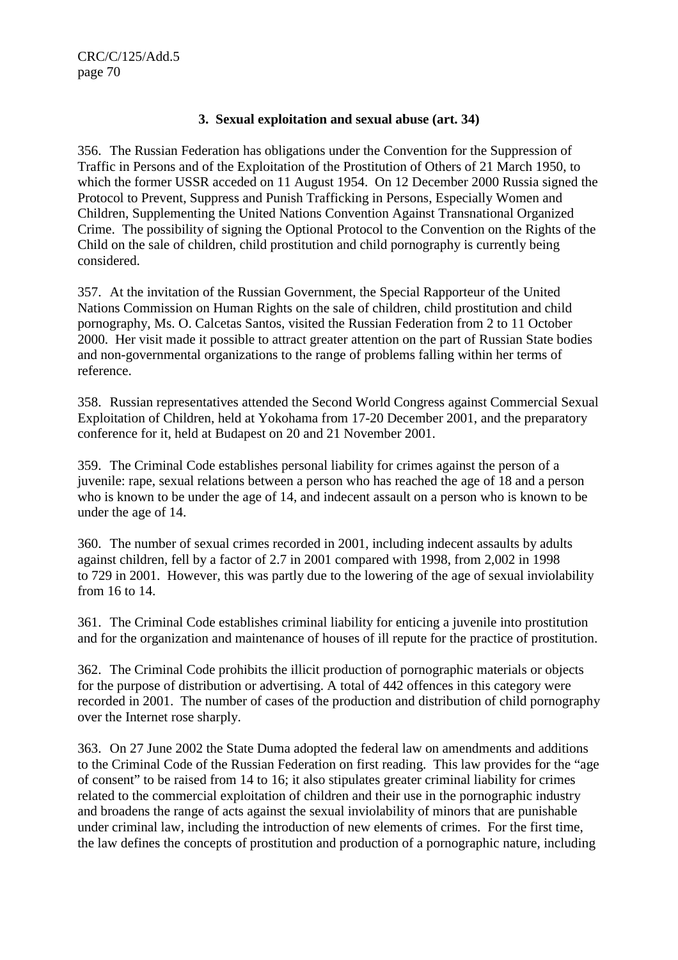#### **3. Sexual exploitation and sexual abuse (art. 34)**

356. The Russian Federation has obligations under the Convention for the Suppression of Traffic in Persons and of the Exploitation of the Prostitution of Others of 21 March 1950, to which the former USSR acceded on 11 August 1954. On 12 December 2000 Russia signed the Protocol to Prevent, Suppress and Punish Trafficking in Persons, Especially Women and Children, Supplementing the United Nations Convention Against Transnational Organized Crime. The possibility of signing the Optional Protocol to the Convention on the Rights of the Child on the sale of children, child prostitution and child pornography is currently being considered.

357. At the invitation of the Russian Government, the Special Rapporteur of the United Nations Commission on Human Rights on the sale of children, child prostitution and child pornography, Ms. O. Calcetas Santos, visited the Russian Federation from 2 to 11 October 2000. Her visit made it possible to attract greater attention on the part of Russian State bodies and non-governmental organizations to the range of problems falling within her terms of reference.

358. Russian representatives attended the Second World Congress against Commercial Sexual Exploitation of Children, held at Yokohama from 17-20 December 2001, and the preparatory conference for it, held at Budapest on 20 and 21 November 2001.

359. The Criminal Code establishes personal liability for crimes against the person of a juvenile: rape, sexual relations between a person who has reached the age of 18 and a person who is known to be under the age of 14, and indecent assault on a person who is known to be under the age of 14.

360. The number of sexual crimes recorded in 2001, including indecent assaults by adults against children, fell by a factor of 2.7 in 2001 compared with 1998, from 2,002 in 1998 to 729 in 2001. However, this was partly due to the lowering of the age of sexual inviolability from 16 to 14.

361. The Criminal Code establishes criminal liability for enticing a juvenile into prostitution and for the organization and maintenance of houses of ill repute for the practice of prostitution.

362. The Criminal Code prohibits the illicit production of pornographic materials or objects for the purpose of distribution or advertising. A total of 442 offences in this category were recorded in 2001. The number of cases of the production and distribution of child pornography over the Internet rose sharply.

363. On 27 June 2002 the State Duma adopted the federal law on amendments and additions to the Criminal Code of the Russian Federation on first reading. This law provides for the "age of consent" to be raised from 14 to 16; it also stipulates greater criminal liability for crimes related to the commercial exploitation of children and their use in the pornographic industry and broadens the range of acts against the sexual inviolability of minors that are punishable under criminal law, including the introduction of new elements of crimes. For the first time, the law defines the concepts of prostitution and production of a pornographic nature, including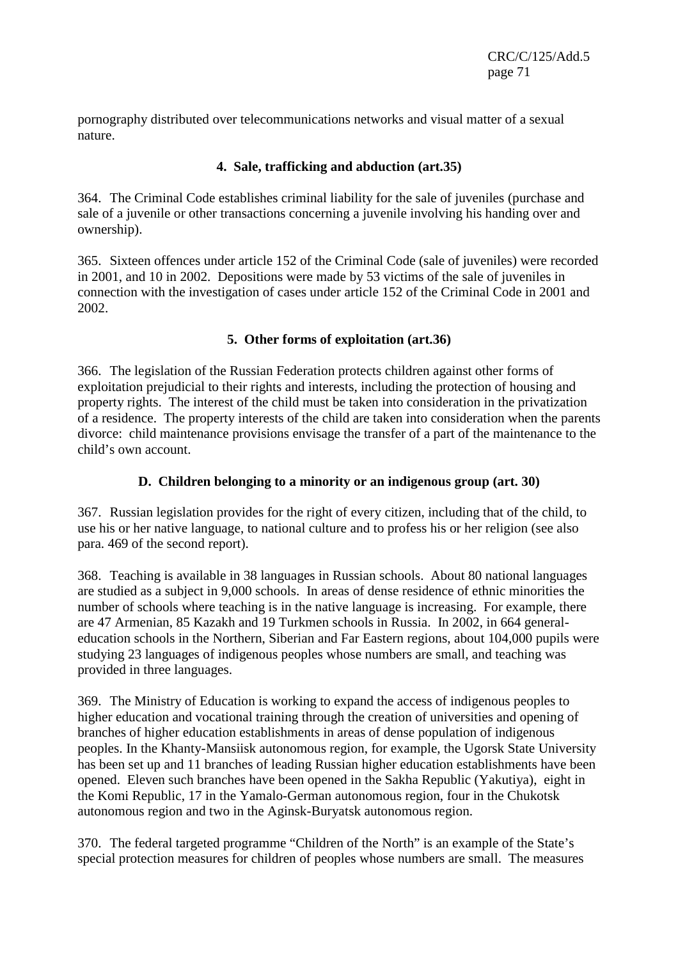CRC/C/125/Add.5 page 71

pornography distributed over telecommunications networks and visual matter of a sexual nature.

### **4. Sale, trafficking and abduction (art.35)**

364. The Criminal Code establishes criminal liability for the sale of juveniles (purchase and sale of a juvenile or other transactions concerning a juvenile involving his handing over and ownership).

365. Sixteen offences under article 152 of the Criminal Code (sale of juveniles) were recorded in 2001, and 10 in 2002. Depositions were made by 53 victims of the sale of juveniles in connection with the investigation of cases under article 152 of the Criminal Code in 2001 and 2002.

### **5. Other forms of exploitation (art.36)**

366. The legislation of the Russian Federation protects children against other forms of exploitation prejudicial to their rights and interests, including the protection of housing and property rights. The interest of the child must be taken into consideration in the privatization of a residence. The property interests of the child are taken into consideration when the parents divorce: child maintenance provisions envisage the transfer of a part of the maintenance to the child's own account.

### **D. Children belonging to a minority or an indigenous group (art. 30)**

367. Russian legislation provides for the right of every citizen, including that of the child, to use his or her native language, to national culture and to profess his or her religion (see also para. 469 of the second report).

368. Teaching is available in 38 languages in Russian schools. About 80 national languages are studied as a subject in 9,000 schools. In areas of dense residence of ethnic minorities the number of schools where teaching is in the native language is increasing. For example, there are 47 Armenian, 85 Kazakh and 19 Turkmen schools in Russia. In 2002, in 664 generaleducation schools in the Northern, Siberian and Far Eastern regions, about 104,000 pupils were studying 23 languages of indigenous peoples whose numbers are small, and teaching was provided in three languages.

369. The Ministry of Education is working to expand the access of indigenous peoples to higher education and vocational training through the creation of universities and opening of branches of higher education establishments in areas of dense population of indigenous peoples. In the Khanty-Mansiisk autonomous region, for example, the Ugorsk State University has been set up and 11 branches of leading Russian higher education establishments have been opened. Eleven such branches have been opened in the Sakha Republic (Yakutiya), eight in the Komi Republic, 17 in the Yamalo-German autonomous region, four in the Chukotsk autonomous region and two in the Aginsk-Buryatsk autonomous region.

370. The federal targeted programme "Children of the North" is an example of the State's special protection measures for children of peoples whose numbers are small. The measures